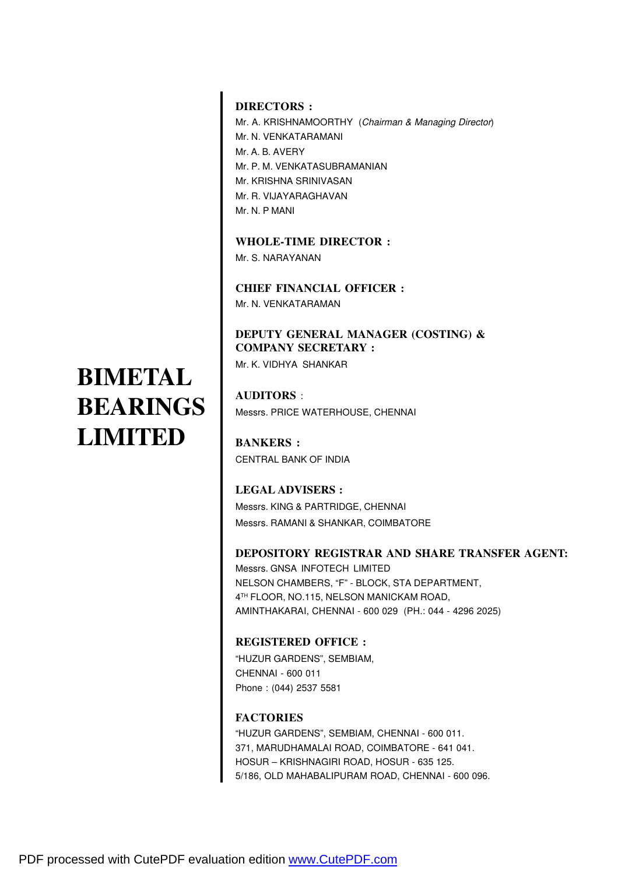#### **DIRECTORS :**

Mr. A. KRISHNAMOORTHY (Chairman & Managing Director) Mr. N. VENKATARAMANI Mr. A. B. AVERY Mr. P. M. VENKATASUBRAMANIAN Mr. KRISHNA SRINIVASAN Mr. R. VIJAYARAGHAVAN Mr. N. P MANI

**WHOLE-TIME DIRECTOR :** Mr. S. NARAYANAN

**CHIEF FINANCIAL OFFICER :** Mr. N. VENKATARAMAN

#### **DEPUTY GENERAL MANAGER (COSTING) & COMPANY SECRETARY :**

Mr. K. VIDHYA SHANKAR

**AUDITORS** : Messrs. PRICE WATERHOUSE, CHENNAI

**BANKERS :** CENTRAL BANK OF INDIA

**LEGAL ADVISERS :** Messrs. KING & PARTRIDGE, CHENNAI Messrs. RAMANI & SHANKAR, COIMBATORE

#### **DEPOSITORY REGISTRAR AND SHARE TRANSFER AGENT:**

Messrs. GNSA INFOTECH LIMITED NELSON CHAMBERS, "F" - BLOCK, STA DEPARTMENT, 4 TH FLOOR, NO.115, NELSON MANICKAM ROAD, AMINTHAKARAI, CHENNAI - 600 029 (PH.: 044 - 4296 2025)

#### **REGISTERED OFFICE :**

"HUZUR GARDENS", SEMBIAM, CHENNAI - 600 011 Phone : (044) 2537 5581

#### **FACTORIES**

"HUZUR GARDENS", SEMBIAM, CHENNAI - 600 011. 371, MARUDHAMALAI ROAD, COIMBATORE - 641 041. HOSUR – KRISHNAGIRI ROAD, HOSUR - 635 125. 5/186, OLD MAHABALIPURAM ROAD, CHENNAI - 600 096.

#### **BIMETAL BEARINGS LIMITED**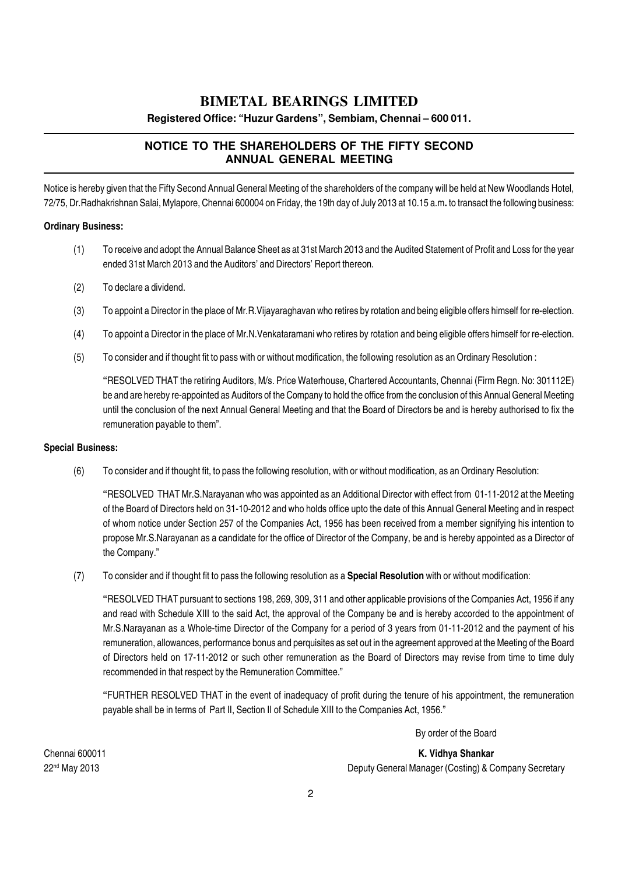**Registered Office: "Huzur Gardens", Sembiam, Chennai – 600 011.**

#### **NOTICE TO THE SHAREHOLDERS OF THE FIFTY SECOND ANNUAL GENERAL MEETING**

Notice is hereby given that the Fifty Second Annual General Meeting of the shareholders of the company will be held at New Woodlands Hotel, 72/75, Dr.Radhakrishnan Salai, Mylapore, Chennai 600004 on Friday, the 19th day of July 2013 at 10.15 a.m. to transact the following business:

#### Ordinary Business:

- (1) To receive and adopt the Annual Balance Sheet as at 31st March 2013 and the Audited Statement of Profit and Loss for the year ended 31st March 2013 and the Auditors' and Directors' Report thereon.
- (2) To declare a dividend.
- (3) To appoint a Director in the place of Mr.R.Vijayaraghavan who retires by rotation and being eligible offers himself for re-election.
- (4) To appoint a Director in the place of Mr.N.Venkataramani who retires by rotation and being eligible offers himself for re-election.
- (5) To consider and if thought fit to pass with or without modification, the following resolution as an Ordinary Resolution :

"RESOLVED THAT the retiring Auditors, M/s. Price Waterhouse, Chartered Accountants, Chennai (Firm Regn. No: 301112E) be and are hereby re-appointed as Auditors of the Company to hold the office from the conclusion of this Annual General Meeting until the conclusion of the next Annual General Meeting and that the Board of Directors be and is hereby authorised to fix the remuneration payable to them".

#### Special Business:

(6) To consider and if thought fit, to pass the following resolution, with or without modification, as an Ordinary Resolution:

"RESOLVED THAT Mr.S.Narayanan who was appointed as an Additional Director with effect from 01-11-2012 at the Meeting of the Board of Directors held on 31-10-2012 and who holds office upto the date of this Annual General Meeting and in respect of whom notice under Section 257 of the Companies Act, 1956 has been received from a member signifying his intention to propose Mr.S.Narayanan as a candidate for the office of Director of the Company, be and is hereby appointed as a Director of the Company."

(7) To consider and if thought fit to pass the following resolution as a **Special Resolution** with or without modification:

"RESOLVED THAT pursuant to sections 198, 269, 309, 311 and other applicable provisions of the Companies Act, 1956 if any and read with Schedule XIII to the said Act, the approval of the Company be and is hereby accorded to the appointment of Mr.S.Narayanan as a Whole-time Director of the Company for a period of 3 years from 01-11-2012 and the payment of his remuneration, allowances, performance bonus and perquisites as set out in the agreement approved at the Meeting of the Board of Directors held on 17-11-2012 or such other remuneration as the Board of Directors may revise from time to time duly recommended in that respect by the Remuneration Committee."

"FURTHER RESOLVED THAT in the event of inadequacy of profit during the tenure of his appointment, the remuneration payable shall be in terms of Part II, Section II of Schedule XIII to the Companies Act, 1956."

By order of the Board

Chennai 600011 K. Vidhya Shankar 22nd May 2013 Deputy General Manager (Costing) & Company Secretary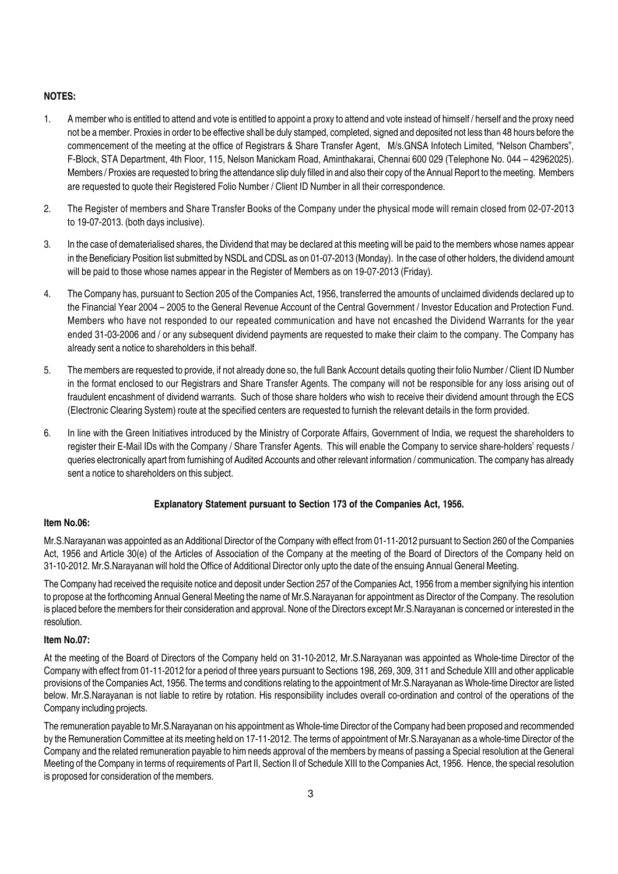#### NOTES:

- 1. A member who is entitled to attend and vote is entitled to appoint a proxy to attend and vote instead of himself / herself and the proxy need not be a member. Proxies in order to be effective shall be duly stamped, completed, signed and deposited not less than 48 hours before the commencement of the meeting at the office of Registrars & Share Transfer Agent, M/s.GNSA Infotech Limited, "Nelson Chambers", F-Block, STA Department, 4th Floor, 115, Nelson Manickam Road, Aminthakarai, Chennai 600 029 (Telephone No. 044 – 42962025). Members / Proxies are requested to bring the attendance slip duly filled in and also their copy of the Annual Report to the meeting. Members are requested to quote their Registered Folio Number / Client ID Number in all their correspondence.
- 2. The Register of members and Share Transfer Books of the Company under the physical mode will remain closed from 02-07-2013 to 19-07-2013. (both days inclusive).
- 3. In the case of dematerialised shares, the Dividend that may be declared at this meeting will be paid to the members whose names appear in the Beneficiary Position list submitted by NSDL and CDSL as on 01-07-2013 (Monday). In the case of other holders, the dividend amount will be paid to those whose names appear in the Register of Members as on 19-07-2013 (Friday).
- 4. The Company has, pursuant to Section 205 of the Companies Act, 1956, transferred the amounts of unclaimed dividends declared up to the Financial Year 2004 – 2005 to the General Revenue Account of the Central Government / Investor Education and Protection Fund. Members who have not responded to our repeated communication and have not encashed the Dividend Warrants for the year ended 31-03-2006 and / or any subsequent dividend payments are requested to make their claim to the company. The Company has already sent a notice to shareholders in this behalf.
- 5. The members are requested to provide, if not already done so, the full Bank Account details quoting their folio Number / Client ID Number in the format enclosed to our Registrars and Share Transfer Agents. The company will not be responsible for any loss arising out of fraudulent encashment of dividend warrants. Such of those share holders who wish to receive their dividend amount through the ECS (Electronic Clearing System) route at the specified centers are requested to furnish the relevant details in the form provided.
- 6. In line with the Green Initiatives introduced by the Ministry of Corporate Affairs, Government of India, we request the shareholders to register their E-Mail IDs with the Company / Share Transfer Agents. This will enable the Company to service share-holders' requests / queries electronically apart from furnishing of Audited Accounts and other relevant information / communication. The company has already sent a notice to shareholders on this subject.

#### Explanatory Statement pursuant to Section 173 of the Companies Act, 1956.

#### Item No.06:

Mr.S.Narayanan was appointed as an Additional Director of the Company with effect from 01-11-2012 pursuant to Section 260 of the Companies Act, 1956 and Article 30(e) of the Articles of Association of the Company at the meeting of the Board of Directors of the Company held on 31-10-2012. Mr.S.Narayanan will hold the Office of Additional Director only upto the date of the ensuing Annual General Meeting.

The Company had received the requisite notice and deposit under Section 257 of the Companies Act, 1956 from a member signifying his intention to propose at the forthcoming Annual General Meeting the name of Mr.S.Narayanan for appointment as Director of the Company. The resolution is placed before the members for their consideration and approval. None of the Directors except Mr.S.Narayanan is concerned or interested in the resolution.

#### Item No.07:

At the meeting of the Board of Directors of the Company held on 31-10-2012, Mr.S.Narayanan was appointed as Whole-time Director of the Company with effect from 01-11-2012 for a period of three years pursuant to Sections 198, 269, 309, 311 and Schedule XIII and other applicable provisions of the Companies Act, 1956. The terms and conditions relating to the appointment of Mr.S.Narayanan as Whole-time Director are listed below. Mr.S.Narayanan is not liable to retire by rotation. His responsibility includes overall co-ordination and control of the operations of the Company including projects.

The remuneration payable to Mr.S.Narayanan on his appointment as Whole-time Director of the Company had been proposed and recommended by the Remuneration Committee at its meeting held on 17-11-2012. The terms of appointment of Mr.S.Narayanan as a whole-time Director of the Company and the related remuneration payable to him needs approval of the members by means of passing a Special resolution at the General Meeting of the Company in terms of requirements of Part II, Section II of Schedule XIII to the Companies Act, 1956. Hence, the special resolution is proposed for consideration of the members.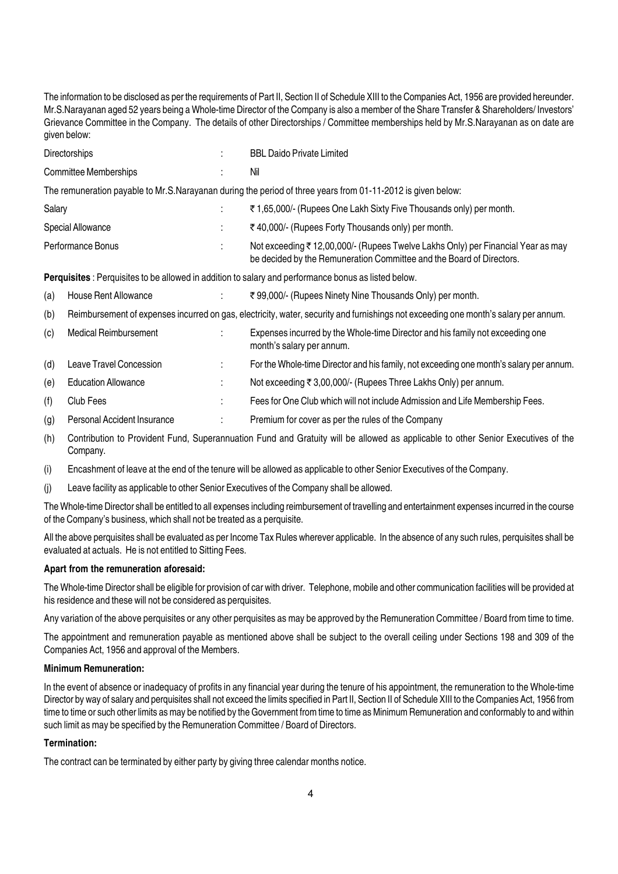The information to be disclosed as per the requirements of Part II, Section II of Schedule XIII to the Companies Act, 1956 are provided hereunder. Mr.S.Narayanan aged 52 years being a Whole-time Director of the Company is also a member of the Share Transfer & Shareholders/ Investors' Grievance Committee in the Company. The details of other Directorships / Committee memberships held by Mr.S.Narayanan as on date are given below:

|        | <b>Directorships</b>         |    | <b>BBL Daido Private Limited</b>                                                                                                                        |
|--------|------------------------------|----|---------------------------------------------------------------------------------------------------------------------------------------------------------|
|        | <b>Committee Memberships</b> |    | Nil                                                                                                                                                     |
|        |                              |    | The remuneration payable to Mr.S.Narayanan during the period of three years from 01-11-2012 is given below:                                             |
| Salary |                              |    | ₹1,65,000/- (Rupees One Lakh Sixty Five Thousands only) per month.                                                                                      |
|        | Special Allowance            | i. | ₹40,000/- (Rupees Forty Thousands only) per month.                                                                                                      |
|        | Performance Bonus            |    | Not exceeding ₹12,00,000/- (Rupees Twelve Lakhs Only) per Financial Year as may<br>be decided by the Remuneration Committee and the Board of Directors. |
|        |                              |    | <b>Perquisites</b> : Perquisites to be allowed in addition to salary and performance bonus as listed below.                                             |
| (a)    | House Rent Allowance         | ÷  | ₹99,000/- (Rupees Ninety Nine Thousands Only) per month.                                                                                                |
| (b)    |                              |    | Reimbursement of expenses incurred on gas, electricity, water, security and furnishings not exceeding one month's salary per annum.                     |
| (c)    | <b>Medical Reimbursement</b> |    | Expenses incurred by the Whole-time Director and his family not exceeding one<br>month's salary per annum.                                              |
| (d)    | Leave Travel Concession      | ٠  | For the Whole-time Director and his family, not exceeding one month's salary per annum.                                                                 |
| (e)    | <b>Education Allowance</b>   | ٠  | Not exceeding ₹ 3,00,000/- (Rupees Three Lakhs Only) per annum.                                                                                         |
| (f)    | Club Fees                    |    | Fees for One Club which will not include Admission and Life Membership Fees.                                                                            |

(g) Personal Accident Insurance : Premium for cover as per the rules of the Company

(h) Contribution to Provident Fund, Superannuation Fund and Gratuity will be allowed as applicable to other Senior Executives of the Company.

(i) Encashment of leave at the end of the tenure will be allowed as applicable to other Senior Executives of the Company.

(j) Leave facility as applicable to other Senior Executives of the Company shall be allowed.

The Whole-time Director shall be entitled to all expenses including reimbursement of travelling and entertainment expenses incurred in the course of the Company's business, which shall not be treated as a perquisite.

All the above perquisites shall be evaluated as per Income Tax Rules wherever applicable. In the absence of any such rules, perquisites shall be evaluated at actuals. He is not entitled to Sitting Fees.

#### Apart from the remuneration aforesaid:

The Whole-time Director shall be eligible for provision of car with driver. Telephone, mobile and other communication facilities will be provided at his residence and these will not be considered as perquisites.

Any variation of the above perquisites or any other perquisites as may be approved by the Remuneration Committee / Board from time to time.

The appointment and remuneration payable as mentioned above shall be subject to the overall ceiling under Sections 198 and 309 of the Companies Act, 1956 and approval of the Members.

#### Minimum Remuneration:

In the event of absence or inadequacy of profits in any financial year during the tenure of his appointment, the remuneration to the Whole-time Director by way of salary and perquisites shall not exceed the limits specified in Part II, Section II of Schedule XIII to the Companies Act, 1956 from time to time or such other limits as may be notified by the Government from time to time as Minimum Remuneration and conformably to and within such limit as may be specified by the Remuneration Committee / Board of Directors.

#### Termination:

The contract can be terminated by either party by giving three calendar months notice.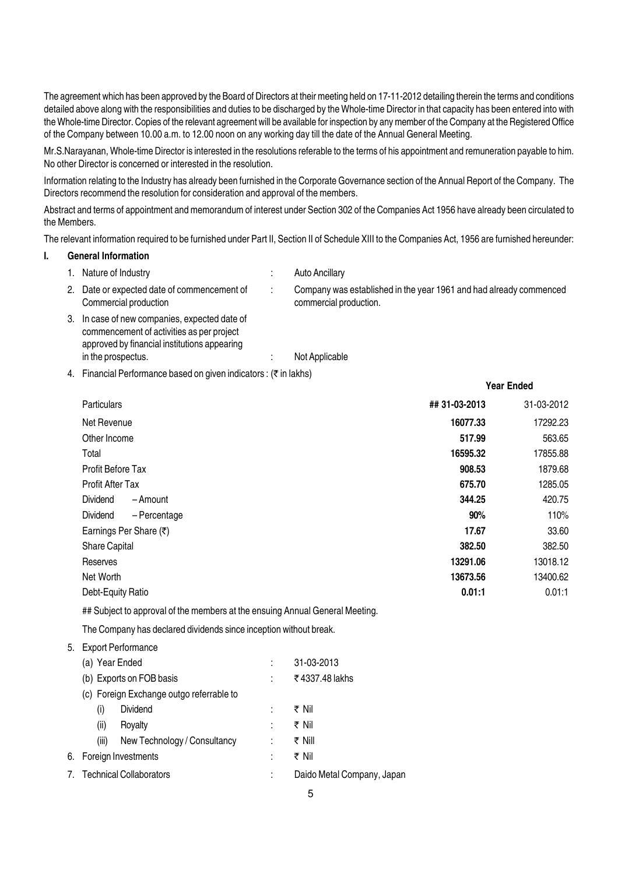The agreement which has been approved by the Board of Directors at their meeting held on 17-11-2012 detailing therein the terms and conditions detailed above along with the responsibilities and duties to be discharged by the Whole-time Director in that capacity has been entered into with the Whole-time Director. Copies of the relevant agreement will be available for inspection by any member of the Company at the Registered Office of the Company between 10.00 a.m. to 12.00 noon on any working day till the date of the Annual General Meeting.

Mr.S.Narayanan, Whole-time Director is interested in the resolutions referable to the terms of his appointment and remuneration payable to him. No other Director is concerned or interested in the resolution.

Information relating to the Industry has already been furnished in the Corporate Governance section of the Annual Report of the Company. The Directors recommend the resolution for consideration and approval of the members.

Abstract and terms of appointment and memorandum of interest under Section 302 of the Companies Act 1956 have already been circulated to the Members.

The relevant information required to be furnished under Part II, Section II of Schedule XIII to the Companies Act, 1956 are furnished hereunder:

#### I. General Information

|    | 1. Nature of Industry                                                                                                                   | Auto Ancillary                                                                               |
|----|-----------------------------------------------------------------------------------------------------------------------------------------|----------------------------------------------------------------------------------------------|
| 2. | Date or expected date of commencement of<br>Commercial production                                                                       | Company was established in the year 1961 and had already commenced<br>commercial production. |
| 3. | In case of new companies, expected date of<br>commencement of activities as per project<br>approved by financial institutions appearing |                                                                                              |
|    | in the prospectus.                                                                                                                      | Not Applicable                                                                               |

4. Financial Performance based on given indicators :  $($ math>\bar{z} in lakhs)

|                                       |               | <b>Year Ended</b> |
|---------------------------------------|---------------|-------------------|
| Particulars                           | ## 31-03-2013 | 31-03-2012        |
| Net Revenue                           | 16077.33      | 17292.23          |
| Other Income                          | 517.99        | 563.65            |
| Total                                 | 16595.32      | 17855.88          |
| <b>Profit Before Tax</b>              | 908.53        | 1879.68           |
| Profit After Tax                      | 675.70        | 1285.05           |
| Dividend<br>- Amount                  | 344.25        | 420.75            |
| Dividend<br>- Percentage              | 90%           | 110%              |
| Earnings Per Share (₹)                | 17.67         | 33.60             |
| <b>Share Capital</b>                  | 382.50        | 382.50            |
| Reserves                              | 13291.06      | 13018.12          |
| Net Worth                             | 13673.56      | 13400.62          |
| Debt-Equity Ratio                     | 0.01:1        | 0.01:1            |
| .<br>$\sim$ $\sim$ $\sim$ $\sim$<br>. |               |                   |

## Subject to approval of the members at the ensuing Annual General Meeting.

The Company has declared dividends since inception without break.

```
5. Export Performance
```

| (a) Year Ended |                                          | 31-03-2013                 |
|----------------|------------------------------------------|----------------------------|
|                | (b) Exports on FOB basis                 | ₹4337.48 lakhs             |
|                | (c) Foreign Exchange outgo referrable to |                            |
| (i)            | <b>Dividend</b>                          | ₹ Nil                      |
| (ii)           | Royalty                                  | ₹ Nil                      |
| (iii)          | New Technology / Consultancy             | ₹ Nill                     |
|                | 6. Foreign Investments                   | ₹ Nil                      |
|                | 7. Technical Collaborators               | Daido Metal Company, Japan |
|                |                                          |                            |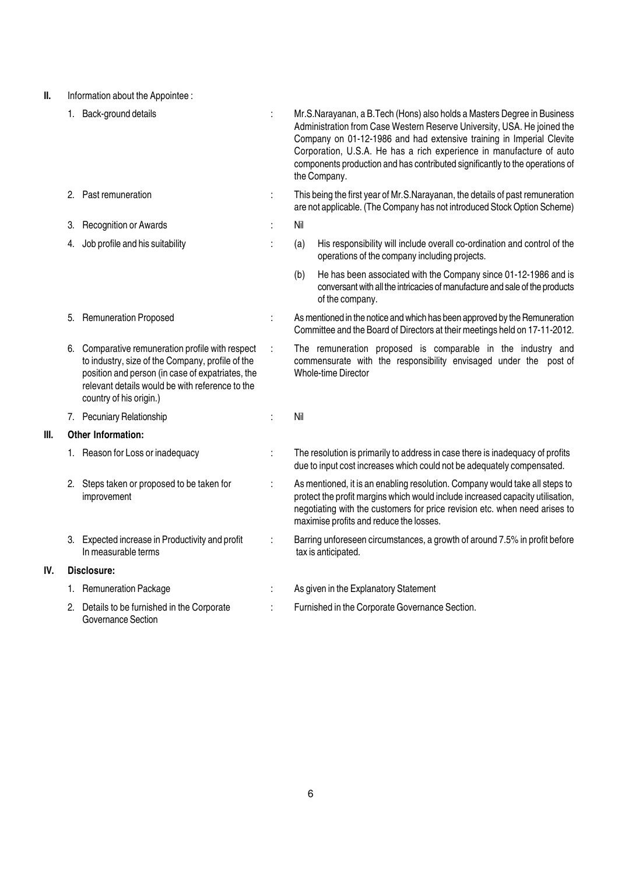II. Information about the Appointee :

|      |    | 1. Back-ground details                                                                                                                                                                                                              | Mr.S.Narayanan, a B.Tech (Hons) also holds a Masters Degree in Business<br>Administration from Case Western Reserve University, USA. He joined the<br>Company on 01-12-1986 and had extensive training in Imperial Clevite<br>Corporation, U.S.A. He has a rich experience in manufacture of auto<br>components production and has contributed significantly to the operations of<br>the Company. |
|------|----|-------------------------------------------------------------------------------------------------------------------------------------------------------------------------------------------------------------------------------------|---------------------------------------------------------------------------------------------------------------------------------------------------------------------------------------------------------------------------------------------------------------------------------------------------------------------------------------------------------------------------------------------------|
|      |    | 2. Past remuneration                                                                                                                                                                                                                | This being the first year of Mr.S.Narayanan, the details of past remuneration<br>are not applicable. (The Company has not introduced Stock Option Scheme)                                                                                                                                                                                                                                         |
|      | 3. | <b>Recognition or Awards</b>                                                                                                                                                                                                        | Nil                                                                                                                                                                                                                                                                                                                                                                                               |
|      | 4. | Job profile and his suitability                                                                                                                                                                                                     | (a)<br>His responsibility will include overall co-ordination and control of the<br>operations of the company including projects.                                                                                                                                                                                                                                                                  |
|      |    |                                                                                                                                                                                                                                     | He has been associated with the Company since 01-12-1986 and is<br>(b)<br>conversant with all the intricacies of manufacture and sale of the products<br>of the company.                                                                                                                                                                                                                          |
|      | 5. | <b>Remuneration Proposed</b>                                                                                                                                                                                                        | As mentioned in the notice and which has been approved by the Remuneration<br>Committee and the Board of Directors at their meetings held on 17-11-2012.                                                                                                                                                                                                                                          |
|      | 6. | Comparative remuneration profile with respect<br>to industry, size of the Company, profile of the<br>position and person (in case of expatriates, the<br>relevant details would be with reference to the<br>country of his origin.) | The remuneration proposed is comparable in the industry and<br>commensurate with the responsibility envisaged under the post of<br>Whole-time Director                                                                                                                                                                                                                                            |
|      |    | 7. Pecuniary Relationship                                                                                                                                                                                                           | Nil                                                                                                                                                                                                                                                                                                                                                                                               |
| III. |    | <b>Other Information:</b>                                                                                                                                                                                                           |                                                                                                                                                                                                                                                                                                                                                                                                   |
|      |    | 1. Reason for Loss or inadequacy                                                                                                                                                                                                    | The resolution is primarily to address in case there is inadequacy of profits<br>due to input cost increases which could not be adequately compensated.                                                                                                                                                                                                                                           |
|      | 2. | Steps taken or proposed to be taken for<br>improvement                                                                                                                                                                              | As mentioned, it is an enabling resolution. Company would take all steps to<br>protect the profit margins which would include increased capacity utilisation,<br>negotiating with the customers for price revision etc. when need arises to<br>maximise profits and reduce the losses.                                                                                                            |
|      | 3. | Expected increase in Productivity and profit<br>In measurable terms                                                                                                                                                                 | Barring unforeseen circumstances, a growth of around 7.5% in profit before<br>tax is anticipated.                                                                                                                                                                                                                                                                                                 |
| IV.  |    | Disclosure:                                                                                                                                                                                                                         |                                                                                                                                                                                                                                                                                                                                                                                                   |
|      |    | 1. Remuneration Package                                                                                                                                                                                                             | As given in the Explanatory Statement                                                                                                                                                                                                                                                                                                                                                             |
|      |    | 2. Details to be furnished in the Corporate<br>Governance Section                                                                                                                                                                   | Furnished in the Corporate Governance Section.                                                                                                                                                                                                                                                                                                                                                    |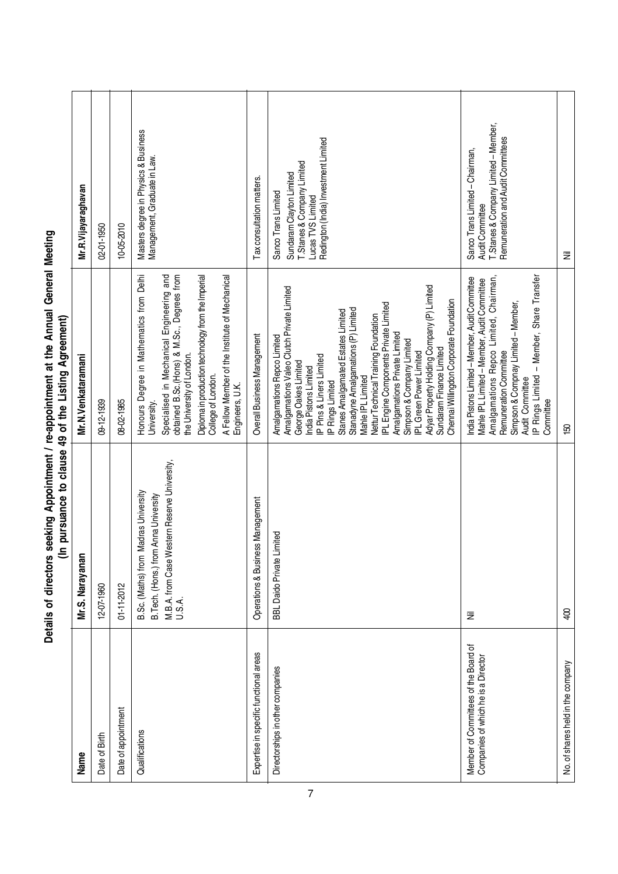| Name                                                                        | Mr.S. Narayanan                                                                                                                            | Mr.N.Venkataramani                                                                                                                                                                                                                                                                                                                                                                                                                                                                                                                                                                | Mr.R.Vijayaraghavan                                                                                                                        |
|-----------------------------------------------------------------------------|--------------------------------------------------------------------------------------------------------------------------------------------|-----------------------------------------------------------------------------------------------------------------------------------------------------------------------------------------------------------------------------------------------------------------------------------------------------------------------------------------------------------------------------------------------------------------------------------------------------------------------------------------------------------------------------------------------------------------------------------|--------------------------------------------------------------------------------------------------------------------------------------------|
| Date of Birth                                                               | 12-07-1960                                                                                                                                 | 09-12-1939                                                                                                                                                                                                                                                                                                                                                                                                                                                                                                                                                                        | 02-01-1950                                                                                                                                 |
| Date of appointment                                                         | 01-11-2012                                                                                                                                 | 08-02-1985                                                                                                                                                                                                                                                                                                                                                                                                                                                                                                                                                                        | 10-05-2010                                                                                                                                 |
| Qualifications                                                              | M.B.A. from Case Western Reserve University,<br>U.S.A.<br>Madras University<br>B. Tech. (Hons.) from Anna University<br>B.Sc. (Maths) from | Honours Degree in Mathematics from Delhi<br>Specialised in Mechanical Engineering and<br>obtained B.Sc.(Hons) & M.Sc., Degrees from<br>Diploma in production technology from the Imperial<br>A Fellow Member of the Institute of Mechanical<br>the University of London.<br>College of London.<br>Engineers, U.K.<br>University.                                                                                                                                                                                                                                                  | Masters degree in Physics & Business<br>Management, Graduate in Law.                                                                       |
| Expertise in specific functional areas                                      | Operations & Business Management                                                                                                           | Overall Business Management                                                                                                                                                                                                                                                                                                                                                                                                                                                                                                                                                       | Tax consultation matters.                                                                                                                  |
| Directorships in other companies                                            | imited<br><b>BBL Daido Private Li</b>                                                                                                      | Adyar Property Holding Company (P) Limited<br>Amalgamations Valeo Clutch Private Limited<br>Chennai Willingdon Corporate Foundation<br>IPL Engine Components Private Limited<br>Stanadyne Amalgamations (P) Limited<br>Stanes Amalgamated Estates Limited<br>Nettur Technical Training Foundation<br>Amalgamations Private Limited<br>Amalgamations Repco Limited<br>Simpson & Company Limited<br>Sundaram Finance Limited<br><b>PL</b> Green Power Limited<br>IP Pins & Liners Limited<br>George Oakes Limited<br>India Pistons Limited<br>Mahle IPL Limited<br>IP Rings Limited | Redington (India) Investment Limited<br>T.Stanes & Company Limited<br>Sundaram Clayton Limited<br>Sanco Trans Limited<br>Lucas TVS Limited |
| Member of Committees of the Board of<br>Companies of which he is a Director | Ξ                                                                                                                                          | IP Rings Limited - Member, Share Transfer<br>Amalgamations Repco Limited, Chairman,<br>India Pistons Limited - Member, Audit Committee<br>Mahle IPL Limited - Member, Audit Committee<br>Simpson & Compnay Limited - Member,<br>Remuneration Committee<br>Audit Committee<br>Committee                                                                                                                                                                                                                                                                                            | T.Stanes & Company Limited - Member,<br>Remuneration and Audit Committees<br>Sanco Trans Limited - Chairman,<br>Audit Committee            |
| No. of shares held in the company                                           | $rac{1}{2}$                                                                                                                                | ខ្មែ                                                                                                                                                                                                                                                                                                                                                                                                                                                                                                                                                                              | Ξ                                                                                                                                          |

# Details of directors seeking Appointment / re-appointment at the Annual General Meeting<br>(In pursuance to clause 49 of the Listing Agreement) Details of directors seeking Appointment / re-appointment at the Annual General Meeting (In pursuance to clause 49 of the Listing Agreement)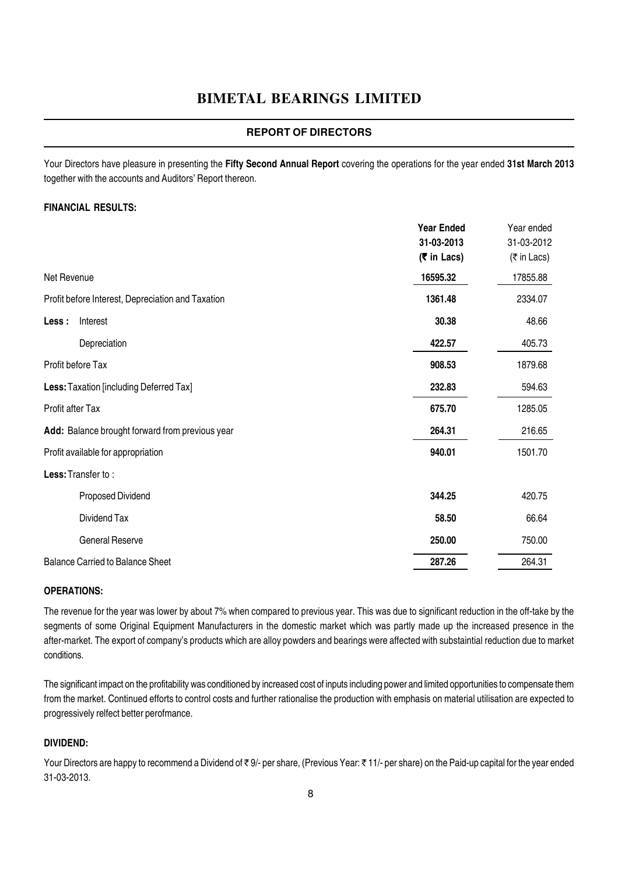#### **REPORT OF DIRECTORS**

Your Directors have pleasure in presenting the Fifty Second Annual Report covering the operations for the year ended 31st March 2013 together with the accounts and Auditors' Report thereon.

#### FINANCIAL RESULTS:

|                                                   | <b>Year Ended</b> | Year ended  |
|---------------------------------------------------|-------------------|-------------|
|                                                   | 31-03-2013        | 31-03-2012  |
|                                                   | (₹ in Lacs)       | (₹ in Lacs) |
| Net Revenue                                       | 16595.32          | 17855.88    |
| Profit before Interest, Depreciation and Taxation | 1361.48           | 2334.07     |
| Less :<br>Interest                                | 30.38             | 48.66       |
| Depreciation                                      | 422.57            | 405.73      |
| Profit before Tax                                 | 908.53            | 1879.68     |
| Less: Taxation [including Deferred Tax]           | 232.83            | 594.63      |
| Profit after Tax                                  | 675.70            | 1285.05     |
| Add: Balance brought forward from previous year   | 264.31            | 216.65      |
| Profit available for appropriation                | 940.01            | 1501.70     |
| Less: Transfer to:                                |                   |             |
| Proposed Dividend                                 | 344.25            | 420.75      |
| Dividend Tax                                      | 58.50             | 66.64       |
| <b>General Reserve</b>                            | 250.00            | 750.00      |
| <b>Balance Carried to Balance Sheet</b>           | 287.26            | 264.31      |

#### OPERATIONS:

The revenue for the year was lower by about 7% when compared to previous year. This was due to significant reduction in the off-take by the segments of some Original Equipment Manufacturers in the domestic market which was partly made up the increased presence in the after-market. The export of company's products which are alloy powders and bearings were affected with substaintial reduction due to market conditions.

The significant impact on the profitability was conditioned by increased cost of inputs including power and limited opportunities to compensate them from the market. Continued efforts to control costs and further rationalise the production with emphasis on material utilisation are expected to progressively relfect better perofmance.

#### DIVIDEND:

Your Directors are happy to recommend a Dividend of ₹9/- per share, (Previous Year: ₹11/- per share) on the Paid-up capital for the year ended 31-03-2013.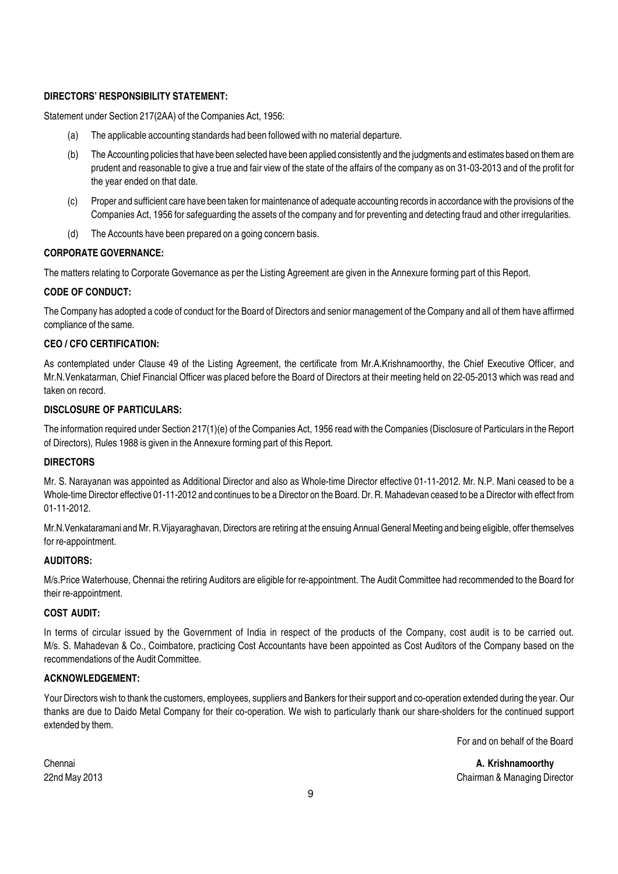#### DIRECTORS' RESPONSIBILITY STATEMENT:

Statement under Section 217(2AA) of the Companies Act, 1956:

- (a) The applicable accounting standards had been followed with no material departure.
- (b) The Accounting policies that have been selected have been applied consistently and the judgments and estimates based on them are prudent and reasonable to give a true and fair view of the state of the affairs of the company as on 31-03-2013 and of the profit for the year ended on that date.
- (c) Proper and sufficient care have been taken for maintenance of adequate accounting records in accordance with the provisions of the Companies Act, 1956 for safeguarding the assets of the company and for preventing and detecting fraud and other irregularities.
- (d) The Accounts have been prepared on a going concern basis.

#### CORPORATE GOVERNANCE:

The matters relating to Corporate Governance as per the Listing Agreement are given in the Annexure forming part of this Report.

#### CODE OF CONDUCT:

The Company has adopted a code of conduct for the Board of Directors and senior management of the Company and all of them have affirmed compliance of the same.

#### CEO / CFO CERTIFICATION:

As contemplated under Clause 49 of the Listing Agreement, the certificate from Mr.A.Krishnamoorthy, the Chief Executive Officer, and Mr.N.Venkatarman, Chief Financial Officer was placed before the Board of Directors at their meeting held on 22-05-2013 which was read and taken on record.

#### DISCLOSURE OF PARTICULARS:

The information required under Section 217(1)(e) of the Companies Act, 1956 read with the Companies (Disclosure of Particulars in the Report of Directors), Rules 1988 is given in the Annexure forming part of this Report.

#### DIRECTORS

Mr. S. Narayanan was appointed as Additional Director and also as Whole-time Director effective 01-11-2012. Mr. N.P. Mani ceased to be a Whole-time Director effective 01-11-2012 and continues to be a Director on the Board. Dr. R. Mahadevan ceased to be a Director with effect from 01-11-2012.

Mr.N.Venkataramani and Mr. R.Vijayaraghavan, Directors are retiring at the ensuing Annual General Meeting and being eligible, offer themselves for re-appointment.

#### AUDITORS:

M/s.Price Waterhouse, Chennai the retiring Auditors are eligible for re-appointment. The Audit Committee had recommended to the Board for their re-appointment.

#### COST AUDIT:

In terms of circular issued by the Government of India in respect of the products of the Company, cost audit is to be carried out. M/s. S. Mahadevan & Co., Coimbatore, practicing Cost Accountants have been appointed as Cost Auditors of the Company based on the recommendations of the Audit Committee.

#### ACKNOWLEDGEMENT:

Your Directors wish to thank the customers, employees, suppliers and Bankers for their support and co-operation extended during the year. Our thanks are due to Daido Metal Company for their co-operation. We wish to particularly thank our share-sholders for the continued support extended by them.

For and on behalf of the Board

Chennai **A. Krishnamoorthy A. Krishnamoorthy A.** Krishnamoorthy 22nd May 2013 Chairman & Managing Director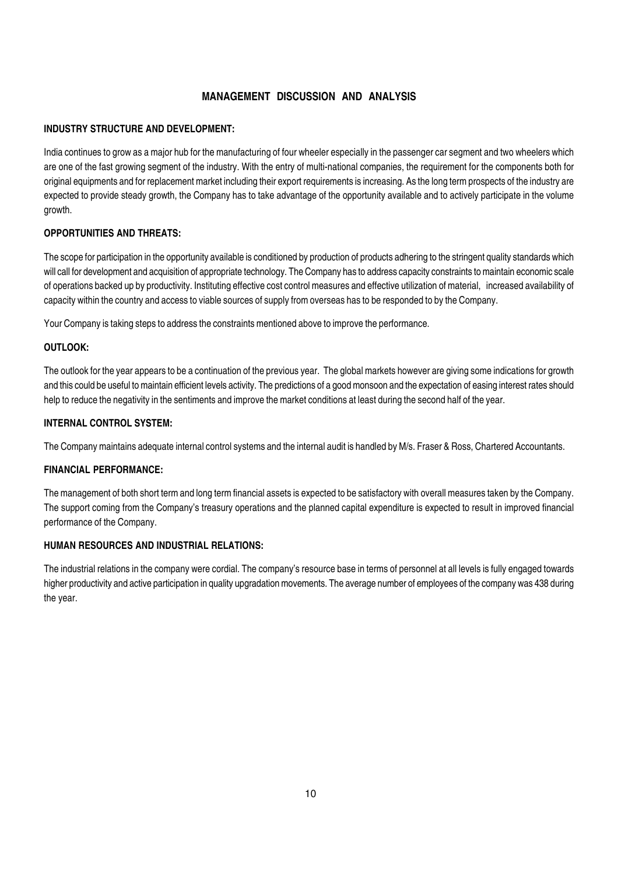#### MANAGEMENT DISCUSSION AND ANALYSIS

#### INDUSTRY STRUCTURE AND DEVELOPMENT:

India continues to grow as a major hub for the manufacturing of four wheeler especially in the passenger car segment and two wheelers which are one of the fast growing segment of the industry. With the entry of multi-national companies, the requirement for the components both for original equipments and for replacement market including their export requirements is increasing. As the long term prospects of the industry are expected to provide steady growth, the Company has to take advantage of the opportunity available and to actively participate in the volume growth.

#### OPPORTUNITIES AND THREATS:

The scope for participation in the opportunity available is conditioned by production of products adhering to the stringent quality standards which will call for development and acquisition of appropriate technology. The Company has to address capacity constraints to maintain economic scale of operations backed up by productivity. Instituting effective cost control measures and effective utilization of material, increased availability of capacity within the country and access to viable sources of supply from overseas has to be responded to by the Company.

Your Company is taking steps to address the constraints mentioned above to improve the performance.

#### OUTLOOK:

The outlook for the year appears to be a continuation of the previous year. The global markets however are giving some indications for growth and this could be useful to maintain efficient levels activity. The predictions of a good monsoon and the expectation of easing interest rates should help to reduce the negativity in the sentiments and improve the market conditions at least during the second half of the year.

#### INTERNAL CONTROL SYSTEM:

The Company maintains adequate internal control systems and the internal audit is handled by M/s. Fraser & Ross, Chartered Accountants.

#### FINANCIAL PERFORMANCE:

The management of both short term and long term financial assets is expected to be satisfactory with overall measures taken by the Company. The support coming from the Company's treasury operations and the planned capital expenditure is expected to result in improved financial performance of the Company.

#### HUMAN RESOURCES AND INDUSTRIAL RELATIONS:

The industrial relations in the company were cordial. The company's resource base in terms of personnel at all levels is fully engaged towards higher productivity and active participation in quality upgradation movements. The average number of employees of the company was 438 during the year.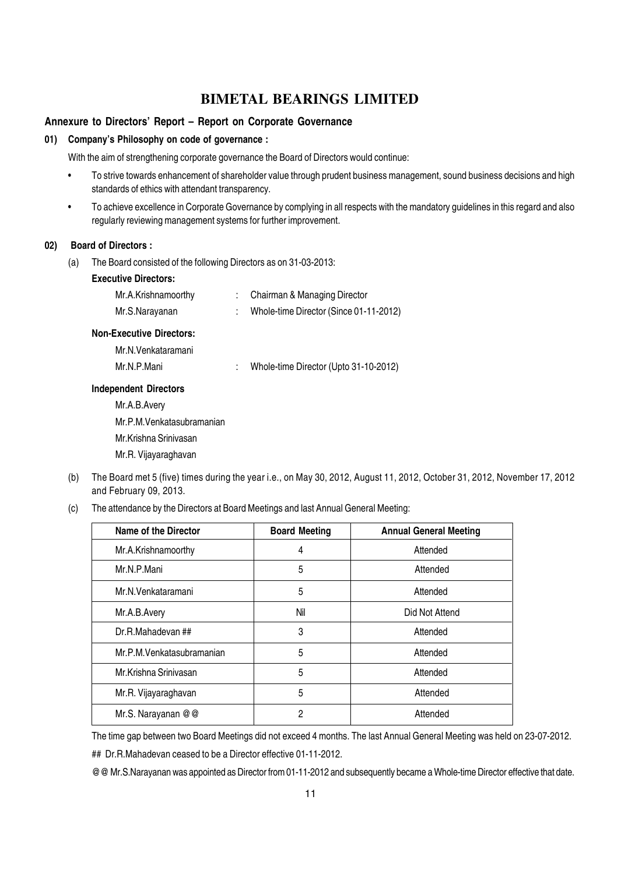#### Annexure to Directors' Report – Report on Corporate Governance

#### 01) Company's Philosophy on code of governance :

With the aim of strengthening corporate governance the Board of Directors would continue:

- To strive towards enhancement of shareholder value through prudent business management, sound business decisions and high standards of ethics with attendant transparency.
- To achieve excellence in Corporate Governance by complying in all respects with the mandatory guidelines in this regard and also regularly reviewing management systems for further improvement.

#### 02) Board of Directors :

(a) The Board consisted of the following Directors as on 31-03-2013:

#### Executive Directors:

| Mr.A.Krishnamoorthy | Chairman & Managing Director           |
|---------------------|----------------------------------------|
| Mr.S.Narayanan      | Whole-time Director (Since 01-11-2012) |

#### Non-Executive Directors:

Mr.N.Venkataramani

Mr.N.P.Mani : Whole-time Director (Upto 31-10-2012)

#### Independent Directors

Mr.A.B.Avery Mr.P.M.Venkatasubramanian Mr.Krishna Srinivasan Mr.R. Vijayaraghavan

- (b) The Board met 5 (five) times during the year i.e., on May 30, 2012, August 11, 2012, October 31, 2012, November 17, 2012 and February 09, 2013.
- (c) The attendance by the Directors at Board Meetings and last Annual General Meeting:

| <b>Name of the Director</b> | <b>Board Meeting</b> | <b>Annual General Meeting</b> |
|-----------------------------|----------------------|-------------------------------|
| Mr.A.Krishnamoorthy         | 4                    | Attended                      |
| Mr.N.P.Mani                 | 5                    | Attended                      |
| Mr.N.Venkataramani          | 5                    | Attended                      |
| Mr.A.B.Avery                | Nil                  | Did Not Attend                |
| Dr.R.Mahadevan ##           | 3                    | Attended                      |
| Mr.P.M. Venkatasubramanian  | 5                    | Attended                      |
| Mr.Krishna Srinivasan       | 5                    | Attended                      |
| Mr.R. Vijayaraghavan        | 5                    | Attended                      |
| Mr.S. Narayanan @ @         | 2                    | Attended                      |

The time gap between two Board Meetings did not exceed 4 months. The last Annual General Meeting was held on 23-07-2012.

## Dr.R.Mahadevan ceased to be a Director effective 01-11-2012.

@@ Mr.S.Narayanan was appointed as Director from 01-11-2012 and subsequently became a Whole-time Director effective that date.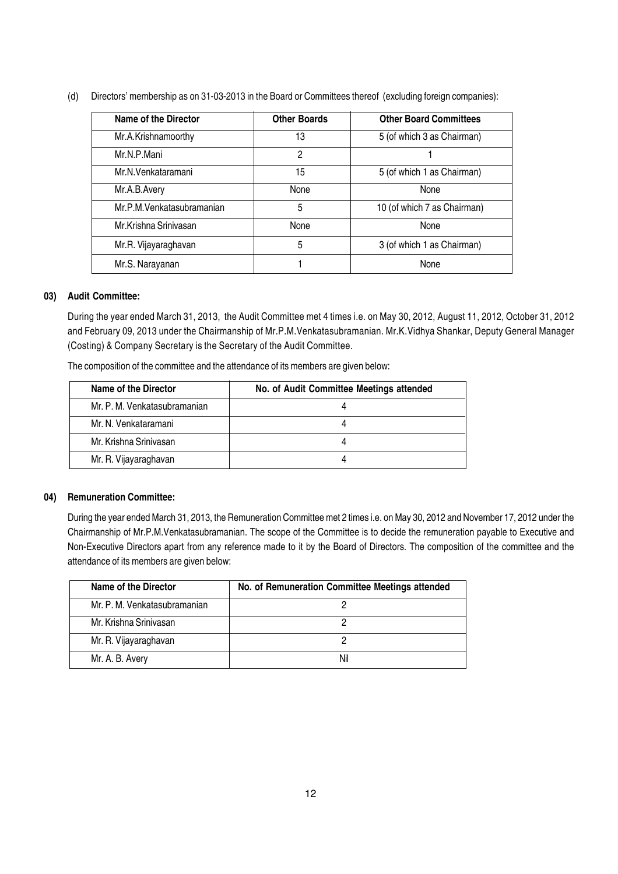(d) Directors' membership as on 31-03-2013 in the Board or Committees thereof (excluding foreign companies):

| Name of the Director       | <b>Other Boards</b> | <b>Other Board Committees</b> |
|----------------------------|---------------------|-------------------------------|
| Mr.A.Krishnamoorthy        | 13                  | 5 (of which 3 as Chairman)    |
| Mr.N.P.Mani                | $\overline{2}$      |                               |
| Mr.N.Venkataramani         | 15                  | 5 (of which 1 as Chairman)    |
| Mr.A.B.Avery               | <b>None</b>         | <b>None</b>                   |
| Mr.P.M. Venkatasubramanian | 5                   | 10 (of which 7 as Chairman)   |
| Mr.Krishna Srinivasan      | <b>None</b>         | None                          |
| Mr.R. Vijayaraghavan       | 5                   | 3 (of which 1 as Chairman)    |
| Mr.S. Narayanan            |                     | None                          |

#### 03) Audit Committee:

During the year ended March 31, 2013, the Audit Committee met 4 times i.e. on May 30, 2012, August 11, 2012, October 31, 2012 and February 09, 2013 under the Chairmanship of Mr.P.M.Venkatasubramanian. Mr.K.Vidhya Shankar, Deputy General Manager (Costing) & Company Secretary is the Secretary of the Audit Committee.

| Name of the Director         | No. of Audit Committee Meetings attended |
|------------------------------|------------------------------------------|
| Mr. P. M. Venkatasubramanian |                                          |
| Mr. N. Venkataramani         |                                          |
| Mr. Krishna Srinivasan       |                                          |
| Mr. R. Vijayaraghavan        |                                          |

The composition of the committee and the attendance of its members are given below:

#### 04) Remuneration Committee:

During the year ended March 31, 2013, the Remuneration Committee met 2 times i.e. on May 30, 2012 and November 17, 2012 under the Chairmanship of Mr.P.M.Venkatasubramanian. The scope of the Committee is to decide the remuneration payable to Executive and Non-Executive Directors apart from any reference made to it by the Board of Directors. The composition of the committee and the attendance of its members are given below:

| Name of the Director         | No. of Remuneration Committee Meetings attended |
|------------------------------|-------------------------------------------------|
| Mr. P. M. Venkatasubramanian |                                                 |
| Mr. Krishna Sriniyasan       |                                                 |
| Mr. R. Vijayaraghavan        |                                                 |
| Mr. A. B. Avery              | Nil                                             |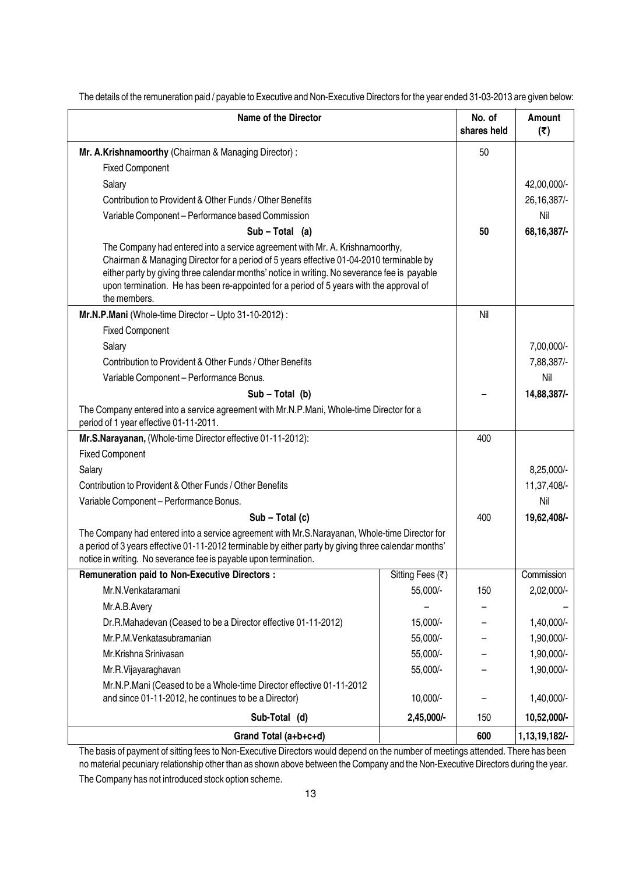| <b>Name of the Director</b>                                                                                                                                                                                                                                               | No. of<br>shares held                                                                                                                                                                                                                                                                                                                                              | Amount<br>(5) |               |  |  |
|---------------------------------------------------------------------------------------------------------------------------------------------------------------------------------------------------------------------------------------------------------------------------|--------------------------------------------------------------------------------------------------------------------------------------------------------------------------------------------------------------------------------------------------------------------------------------------------------------------------------------------------------------------|---------------|---------------|--|--|
| Mr. A.Krishnamoorthy (Chairman & Managing Director):                                                                                                                                                                                                                      | 50                                                                                                                                                                                                                                                                                                                                                                 |               |               |  |  |
| <b>Fixed Component</b>                                                                                                                                                                                                                                                    |                                                                                                                                                                                                                                                                                                                                                                    |               |               |  |  |
| Salary                                                                                                                                                                                                                                                                    |                                                                                                                                                                                                                                                                                                                                                                    | 42,00,000/-   |               |  |  |
| Contribution to Provident & Other Funds / Other Benefits                                                                                                                                                                                                                  |                                                                                                                                                                                                                                                                                                                                                                    |               | 26, 16, 387/- |  |  |
| Variable Component - Performance based Commission                                                                                                                                                                                                                         |                                                                                                                                                                                                                                                                                                                                                                    |               | Nil           |  |  |
| $Sub - Total (a)$                                                                                                                                                                                                                                                         |                                                                                                                                                                                                                                                                                                                                                                    | 50            | 68, 16, 387/- |  |  |
| the members.                                                                                                                                                                                                                                                              | The Company had entered into a service agreement with Mr. A. Krishnamoorthy,<br>Chairman & Managing Director for a period of 5 years effective 01-04-2010 terminable by<br>either party by giving three calendar months' notice in writing. No severance fee is payable<br>upon termination. He has been re-appointed for a period of 5 years with the approval of |               |               |  |  |
| Mr.N.P.Mani (Whole-time Director - Upto 31-10-2012) :                                                                                                                                                                                                                     |                                                                                                                                                                                                                                                                                                                                                                    | Nil           |               |  |  |
| <b>Fixed Component</b>                                                                                                                                                                                                                                                    |                                                                                                                                                                                                                                                                                                                                                                    |               |               |  |  |
| Salary                                                                                                                                                                                                                                                                    |                                                                                                                                                                                                                                                                                                                                                                    |               | 7,00,000/-    |  |  |
| Contribution to Provident & Other Funds / Other Benefits                                                                                                                                                                                                                  |                                                                                                                                                                                                                                                                                                                                                                    |               | 7,88,387/-    |  |  |
| Variable Component - Performance Bonus.                                                                                                                                                                                                                                   |                                                                                                                                                                                                                                                                                                                                                                    |               | Nil           |  |  |
| $Sub - Total (b)$                                                                                                                                                                                                                                                         |                                                                                                                                                                                                                                                                                                                                                                    |               | 14,88,387/-   |  |  |
| The Company entered into a service agreement with Mr.N.P.Mani, Whole-time Director for a<br>period of 1 year effective 01-11-2011.                                                                                                                                        |                                                                                                                                                                                                                                                                                                                                                                    |               |               |  |  |
| Mr.S.Narayanan, (Whole-time Director effective 01-11-2012):                                                                                                                                                                                                               |                                                                                                                                                                                                                                                                                                                                                                    | 400           |               |  |  |
| <b>Fixed Component</b>                                                                                                                                                                                                                                                    |                                                                                                                                                                                                                                                                                                                                                                    |               |               |  |  |
| Salary                                                                                                                                                                                                                                                                    |                                                                                                                                                                                                                                                                                                                                                                    |               | 8,25,000/-    |  |  |
| Contribution to Provident & Other Funds / Other Benefits                                                                                                                                                                                                                  |                                                                                                                                                                                                                                                                                                                                                                    |               | 11,37,408/-   |  |  |
| Variable Component - Performance Bonus.                                                                                                                                                                                                                                   |                                                                                                                                                                                                                                                                                                                                                                    |               | Nil           |  |  |
| $Sub - Total(c)$                                                                                                                                                                                                                                                          |                                                                                                                                                                                                                                                                                                                                                                    | 400           | 19,62,408/-   |  |  |
| The Company had entered into a service agreement with Mr.S.Narayanan, Whole-time Director for<br>a period of 3 years effective 01-11-2012 terminable by either party by giving three calendar months'<br>notice in writing. No severance fee is payable upon termination. |                                                                                                                                                                                                                                                                                                                                                                    |               |               |  |  |
| <b>Remuneration paid to Non-Executive Directors :</b>                                                                                                                                                                                                                     | Sitting Fees (₹)                                                                                                                                                                                                                                                                                                                                                   |               | Commission    |  |  |
| Mr.N.Venkataramani                                                                                                                                                                                                                                                        | 55,000/-                                                                                                                                                                                                                                                                                                                                                           | 150           | 2,02,000/-    |  |  |
| Mr.A.B.Avery                                                                                                                                                                                                                                                              |                                                                                                                                                                                                                                                                                                                                                                    |               |               |  |  |
| Dr.R.Mahadevan (Ceased to be a Director effective 01-11-2012)                                                                                                                                                                                                             |                                                                                                                                                                                                                                                                                                                                                                    | 1,40,000/-    |               |  |  |
| Mr.P.M.Venkatasubramanian                                                                                                                                                                                                                                                 |                                                                                                                                                                                                                                                                                                                                                                    | 1,90,000/-    |               |  |  |
| Mr.Krishna Srinivasan                                                                                                                                                                                                                                                     |                                                                                                                                                                                                                                                                                                                                                                    | 1,90,000/-    |               |  |  |
| Mr.R.Vijayaraghavan                                                                                                                                                                                                                                                       |                                                                                                                                                                                                                                                                                                                                                                    | 1,90,000/-    |               |  |  |
| Mr.N.P.Mani (Ceased to be a Whole-time Director effective 01-11-2012<br>and since 01-11-2012, he continues to be a Director)                                                                                                                                              |                                                                                                                                                                                                                                                                                                                                                                    | 1,40,000/-    |               |  |  |
| Sub-Total (d)                                                                                                                                                                                                                                                             | 150                                                                                                                                                                                                                                                                                                                                                                | 10,52,000/-   |               |  |  |
| Grand Total (a+b+c+d)                                                                                                                                                                                                                                                     |                                                                                                                                                                                                                                                                                                                                                                    | 600           | 1,13,19,182/- |  |  |

The details of the remuneration paid / payable to Executive and Non-Executive Directors for the year ended 31-03-2013 are given below:

The basis of payment of sitting fees to Non-Executive Directors would depend on the number of meetings attended. There has been no material pecuniary relationship other than as shown above between the Company and the Non-Executive Directors during the year.

The Company has not introduced stock option scheme.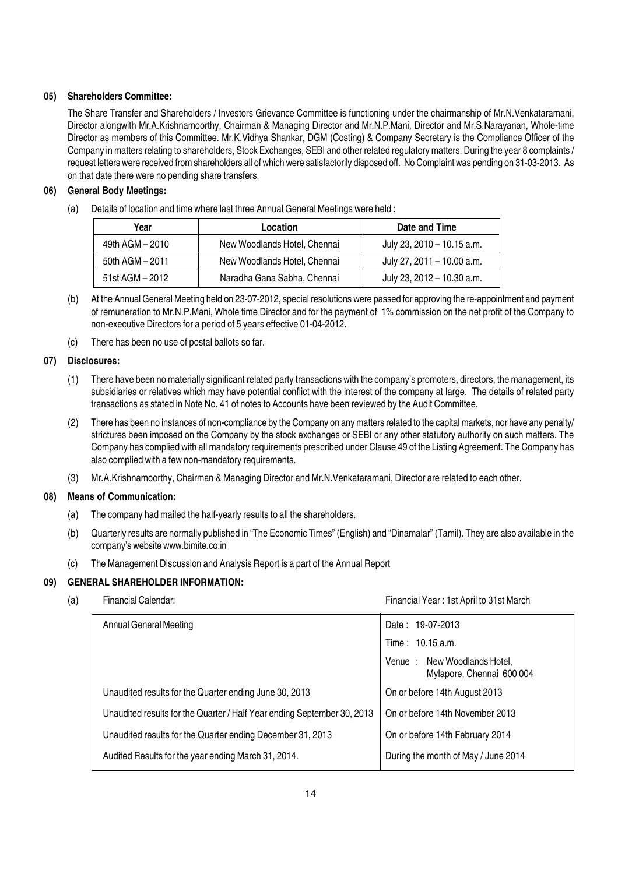#### 05) Shareholders Committee:

The Share Transfer and Shareholders / Investors Grievance Committee is functioning under the chairmanship of Mr.N.Venkataramani, Director alongwith Mr.A.Krishnamoorthy, Chairman & Managing Director and Mr.N.P.Mani, Director and Mr.S.Narayanan, Whole-time Director as members of this Committee. Mr.K.Vidhya Shankar, DGM (Costing) & Company Secretary is the Compliance Officer of the Company in matters relating to shareholders, Stock Exchanges, SEBI and other related regulatory matters. During the year 8 complaints / request letters were received from shareholders all of which were satisfactorily disposed off. No Complaint was pending on 31-03-2013. As on that date there were no pending share transfers.

#### 06) General Body Meetings:

(a) Details of location and time where last three Annual General Meetings were held :

| Year            | Location                     | Date and Time              |
|-----------------|------------------------------|----------------------------|
| 49th AGM - 2010 | New Woodlands Hotel, Chennai | July 23, 2010 – 10.15 a.m. |
| 50th AGM - 2011 | New Woodlands Hotel, Chennai | July 27, 2011 - 10.00 a.m. |
| 51st AGM - 2012 | Naradha Gana Sabha, Chennai  | July 23, 2012 - 10.30 a.m. |

- (b) At the Annual General Meeting held on 23-07-2012, special resolutions were passed for approving the re-appointment and payment of remuneration to Mr.N.P.Mani, Whole time Director and for the payment of 1% commission on the net profit of the Company to non-executive Directors for a period of 5 years effective 01-04-2012.
- (c) There has been no use of postal ballots so far.

#### 07) Disclosures:

- (1) There have been no materially significant related party transactions with the company's promoters, directors, the management, its subsidiaries or relatives which may have potential conflict with the interest of the company at large. The details of related party transactions as stated in Note No. 41 of notes to Accounts have been reviewed by the Audit Committee.
- (2) There has been no instances of non-compliance by the Company on any matters related to the capital markets, nor have any penalty/ strictures been imposed on the Company by the stock exchanges or SEBI or any other statutory authority on such matters. The Company has complied with all mandatory requirements prescribed under Clause 49 of the Listing Agreement. The Company has also complied with a few non-mandatory requirements.
- (3) Mr.A.Krishnamoorthy, Chairman & Managing Director and Mr.N.Venkataramani, Director are related to each other.

#### 08) Means of Communication:

- (a) The company had mailed the half-yearly results to all the shareholders.
- (b) Quarterly results are normally published in "The Economic Times" (English) and "Dinamalar" (Tamil). They are also available in the company's website www.bimite.co.in
- (c) The Management Discussion and Analysis Report is a part of the Annual Report

#### 09) GENERAL SHAREHOLDER INFORMATION:

(a) Financial Calendar: Financial Year : 1st April to 31st March

| <b>Annual General Meeting</b>                                           | Date: 19-07-2013                                         |
|-------------------------------------------------------------------------|----------------------------------------------------------|
|                                                                         | Time: 10.15 a.m.                                         |
|                                                                         | Venue: New Woodlands Hotel,<br>Mylapore, Chennai 600 004 |
| Unaudited results for the Quarter ending June 30, 2013                  | On or before 14th August 2013                            |
| Unaudited results for the Quarter / Half Year ending September 30, 2013 | On or before 14th November 2013                          |
| Unaudited results for the Quarter ending December 31, 2013              | On or before 14th February 2014                          |
| Audited Results for the year ending March 31, 2014.                     | During the month of May / June 2014                      |
|                                                                         |                                                          |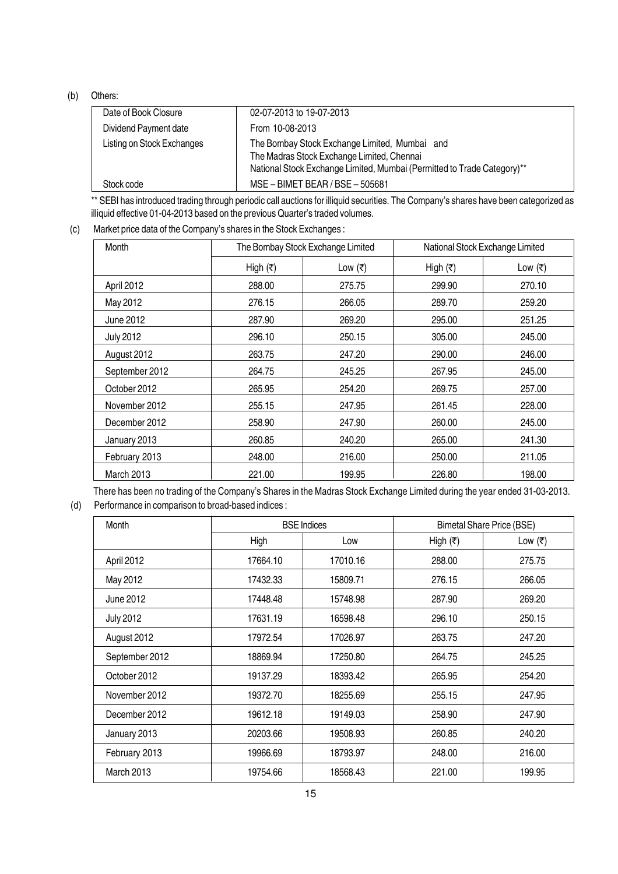#### (b) Others:

| Date of Book Closure       | 02-07-2013 to 19-07-2013                                                                                                                                               |
|----------------------------|------------------------------------------------------------------------------------------------------------------------------------------------------------------------|
| Dividend Payment date      | From 10-08-2013                                                                                                                                                        |
| Listing on Stock Exchanges | The Bombay Stock Exchange Limited, Mumbai and<br>The Madras Stock Exchange Limited, Chennai<br>National Stock Exchange Limited, Mumbai (Permitted to Trade Category)** |
| Stock code                 | MSE - BIMET BEAR / BSE - 505681                                                                                                                                        |

\*\* SEBI has introduced trading through periodic call auctions for illiquid securities. The Company's shares have been categorized as illiquid effective 01-04-2013 based on the previous Quarter's traded volumes.

#### (c) Market price data of the Company's shares in the Stock Exchanges :

| Month            | The Bombay Stock Exchange Limited |         | National Stock Exchange Limited |         |
|------------------|-----------------------------------|---------|---------------------------------|---------|
|                  | High $(₹)$                        | Low (₹) | High $(₹)$                      | Low (₹) |
| April 2012       | 288.00                            | 275.75  | 299.90                          | 270.10  |
| May 2012         | 276.15                            | 266.05  | 289.70                          | 259.20  |
| June 2012        | 287.90                            | 269.20  | 295.00                          | 251.25  |
| <b>July 2012</b> | 296.10                            | 250.15  | 305.00                          | 245.00  |
| August 2012      | 263.75                            | 247.20  | 290.00                          | 246.00  |
| September 2012   | 264.75                            | 245.25  | 267.95                          | 245.00  |
| October 2012     | 265.95                            | 254.20  | 269.75                          | 257.00  |
| November 2012    | 255.15                            | 247.95  | 261.45                          | 228,00  |
| December 2012    | 258.90                            | 247.90  | 260.00                          | 245.00  |
| January 2013     | 260.85                            | 240.20  | 265.00                          | 241.30  |
| February 2013    | 248.00                            | 216.00  | 250.00                          | 211.05  |
| March 2013       | 221.00                            | 199.95  | 226.80                          | 198.00  |

There has been no trading of the Company's Shares in the Madras Stock Exchange Limited during the year ended 31-03-2013. (d) Performance in comparison to broad-based indices :

| Month            | <b>BSE</b> Indices |          |                     | <b>Bimetal Share Price (BSE)</b> |
|------------------|--------------------|----------|---------------------|----------------------------------|
|                  | High               | Low      | High $(\bar{\tau})$ | Low (₹)                          |
| April 2012       | 17664.10           | 17010.16 | 288.00              | 275.75                           |
| May 2012         | 17432.33           | 15809.71 | 276.15              | 266.05                           |
| June 2012        | 17448.48           | 15748.98 | 287.90              | 269.20                           |
| <b>July 2012</b> | 17631.19           | 16598.48 | 296.10              | 250.15                           |
| August 2012      | 17972.54           | 17026.97 | 263.75              | 247.20                           |
| September 2012   | 18869.94           | 17250.80 | 264.75              | 245.25                           |
| October 2012     | 19137.29           | 18393.42 | 265.95              | 254.20                           |
| November 2012    | 19372.70           | 18255.69 | 255.15              | 247.95                           |
| December 2012    | 19612.18           | 19149.03 | 258.90              | 247.90                           |
| January 2013     | 20203.66           | 19508.93 | 260.85              | 240.20                           |
| February 2013    | 19966.69           | 18793.97 | 248.00              | 216.00                           |
| March 2013       | 19754.66           | 18568.43 | 221.00              | 199.95                           |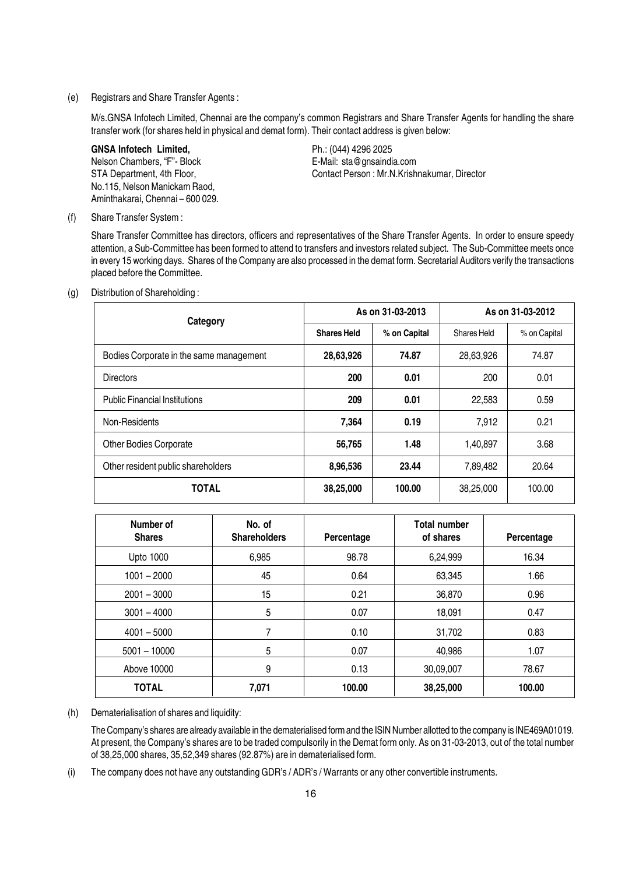(e) Registrars and Share Transfer Agents :

M/s.GNSA Infotech Limited, Chennai are the company's common Registrars and Share Transfer Agents for handling the share transfer work (for shares held in physical and demat form). Their contact address is given below:

GNSA Infotech Limited, The Contract Contract Ph.: (044) 4296 2025 Nelson Chambers, "F"- Block E-Mail: sta@gnsaindia.com No.115, Nelson Manickam Raod, Aminthakarai, Chennai – 600 029.

STA Department, 4th Floor, STA Department, 4th Floor, Contact Person : Mr.N.Krishnakumar, Director

(f) Share Transfer System :

Share Transfer Committee has directors, officers and representatives of the Share Transfer Agents. In order to ensure speedy attention, a Sub-Committee has been formed to attend to transfers and investors related subject. The Sub-Committee meets once in every 15 working days. Shares of the Company are also processed in the demat form. Secretarial Auditors verify the transactions placed before the Committee.

(g) Distribution of Shareholding :

| Category                                | As on 31-03-2013   |              | As on 31-03-2012 |              |
|-----------------------------------------|--------------------|--------------|------------------|--------------|
|                                         | <b>Shares Held</b> | % on Capital | Shares Held      | % on Capital |
| Bodies Corporate in the same management | 28,63,926          | 74.87        | 28,63,926        | 74.87        |
| <b>Directors</b>                        | 200                | 0.01         | 200              | 0.01         |
| <b>Public Financial Institutions</b>    | 209                | 0.01         | 22,583           | 0.59         |
| Non-Residents                           | 7,364              | 0.19         | 7,912            | 0.21         |
| <b>Other Bodies Corporate</b>           | 56,765             | 1.48         | 1,40,897         | 3.68         |
| Other resident public shareholders      | 8,96,536           | 23.44        | 7,89,482         | 20.64        |
| <b>TOTAL</b>                            | 38,25,000          | 100.00       | 38,25,000        | 100.00       |

| Number of<br><b>Shares</b> | No. of<br><b>Shareholders</b> | Percentage | <b>Total number</b><br>of shares | Percentage |
|----------------------------|-------------------------------|------------|----------------------------------|------------|
| <b>Upto 1000</b>           | 6,985                         | 98.78      | 6,24,999                         | 16.34      |
| $1001 - 2000$              | 45                            | 0.64       | 63,345                           | 1.66       |
| $2001 - 3000$              | 15                            | 0.21       | 36,870                           | 0.96       |
| $3001 - 4000$              | 5                             | 0.07       | 18,091                           | 0.47       |
| $4001 - 5000$              | 7                             | 0.10       | 31,702                           | 0.83       |
| $5001 - 10000$             | 5                             | 0.07       | 40,986                           | 1.07       |
| Above 10000                | 9                             | 0.13       | 30,09,007                        | 78.67      |
| <b>TOTAL</b>               | 7,071                         | 100.00     | 38,25,000                        | 100.00     |

(h) Dematerialisation of shares and liquidity:

The Company's shares are already available in the dematerialised form and the ISIN Number allotted to the company is INE469A01019. At present, the Company's shares are to be traded compulsorily in the Demat form only. As on 31-03-2013, out of the total number of 38,25,000 shares, 35,52,349 shares (92.87%) are in dematerialised form.

(i) The company does not have any outstanding GDR's / ADR's / Warrants or any other convertible instruments.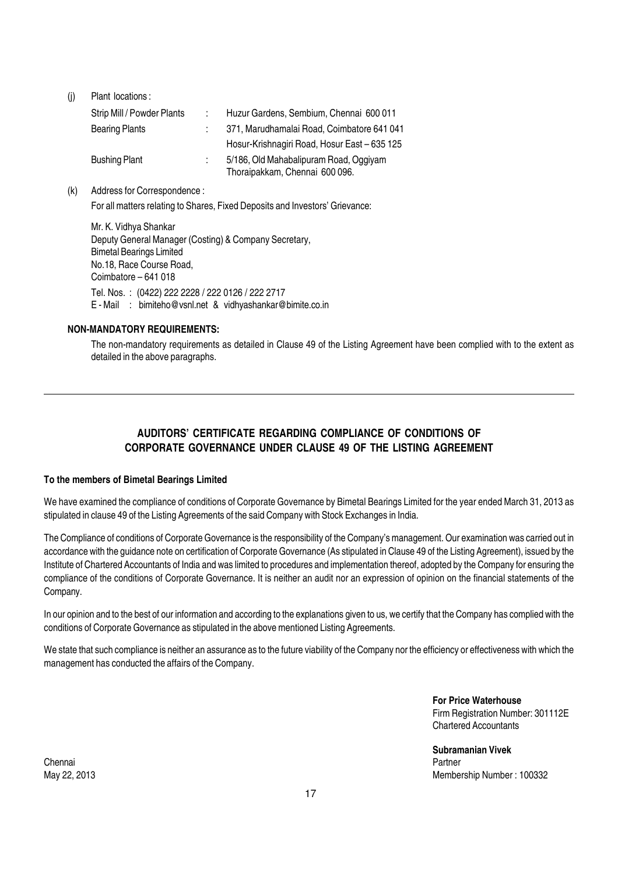| (i) | Plant locations:           |                                              |
|-----|----------------------------|----------------------------------------------|
|     | Strip Mill / Powder Plants | Huzur Gardens, Sembium, Chennai 600 011      |
|     | <b>Bearing Plants</b>      | 371, Marudhamalai Road, Coimbatore 641 041   |
|     |                            | Hosur-Krishnagiri Road, Hosur East - 635 125 |
|     | <b>Bushing Plant</b>       | 5/186, Old Mahabalipuram Road, Oggiyam       |
|     |                            | Thoraipakkam, Chennai 600 096.               |

(k) Address for Correspondence :

For all matters relating to Shares, Fixed Deposits and Investors' Grievance:

Mr. K. Vidhya Shankar Deputy General Manager (Costing) & Company Secretary, Bimetal Bearings Limited No.18, Race Course Road, Coimbatore – 641 018 Tel. Nos. : (0422) 222 2228 / 222 0126 / 222 2717 E - Mail : bimiteho@vsnl.net & vidhyashankar@bimite.co.in

#### NON-MANDATORY REQUIREMENTS:

The non-mandatory requirements as detailed in Clause 49 of the Listing Agreement have been complied with to the extent as detailed in the above paragraphs.

#### AUDITORS' CERTIFICATE REGARDING COMPLIANCE OF CONDITIONS OF CORPORATE GOVERNANCE UNDER CLAUSE 49 OF THE LISTING AGREEMENT

#### To the members of Bimetal Bearings Limited

We have examined the compliance of conditions of Corporate Governance by Bimetal Bearings Limited for the year ended March 31, 2013 as stipulated in clause 49 of the Listing Agreements of the said Company with Stock Exchanges in India.

The Compliance of conditions of Corporate Governance is the responsibility of the Company's management. Our examination was carried out in accordance with the guidance note on certification of Corporate Governance (As stipulated in Clause 49 of the Listing Agreement), issued by the Institute of Chartered Accountants of India and was limited to procedures and implementation thereof, adopted by the Company for ensuring the compliance of the conditions of Corporate Governance. It is neither an audit nor an expression of opinion on the financial statements of the Company.

In our opinion and to the best of our information and according to the explanations given to us, we certify that the Company has complied with the conditions of Corporate Governance as stipulated in the above mentioned Listing Agreements.

We state that such compliance is neither an assurance as to the future viability of the Company nor the efficiency or effectiveness with which the management has conducted the affairs of the Company.

> For Price Waterhouse Firm Registration Number: 301112E Chartered Accountants

Subramanian Vivek May 22, 2013 Membership Number : 100332

Chennai Partner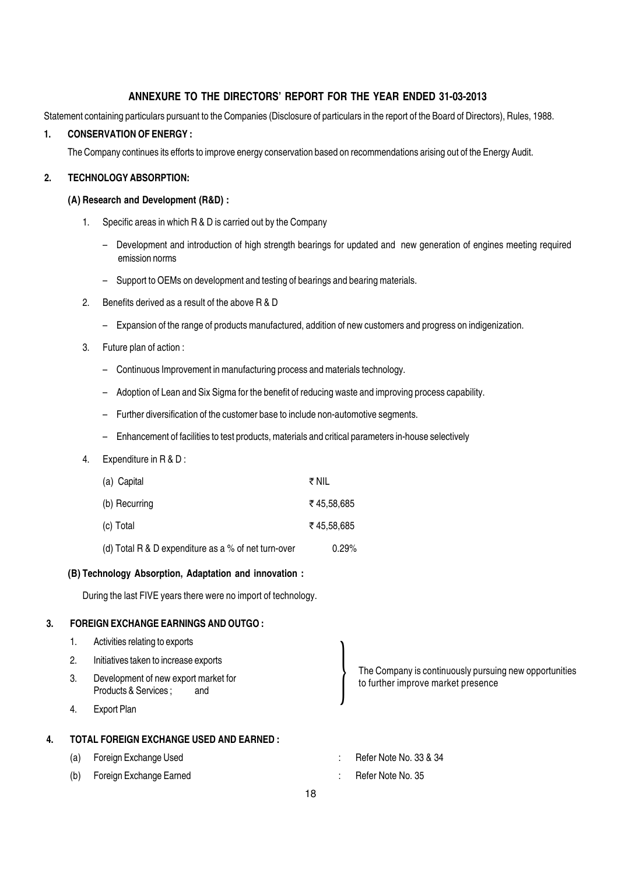#### ANNEXURE TO THE DIRECTORS' REPORT FOR THE YEAR ENDED 31-03-2013

Statement containing particulars pursuant to the Companies (Disclosure of particulars in the report of the Board of Directors), Rules, 1988.

#### 1. CONSERVATION OF ENERGY :

The Company continues its efforts to improve energy conservation based on recommendations arising out of the Energy Audit.

#### 2. TECHNOLOGY ABSORPTION:

#### (A) Research and Development (R&D) :

- 1. Specific areas in which R & D is carried out by the Company
	- Development and introduction of high strength bearings for updated and new generation of engines meeting required emission norms
	- Support to OEMs on development and testing of bearings and bearing materials.
- 2. Benefits derived as a result of the above R & D
	- Expansion of the range of products manufactured, addition of new customers and progress on indigenization.
- 3. Future plan of action :
	- Continuous Improvement in manufacturing process and materials technology.
	- Adoption of Lean and Six Sigma for the benefit of reducing waste and improving process capability.
	- Further diversification of the customer base to include non-automotive segments.
	- Enhancement of facilities to test products, materials and critical parameters in-house selectively

#### 4. Expenditure in R & D :

| (a) Capital                                         | ₹NIL       |
|-----------------------------------------------------|------------|
| (b) Recurring                                       | ₹45.58.685 |
| (c) Total                                           | ₹45.58.685 |
| (d) Total R & D expenditure as a % of net turn-over | 0.29%      |

#### (B) Technology Absorption, Adaptation and innovation :

During the last FIVE years there were no import of technology.

#### 3. FOREIGN EXCHANGE EARNINGS AND OUTGO :

- 1. Activities relating to exports
- 2. Initiatives taken to increase exports
- 3. Development of new export market for Products & Services : and
- 4. Export Plan

#### 4. TOTAL FOREIGN EXCHANGE USED AND EARNED :

- (a) Foreign Exchange Used  $\blacksquare$  : Refer Note No. 33 & 34
- (b) Foreign Exchange Earned The Contract Contract Contract Contract Contract Contract Contract Contract Contract Contract Contract Contract Contract Contract Contract Contract Contract Contract Contract Contract Contract C
- The Company is continuously pursuing new opportunities to further improve market presence
- -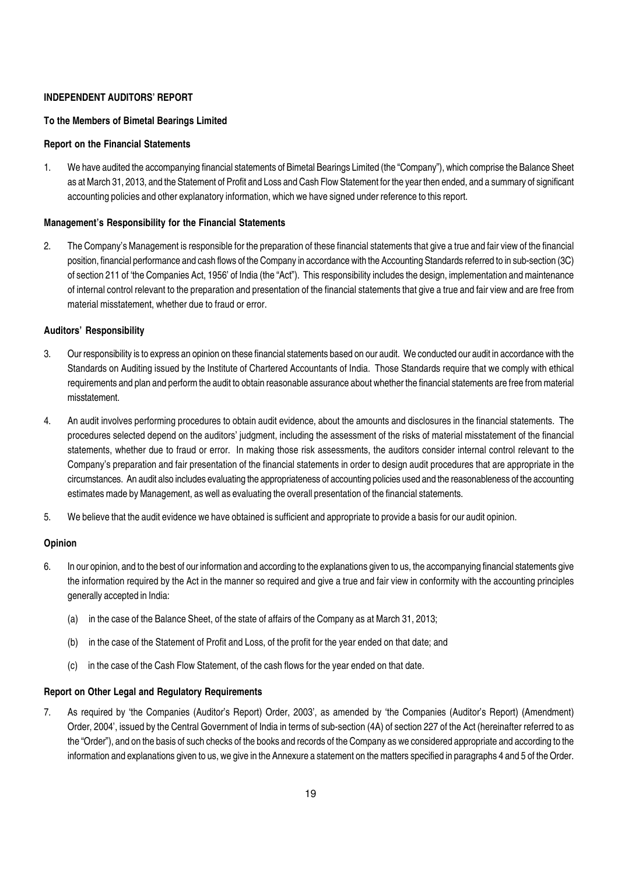#### INDEPENDENT AUDITORS' REPORT

#### To the Members of Bimetal Bearings Limited

#### Report on the Financial Statements

1. We have audited the accompanying financial statements of Bimetal Bearings Limited (the "Company"), which comprise the Balance Sheet as at March 31, 2013, and the Statement of Profit and Loss and Cash Flow Statement for the year then ended, and a summary of significant accounting policies and other explanatory information, which we have signed under reference to this report.

#### Management's Responsibility for the Financial Statements

2. The Company's Management is responsible for the preparation of these financial statements that give a true and fair view of the financial position, financial performance and cash flows of the Company in accordance with the Accounting Standards referred to in sub-section (3C) of section 211 of 'the Companies Act, 1956' of India (the "Act"). This responsibility includes the design, implementation and maintenance of internal control relevant to the preparation and presentation of the financial statements that give a true and fair view and are free from material misstatement, whether due to fraud or error.

#### Auditors' Responsibility

- 3. Our responsibility is to express an opinion on these financial statements based on our audit. We conducted our audit in accordance with the Standards on Auditing issued by the Institute of Chartered Accountants of India. Those Standards require that we comply with ethical requirements and plan and perform the audit to obtain reasonable assurance about whether the financial statements are free from material misstatement.
- 4. An audit involves performing procedures to obtain audit evidence, about the amounts and disclosures in the financial statements. The procedures selected depend on the auditors' judgment, including the assessment of the risks of material misstatement of the financial statements, whether due to fraud or error. In making those risk assessments, the auditors consider internal control relevant to the Company's preparation and fair presentation of the financial statements in order to design audit procedures that are appropriate in the circumstances. An audit also includes evaluating the appropriateness of accounting policies used and the reasonableness of the accounting estimates made by Management, as well as evaluating the overall presentation of the financial statements.
- 5. We believe that the audit evidence we have obtained is sufficient and appropriate to provide a basis for our audit opinion.

#### Opinion

- 6. In our opinion, and to the best of our information and according to the explanations given to us, the accompanying financial statements give the information required by the Act in the manner so required and give a true and fair view in conformity with the accounting principles generally accepted in India:
	- (a) in the case of the Balance Sheet, of the state of affairs of the Company as at March 31, 2013;
	- (b) in the case of the Statement of Profit and Loss, of the profit for the year ended on that date; and
	- (c) in the case of the Cash Flow Statement, of the cash flows for the year ended on that date.

#### Report on Other Legal and Regulatory Requirements

7. As required by 'the Companies (Auditor's Report) Order, 2003', as amended by 'the Companies (Auditor's Report) (Amendment) Order, 2004', issued by the Central Government of India in terms of sub-section (4A) of section 227 of the Act (hereinafter referred to as the "Order"), and on the basis of such checks of the books and records of the Company as we considered appropriate and according to the information and explanations given to us, we give in the Annexure a statement on the matters specified in paragraphs 4 and 5 of the Order.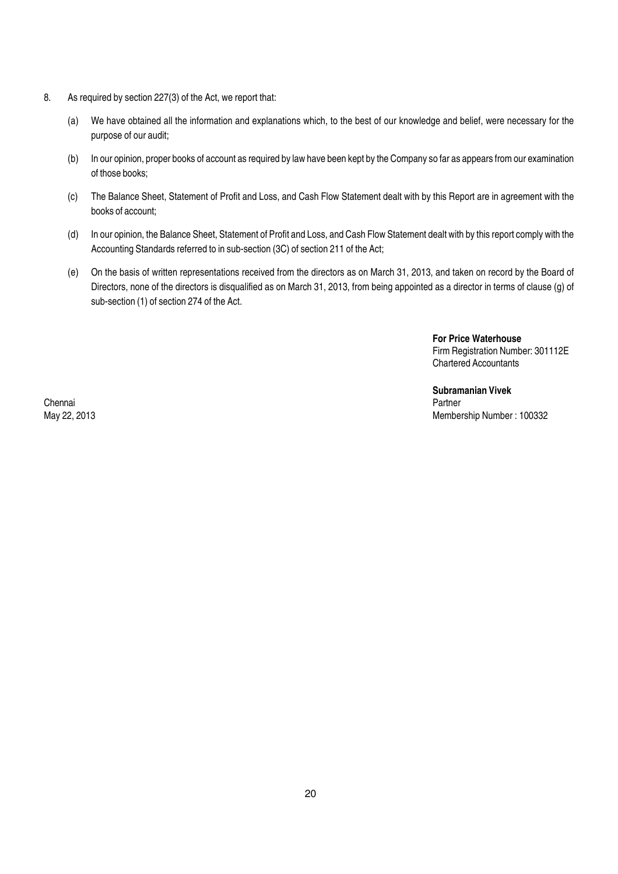- 8. As required by section 227(3) of the Act, we report that:
	- (a) We have obtained all the information and explanations which, to the best of our knowledge and belief, were necessary for the purpose of our audit;
	- (b) In our opinion, proper books of account as required by law have been kept by the Company so far as appears from our examination of those books;
	- (c) The Balance Sheet, Statement of Profit and Loss, and Cash Flow Statement dealt with by this Report are in agreement with the books of account;
	- (d) In our opinion, the Balance Sheet, Statement of Profit and Loss, and Cash Flow Statement dealt with by this report comply with the Accounting Standards referred to in sub-section (3C) of section 211 of the Act;
	- (e) On the basis of written representations received from the directors as on March 31, 2013, and taken on record by the Board of Directors, none of the directors is disqualified as on March 31, 2013, from being appointed as a director in terms of clause (g) of sub-section (1) of section 274 of the Act.

For Price Waterhouse Firm Registration Number: 301112E Chartered Accountants

Subramanian Vivek<br>Partner May 22, 2013 Membership Number : 100332

Chennai Partner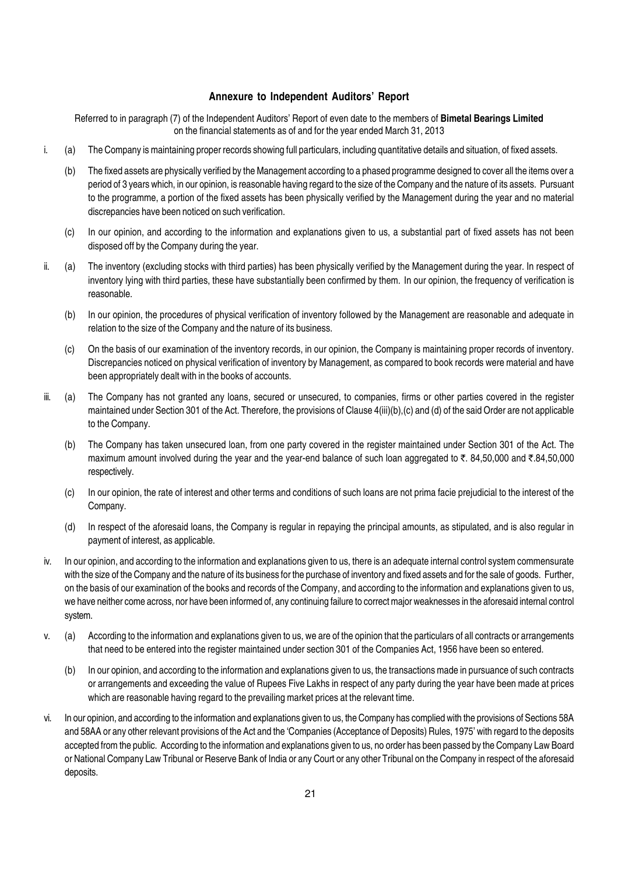#### Annexure to Independent Auditors' Report

Referred to in paragraph (7) of the Independent Auditors' Report of even date to the members of **Bimetal Bearings Limited** on the financial statements as of and for the year ended March 31, 2013

- i. (a) The Company is maintaining proper records showing full particulars, including quantitative details and situation, of fixed assets.
	- (b) The fixed assets are physically verified by the Management according to a phased programme designed to cover all the items over a period of 3 years which, in our opinion, is reasonable having regard to the size of the Company and the nature of its assets. Pursuant to the programme, a portion of the fixed assets has been physically verified by the Management during the year and no material discrepancies have been noticed on such verification.
	- (c) In our opinion, and according to the information and explanations given to us, a substantial part of fixed assets has not been disposed off by the Company during the year.
- ii. (a) The inventory (excluding stocks with third parties) has been physically verified by the Management during the year. In respect of inventory lying with third parties, these have substantially been confirmed by them. In our opinion, the frequency of verification is reasonable.
	- (b) In our opinion, the procedures of physical verification of inventory followed by the Management are reasonable and adequate in relation to the size of the Company and the nature of its business.
	- (c) On the basis of our examination of the inventory records, in our opinion, the Company is maintaining proper records of inventory. Discrepancies noticed on physical verification of inventory by Management, as compared to book records were material and have been appropriately dealt with in the books of accounts.
- iii. (a) The Company has not granted any loans, secured or unsecured, to companies, firms or other parties covered in the register maintained under Section 301 of the Act. Therefore, the provisions of Clause 4(iii)(b),(c) and (d) of the said Order are not applicable to the Company.
	- (b) The Company has taken unsecured loan, from one party covered in the register maintained under Section 301 of the Act. The maximum amount involved during the year and the year-end balance of such loan aggregated to  $\bar{\tau}$ . 84,50,000 and  $\bar{\tau}$ .84,50,000 respectively.
	- (c) In our opinion, the rate of interest and other terms and conditions of such loans are not prima facie prejudicial to the interest of the Company.
	- (d) In respect of the aforesaid loans, the Company is regular in repaying the principal amounts, as stipulated, and is also regular in payment of interest, as applicable.
- iv. In our opinion, and according to the information and explanations given to us, there is an adequate internal control system commensurate with the size of the Company and the nature of its business for the purchase of inventory and fixed assets and for the sale of goods. Further, on the basis of our examination of the books and records of the Company, and according to the information and explanations given to us, we have neither come across, nor have been informed of, any continuing failure to correct major weaknesses in the aforesaid internal control system.
- v. (a) According to the information and explanations given to us, we are of the opinion that the particulars of all contracts or arrangements that need to be entered into the register maintained under section 301 of the Companies Act, 1956 have been so entered.
	- (b) In our opinion, and according to the information and explanations given to us, the transactions made in pursuance of such contracts or arrangements and exceeding the value of Rupees Five Lakhs in respect of any party during the year have been made at prices which are reasonable having regard to the prevailing market prices at the relevant time.
- vi. In our opinion, and according to the information and explanations given to us, the Company has complied with the provisions of Sections 58A and 58AA or any other relevant provisions of the Act and the 'Companies (Acceptance of Deposits) Rules, 1975' with regard to the deposits accepted from the public. According to the information and explanations given to us, no order has been passed by the Company Law Board or National Company Law Tribunal or Reserve Bank of India or any Court or any other Tribunal on the Company in respect of the aforesaid deposits.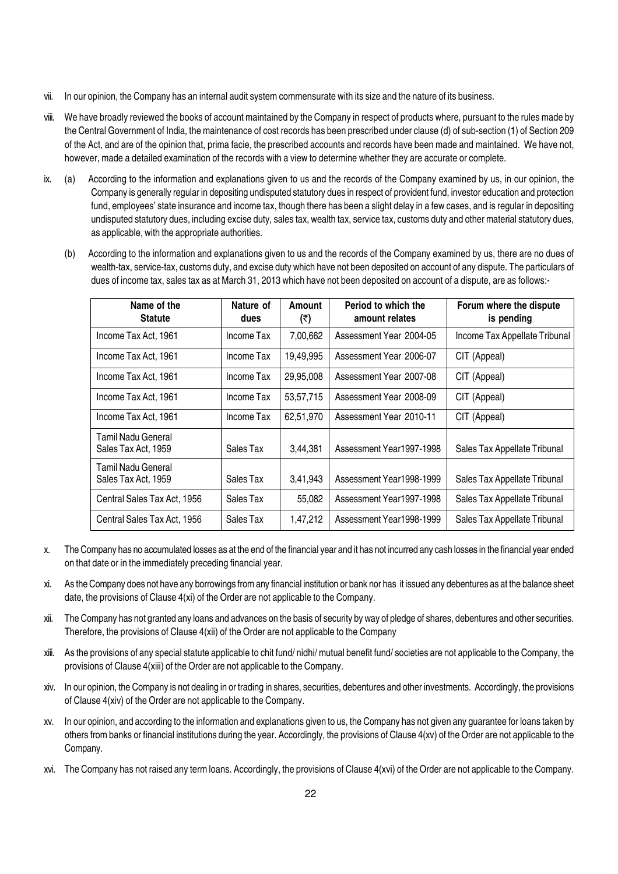- vii. In our opinion, the Company has an internal audit system commensurate with its size and the nature of its business.
- viii. We have broadly reviewed the books of account maintained by the Company in respect of products where, pursuant to the rules made by the Central Government of India, the maintenance of cost records has been prescribed under clause (d) of sub-section (1) of Section 209 of the Act, and are of the opinion that, prima facie, the prescribed accounts and records have been made and maintained. We have not, however, made a detailed examination of the records with a view to determine whether they are accurate or complete.
- ix. (a) According to the information and explanations given to us and the records of the Company examined by us, in our opinion, the Company is generally regular in depositing undisputed statutory dues in respect of provident fund, investor education and protection fund, employees' state insurance and income tax, though there has been a slight delay in a few cases, and is regular in depositing undisputed statutory dues, including excise duty, sales tax, wealth tax, service tax, customs duty and other material statutory dues, as applicable, with the appropriate authorities.
	- (b) According to the information and explanations given to us and the records of the Company examined by us, there are no dues of wealth-tax, service-tax, customs duty, and excise duty which have not been deposited on account of any dispute. The particulars of dues of income tax, sales tax as at March 31, 2013 which have not been deposited on account of a dispute, are as follows:-

| Name of the<br><b>Statute</b>             | Nature of<br>dues | Amount<br>(₹) | Period to which the<br>amount relates | Forum where the dispute<br>is pending |
|-------------------------------------------|-------------------|---------------|---------------------------------------|---------------------------------------|
| Income Tax Act, 1961                      | Income Tax        | 7,00,662      | Assessment Year 2004-05               | Income Tax Appellate Tribunal         |
| Income Tax Act, 1961                      | Income Tax        | 19,49,995     | Assessment Year 2006-07               | CIT (Appeal)                          |
| Income Tax Act, 1961                      | Income Tax        | 29,95,008     | Assessment Year 2007-08               | CIT (Appeal)                          |
| Income Tax Act, 1961                      | Income Tax        | 53,57,715     | Assessment Year 2008-09               | CIT (Appeal)                          |
| Income Tax Act, 1961                      | Income Tax        | 62,51,970     | Assessment Year 2010-11               | CIT (Appeal)                          |
| Tamil Nadu General<br>Sales Tax Act, 1959 | Sales Tax         | 3,44,381      | Assessment Year1997-1998              | Sales Tax Appellate Tribunal          |
| Tamil Nadu General<br>Sales Tax Act, 1959 | Sales Tax         | 3,41,943      | Assessment Year1998-1999              | Sales Tax Appellate Tribunal          |
| Central Sales Tax Act, 1956               | Sales Tax         | 55.082        | Assessment Year1997-1998              | Sales Tax Appellate Tribunal          |
| Central Sales Tax Act, 1956               | Sales Tax         | 1,47,212      | Assessment Year1998-1999              | Sales Tax Appellate Tribunal          |

- x. The Company has no accumulated losses as at the end of the financial year and it has not incurred any cash losses in the financial year ended on that date or in the immediately preceding financial year.
- xi. As the Company does not have any borrowings from any financial institution or bank nor has it issued any debentures as at the balance sheet date, the provisions of Clause 4(xi) of the Order are not applicable to the Company.
- xii. The Company has not granted any loans and advances on the basis of security by way of pledge of shares, debentures and other securities. Therefore, the provisions of Clause 4(xii) of the Order are not applicable to the Company
- xiii. As the provisions of any special statute applicable to chit fund/ nidhi/ mutual benefit fund/ societies are not applicable to the Company, the provisions of Clause 4(xiii) of the Order are not applicable to the Company.
- xiv. In our opinion, the Company is not dealing in or trading in shares, securities, debentures and other investments. Accordingly, the provisions of Clause 4(xiv) of the Order are not applicable to the Company.
- xv. In our opinion, and according to the information and explanations given to us, the Company has not given any guarantee for loans taken by others from banks or financial institutions during the year. Accordingly, the provisions of Clause 4(xv) of the Order are not applicable to the Company.
- xvi. The Company has not raised any term loans. Accordingly, the provisions of Clause 4(xvi) of the Order are not applicable to the Company.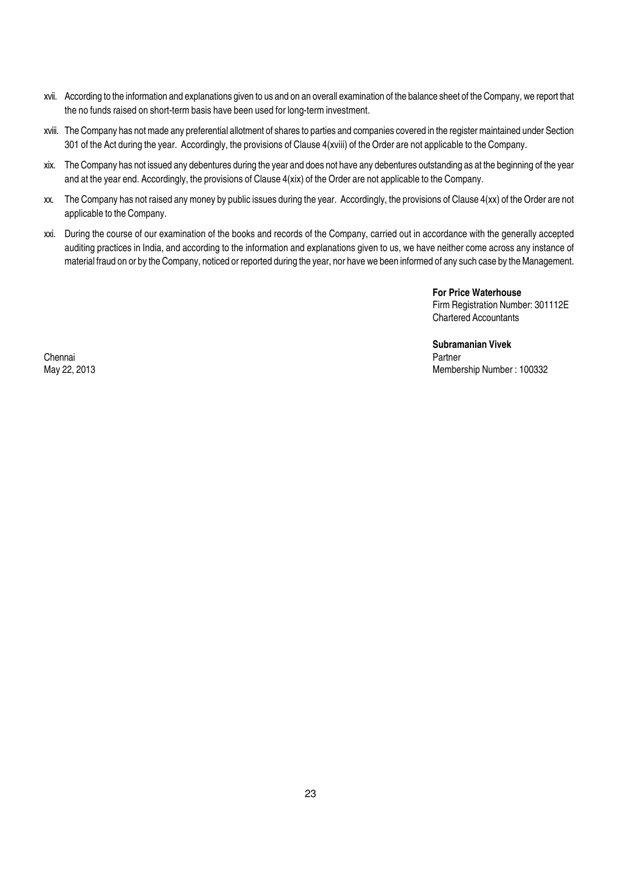- xvii. According to the information and explanations given to us and on an overall examination of the balance sheet of the Company, we report that the no funds raised on short-term basis have been used for long-term investment.
- xviii. The Company has not made any preferential allotment of shares to parties and companies covered in the register maintained under Section 301 of the Act during the year. Accordingly, the provisions of Clause 4(xviii) of the Order are not applicable to the Company.
- xix. The Company has not issued any debentures during the year and does not have any debentures outstanding as at the beginning of the year and at the year end. Accordingly, the provisions of Clause 4(xix) of the Order are not applicable to the Company.
- xx. The Company has not raised any money by public issues during the year. Accordingly, the provisions of Clause 4(xx) of the Order are not applicable to the Company.
- xxi. During the course of our examination of the books and records of the Company, carried out in accordance with the generally accepted auditing practices in India, and according to the information and explanations given to us, we have neither come across any instance of material fraud on or by the Company, noticed or reported during the year, nor have we been informed of any such case by the Management.

For Price Waterhouse Firm Registration Number: 301112E Chartered Accountants

Subramanian Vivek May 22, 2013 Membership Number : 100332

Chennai Partner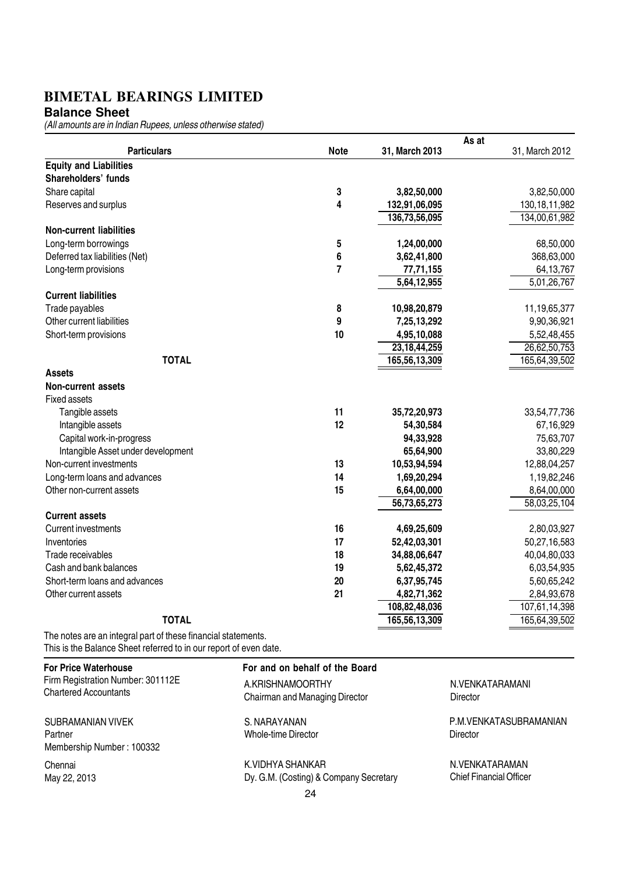**Balance Sheet**

(All amounts are in Indian Rupees, unless otherwise stated)

|                                                              |                | As at           |                  |
|--------------------------------------------------------------|----------------|-----------------|------------------|
| <b>Particulars</b>                                           | <b>Note</b>    | 31, March 2013  | 31, March 2012   |
| <b>Equity and Liabilities</b>                                |                |                 |                  |
| Shareholders' funds                                          |                |                 |                  |
| Share capital                                                | 3              | 3,82,50,000     | 3,82,50,000      |
| Reserves and surplus                                         | 4              | 132,91,06,095   | 130, 18, 11, 982 |
|                                                              |                | 136,73,56,095   | 134,00,61,982    |
| <b>Non-current liabilities</b>                               |                |                 |                  |
| Long-term borrowings                                         | 5              | 1,24,00,000     | 68,50,000        |
| Deferred tax liabilities (Net)                               | 6              | 3,62,41,800     | 368,63,000       |
| Long-term provisions                                         | $\overline{7}$ | 77,71,155       | 64,13,767        |
|                                                              |                | 5,64,12,955     | 5,01,26,767      |
| <b>Current liabilities</b>                                   |                |                 |                  |
| Trade payables                                               | 8              | 10,98,20,879    | 11,19,65,377     |
| Other current liabilities                                    | 9              | 7,25,13,292     | 9,90,36,921      |
| Short-term provisions                                        | 10             | 4,95,10,088     | 5,52,48,455      |
|                                                              |                | 23, 18, 44, 259 | 26,62,50,753     |
| <b>TOTAL</b>                                                 |                | 165,56,13,309   | 165,64,39,502    |
| <b>Assets</b>                                                |                |                 |                  |
| <b>Non-current assets</b>                                    |                |                 |                  |
| <b>Fixed assets</b>                                          |                |                 |                  |
| Tangible assets                                              | 11             | 35,72,20,973    | 33,54,77,736     |
| Intangible assets                                            | 12             | 54,30,584       | 67,16,929        |
| Capital work-in-progress                                     |                | 94,33,928       | 75,63,707        |
| Intangible Asset under development                           |                | 65,64,900       | 33,80,229        |
| Non-current investments                                      | 13             | 10,53,94,594    | 12,88,04,257     |
| Long-term loans and advances                                 | 14             | 1,69,20,294     | 1,19,82,246      |
| Other non-current assets                                     | 15             | 6,64,00,000     | 8,64,00,000      |
|                                                              |                | 56,73,65,273    | 58,03,25,104     |
| <b>Current assets</b>                                        |                |                 |                  |
| <b>Current investments</b>                                   | 16             | 4,69,25,609     | 2,80,03,927      |
| Inventories                                                  | 17             | 52,42,03,301    | 50,27,16,583     |
| Trade receivables                                            | 18             | 34,88,06,647    | 40,04,80,033     |
| Cash and bank balances                                       | 19             | 5,62,45,372     | 6,03,54,935      |
| Short-term loans and advances                                | 20             | 6,37,95,745     | 5,60,65,242      |
| Other current assets                                         | 21             | 4,82,71,362     | 2,84,93,678      |
|                                                              |                | 108,82,48,036   | 107,61,14,398    |
| <b>TOTAL</b>                                                 |                | 165,56,13,309   | 165,64,39,502    |
| The notes are an integral part of these financial statements |                |                 |                  |

The notes are an integral part of these financial statements. This is the Balance Sheet referred to in our report of even date.

| <b>For Price Waterhouse</b>                                       | For and on behalf of the Board                                   |                                                  |
|-------------------------------------------------------------------|------------------------------------------------------------------|--------------------------------------------------|
| Firm Registration Number: 301112E<br><b>Chartered Accountants</b> | A.KRISHNAMOORTHY<br>Chairman and Managing Director               | N.VENKATARAMANI<br><b>Director</b>               |
| SUBRAMANIAN VIVEK<br>Partner<br>Membership Number: 100332         | S. NARAYANAN<br>Whole-time Director                              | P.M.VENKATASUBRAMANIAN<br>Director               |
| Chennai<br>May 22, 2013                                           | K.VIDHYA SHANKAR<br>Dy. G.M. (Costing) & Company Secretary<br>24 | N.VENKATARAMAN<br><b>Chief Financial Officer</b> |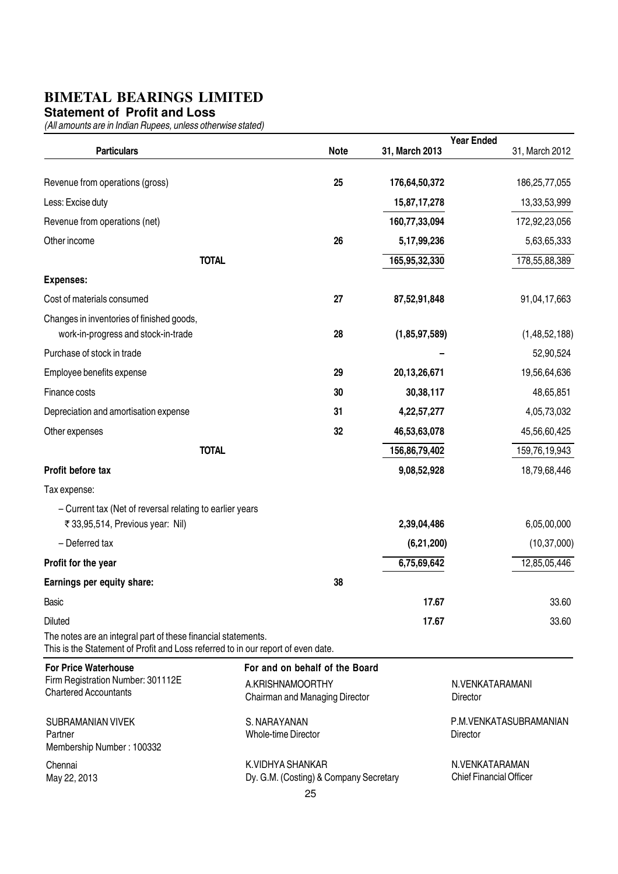#### **Statement of Profit and Loss**

|                                                                                                                                                   |                                                                                      |                 | <b>Year Ended</b>                                |                        |
|---------------------------------------------------------------------------------------------------------------------------------------------------|--------------------------------------------------------------------------------------|-----------------|--------------------------------------------------|------------------------|
| <b>Particulars</b>                                                                                                                                | <b>Note</b>                                                                          | 31, March 2013  |                                                  | 31, March 2012         |
| Revenue from operations (gross)                                                                                                                   | 25                                                                                   | 176,64,50,372   |                                                  | 186,25,77,055          |
| Less: Excise duty                                                                                                                                 |                                                                                      | 15,87,17,278    |                                                  | 13,33,53,999           |
| Revenue from operations (net)                                                                                                                     |                                                                                      | 160,77,33,094   |                                                  | 172,92,23,056          |
| Other income                                                                                                                                      | 26                                                                                   | 5,17,99,236     |                                                  | 5,63,65,333            |
| <b>TOTAL</b>                                                                                                                                      |                                                                                      | 165,95,32,330   |                                                  | 178,55,88,389          |
| <b>Expenses:</b>                                                                                                                                  |                                                                                      |                 |                                                  |                        |
| Cost of materials consumed                                                                                                                        | 27                                                                                   | 87,52,91,848    |                                                  | 91,04,17,663           |
| Changes in inventories of finished goods,<br>work-in-progress and stock-in-trade                                                                  | 28                                                                                   | (1,85,97,589)   |                                                  | (1,48,52,188)          |
| Purchase of stock in trade                                                                                                                        |                                                                                      |                 |                                                  | 52,90,524              |
| Employee benefits expense                                                                                                                         | 29                                                                                   | 20, 13, 26, 671 |                                                  | 19,56,64,636           |
| Finance costs                                                                                                                                     | 30                                                                                   | 30,38,117       |                                                  | 48,65,851              |
| Depreciation and amortisation expense                                                                                                             | 31                                                                                   | 4,22,57,277     |                                                  | 4,05,73,032            |
| Other expenses                                                                                                                                    | 32                                                                                   | 46,53,63,078    |                                                  | 45,56,60,425           |
| <b>TOTAL</b>                                                                                                                                      |                                                                                      | 156,86,79,402   |                                                  | 159,76,19,943          |
| Profit before tax                                                                                                                                 |                                                                                      | 9,08,52,928     |                                                  | 18,79,68,446           |
| Tax expense:                                                                                                                                      |                                                                                      |                 |                                                  |                        |
| - Current tax (Net of reversal relating to earlier years                                                                                          |                                                                                      |                 |                                                  |                        |
| ₹ 33,95,514, Previous year: Nil)                                                                                                                  |                                                                                      | 2,39,04,486     |                                                  | 6,05,00,000            |
| - Deferred tax                                                                                                                                    |                                                                                      | (6,21,200)      |                                                  | (10, 37, 000)          |
| Profit for the year                                                                                                                               |                                                                                      | 6,75,69,642     |                                                  | 12,85,05,446           |
| Earnings per equity share:                                                                                                                        | 38                                                                                   |                 |                                                  |                        |
| Basic                                                                                                                                             |                                                                                      | 17.67           |                                                  | 33.60                  |
| <b>Diluted</b>                                                                                                                                    |                                                                                      | 17.67           |                                                  | 33.60                  |
| The notes are an integral part of these financial statements.<br>This is the Statement of Profit and Loss referred to in our report of even date. |                                                                                      |                 |                                                  |                        |
| <b>For Price Waterhouse</b><br>Firm Registration Number: 301112E<br><b>Chartered Accountants</b>                                                  | For and on behalf of the Board<br>A.KRISHNAMOORTHY<br>Chairman and Managing Director |                 | N.VENKATARAMANI<br><b>Director</b>               |                        |
| <b>SUBRAMANIAN VIVEK</b><br>Partner<br>Membership Number: 100332                                                                                  | S. NARAYANAN<br><b>Whole-time Director</b>                                           |                 | <b>Director</b>                                  | P.M.VENKATASUBRAMANIAN |
| Chennai<br>May 22, 2013                                                                                                                           | K.VIDHYA SHANKAR<br>Dy. G.M. (Costing) & Company Secretary<br>25                     |                 | N.VENKATARAMAN<br><b>Chief Financial Officer</b> |                        |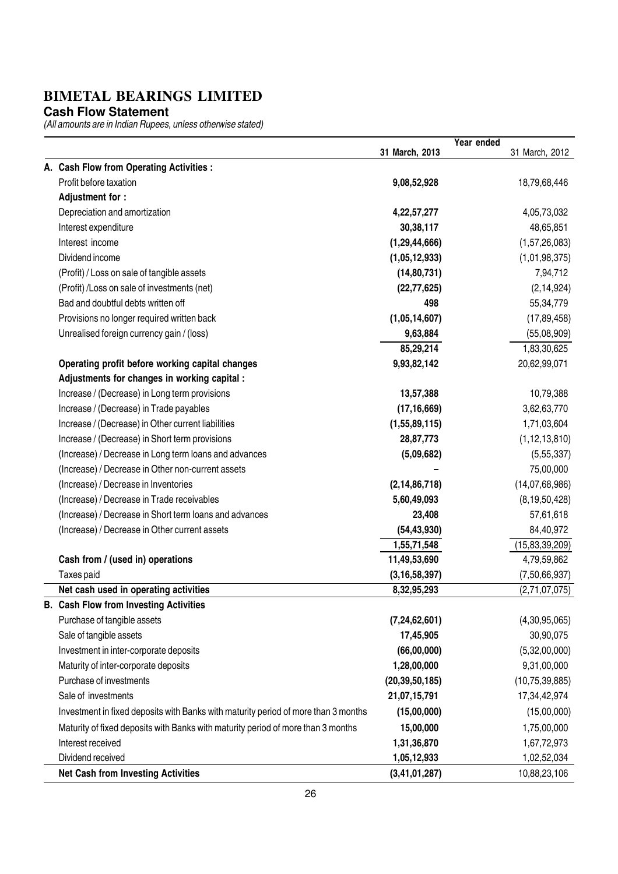**Cash Flow Statement**

|                                                                                    |                   | Year ended |                   |
|------------------------------------------------------------------------------------|-------------------|------------|-------------------|
|                                                                                    | 31 March, 2013    |            | 31 March, 2012    |
| A. Cash Flow from Operating Activities :                                           |                   |            |                   |
| Profit before taxation                                                             | 9,08,52,928       |            | 18,79,68,446      |
| Adjustment for :                                                                   |                   |            |                   |
| Depreciation and amortization                                                      | 4,22,57,277       |            | 4,05,73,032       |
| Interest expenditure                                                               | 30,38,117         |            | 48,65,851         |
| Interest income                                                                    | (1, 29, 44, 666)  |            | (1,57,26,083)     |
| Dividend income                                                                    | (1,05,12,933)     |            | (1,01,98,375)     |
| (Profit) / Loss on sale of tangible assets                                         | (14, 80, 731)     |            | 7,94,712          |
| (Profit) /Loss on sale of investments (net)                                        | (22, 77, 625)     |            | (2, 14, 924)      |
| Bad and doubtful debts written off                                                 | 498               |            | 55,34,779         |
| Provisions no longer required written back                                         | (1,05,14,607)     |            | (17, 89, 458)     |
| Unrealised foreign currency gain / (loss)                                          | 9,63,884          |            | (55,08,909)       |
|                                                                                    | 85,29,214         |            | 1,83,30,625       |
| Operating profit before working capital changes                                    | 9,93,82,142       |            | 20,62,99,071      |
| Adjustments for changes in working capital :                                       |                   |            |                   |
| Increase / (Decrease) in Long term provisions                                      | 13,57,388         |            | 10,79,388         |
| Increase / (Decrease) in Trade payables                                            | (17, 16, 669)     |            | 3,62,63,770       |
| Increase / (Decrease) in Other current liabilities                                 | (1,55,89,115)     |            | 1,71,03,604       |
| Increase / (Decrease) in Short term provisions                                     | 28,87,773         |            | (1, 12, 13, 810)  |
| (Increase) / Decrease in Long term loans and advances                              | (5,09,682)        |            | (5,55,337)        |
| (Increase) / Decrease in Other non-current assets                                  |                   |            | 75,00,000         |
| (Increase) / Decrease in Inventories                                               | (2, 14, 86, 718)  |            | (14,07,68,986)    |
| (Increase) / Decrease in Trade receivables                                         | 5,60,49,093       |            | (8, 19, 50, 428)  |
| (Increase) / Decrease in Short term loans and advances                             | 23,408            |            | 57,61,618         |
| (Increase) / Decrease in Other current assets                                      | (54, 43, 930)     |            | 84,40,972         |
|                                                                                    | 1,55,71,548       |            | (15, 83, 39, 209) |
| Cash from / (used in) operations                                                   | 11,49,53,690      |            | 4,79,59,862       |
| Taxes paid                                                                         | (3, 16, 58, 397)  |            | (7,50,66,937)     |
| Net cash used in operating activities                                              | 8,32,95,293       |            | (2,71,07,075)     |
| <b>Cash Flow from Investing Activities</b>                                         |                   |            |                   |
| Purchase of tangible assets                                                        | (7, 24, 62, 601)  |            | (4,30,95,065)     |
| Sale of tangible assets                                                            | 17,45,905         |            | 30,90,075         |
| Investment in inter-corporate deposits                                             | (66,00,000)       |            | (5,32,00,000)     |
| Maturity of inter-corporate deposits                                               | 1,28,00,000       |            | 9,31,00,000       |
| Purchase of investments                                                            | (20, 39, 50, 185) |            | (10, 75, 39, 885) |
| Sale of investments                                                                | 21,07,15,791      |            | 17,34,42,974      |
| Investment in fixed deposits with Banks with maturity period of more than 3 months | (15,00,000)       |            | (15,00,000)       |
| Maturity of fixed deposits with Banks with maturity period of more than 3 months   | 15,00,000         |            | 1,75,00,000       |
| Interest received                                                                  | 1,31,36,870       |            | 1,67,72,973       |
| Dividend received                                                                  | 1,05,12,933       |            | 1,02,52,034       |
| <b>Net Cash from Investing Activities</b>                                          | (3, 41, 01, 287)  |            | 10,88,23,106      |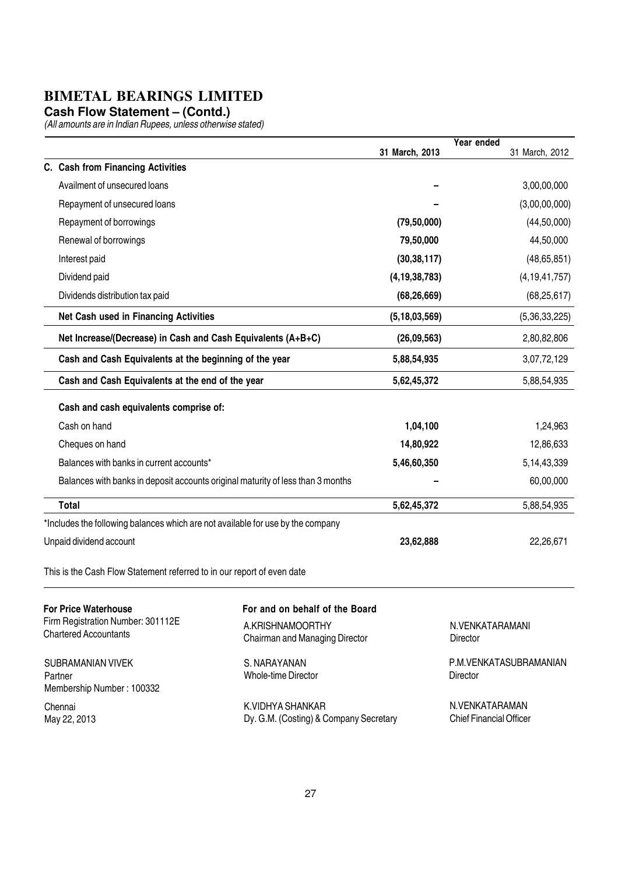**Cash Flow Statement – (Contd.)**

(All amounts are in Indian Rupees, unless otherwise stated)

|                                                                                 |                                                      |                  | Year ended                   |                  |
|---------------------------------------------------------------------------------|------------------------------------------------------|------------------|------------------------------|------------------|
|                                                                                 |                                                      | 31 March, 2013   |                              | 31 March, 2012   |
| C. Cash from Financing Activities                                               |                                                      |                  |                              |                  |
| Availment of unsecured loans                                                    |                                                      |                  |                              | 3,00,00,000      |
| Repayment of unsecured loans                                                    |                                                      |                  |                              | (3,00,00,000)    |
| Repayment of borrowings                                                         |                                                      | (79, 50, 000)    |                              | (44, 50, 000)    |
| Renewal of borrowings                                                           |                                                      | 79,50,000        |                              | 44,50,000        |
| Interest paid                                                                   |                                                      | (30, 38, 117)    |                              | (48, 65, 851)    |
| Dividend paid                                                                   |                                                      | (4, 19, 38, 783) |                              | (4, 19, 41, 757) |
| Dividends distribution tax paid                                                 |                                                      | (68, 26, 669)    |                              | (68, 25, 617)    |
| Net Cash used in Financing Activities                                           |                                                      | (5, 18, 03, 569) |                              | (5,36,33,225)    |
| Net Increase/(Decrease) in Cash and Cash Equivalents (A+B+C)                    |                                                      | (26,09,563)      |                              | 2,80,82,806      |
| Cash and Cash Equivalents at the beginning of the year                          |                                                      | 5,88,54,935      |                              | 3,07,72,129      |
| Cash and Cash Equivalents at the end of the year                                |                                                      | 5,62,45,372      |                              | 5,88,54,935      |
| Cash and cash equivalents comprise of:                                          |                                                      |                  |                              |                  |
| Cash on hand                                                                    |                                                      | 1,04,100         |                              | 1,24,963         |
| Cheques on hand                                                                 |                                                      | 14,80,922        |                              | 12,86,633        |
| Balances with banks in current accounts*                                        |                                                      | 5,46,60,350      |                              | 5, 14, 43, 339   |
| Balances with banks in deposit accounts original maturity of less than 3 months |                                                      |                  |                              | 60,00,000        |
| <b>Total</b>                                                                    |                                                      | 5,62,45,372      |                              | 5,88,54,935      |
| *Includes the following balances which are not available for use by the company |                                                      |                  |                              |                  |
| Unpaid dividend account                                                         |                                                      | 23,62,888        |                              | 22,26,671        |
| This is the Cash Flow Statement referred to in our report of even date          |                                                      |                  |                              |                  |
| <b>For Price Waterhouse</b><br>Firm Registration Number: 301112E                | For and on behalf of the Board                       |                  |                              |                  |
| <b>Chartered Accountants</b>                                                    | A.KRISHNAMOORTHY<br>Obalisach and Managlian Disastas |                  | N.VENKATARAMANI<br>Disa atas |                  |

SUBRAMANIAN VIVEK Partner Membership Number : 100332

Chennai May 22, 2013

A.KRISHNAMOORTHY Chairman and Managing Director

S. NARAYANAN Whole-time Director

K.VIDHYA SHANKAR Dy. G.M. (Costing) & Company Secretary

N.VENKATARAMANI **Director** 

P.M.VENKATASUBRAMANIAN Director

N.VENKATARAMAN Chief Financial Officer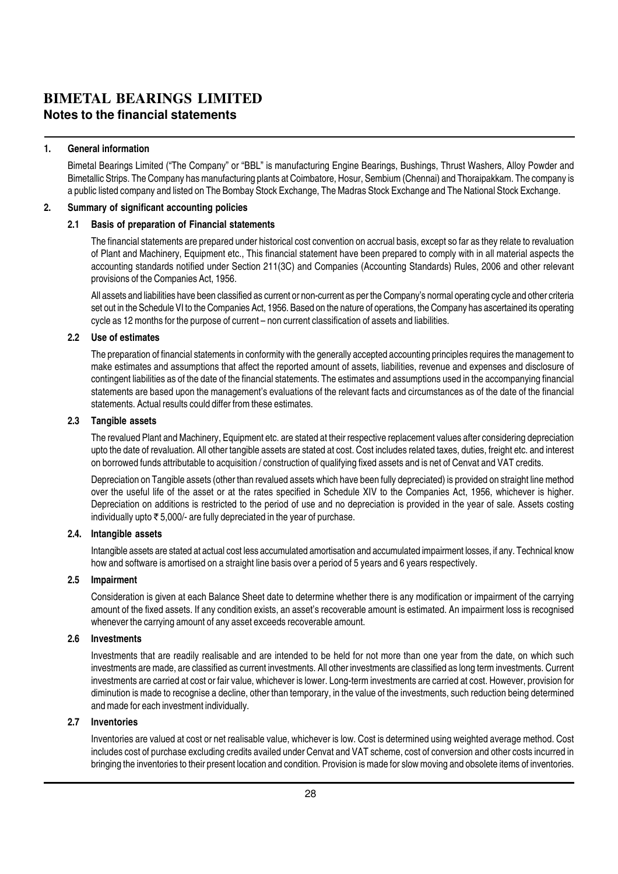#### **BIMETAL BEARINGS LIMITED Notes to the financial statements**

#### 1. General information

Bimetal Bearings Limited ("The Company" or "BBL" is manufacturing Engine Bearings, Bushings, Thrust Washers, Alloy Powder and Bimetallic Strips. The Company has manufacturing plants at Coimbatore, Hosur, Sembium (Chennai) and Thoraipakkam. The company is a public listed company and listed on The Bombay Stock Exchange, The Madras Stock Exchange and The National Stock Exchange.

#### 2. Summary of significant accounting policies

#### 2.1 Basis of preparation of Financial statements

The financial statements are prepared under historical cost convention on accrual basis, except so far as they relate to revaluation of Plant and Machinery, Equipment etc., This financial statement have been prepared to comply with in all material aspects the accounting standards notified under Section 211(3C) and Companies (Accounting Standards) Rules, 2006 and other relevant provisions of the Companies Act, 1956.

All assets and liabilities have been classified as current or non-current as per the Company's normal operating cycle and other criteria set out in the Schedule VI to the Companies Act, 1956. Based on the nature of operations, the Company has ascertained its operating cycle as 12 months for the purpose of current – non current classification of assets and liabilities.

#### 2.2 Use of estimates

The preparation of financial statements in conformity with the generally accepted accounting principles requires the management to make estimates and assumptions that affect the reported amount of assets, liabilities, revenue and expenses and disclosure of contingent liabilities as of the date of the financial statements. The estimates and assumptions used in the accompanying financial statements are based upon the management's evaluations of the relevant facts and circumstances as of the date of the financial statements. Actual results could differ from these estimates.

#### 2.3 Tangible assets

The revalued Plant and Machinery, Equipment etc. are stated at their respective replacement values after considering depreciation upto the date of revaluation. All other tangible assets are stated at cost. Cost includes related taxes, duties, freight etc. and interest on borrowed funds attributable to acquisition / construction of qualifying fixed assets and is net of Cenvat and VAT credits.

Depreciation on Tangible assets (other than revalued assets which have been fully depreciated) is provided on straight line method over the useful life of the asset or at the rates specified in Schedule XIV to the Companies Act, 1956, whichever is higher. Depreciation on additions is restricted to the period of use and no depreciation is provided in the year of sale. Assets costing individually upto  $\bar{\tau}$  5,000/- are fully depreciated in the year of purchase.

#### 2.4. Intangible assets

Intangible assets are stated at actual cost less accumulated amortisation and accumulated impairment losses, if any. Technical know how and software is amortised on a straight line basis over a period of 5 years and 6 years respectively.

#### 2.5 Impairment

Consideration is given at each Balance Sheet date to determine whether there is any modification or impairment of the carrying amount of the fixed assets. If any condition exists, an asset's recoverable amount is estimated. An impairment loss is recognised whenever the carrying amount of any asset exceeds recoverable amount.

#### 2.6 Investments

Investments that are readily realisable and are intended to be held for not more than one year from the date, on which such investments are made, are classified as current investments. All other investments are classified as long term investments. Current investments are carried at cost or fair value, whichever is lower. Long-term investments are carried at cost. However, provision for diminution is made to recognise a decline, other than temporary, in the value of the investments, such reduction being determined and made for each investment individually.

#### 2.7 Inventories

Inventories are valued at cost or net realisable value, whichever is low. Cost is determined using weighted average method. Cost includes cost of purchase excluding credits availed under Cenvat and VAT scheme, cost of conversion and other costs incurred in bringing the inventories to their present location and condition. Provision is made for slow moving and obsolete items of inventories.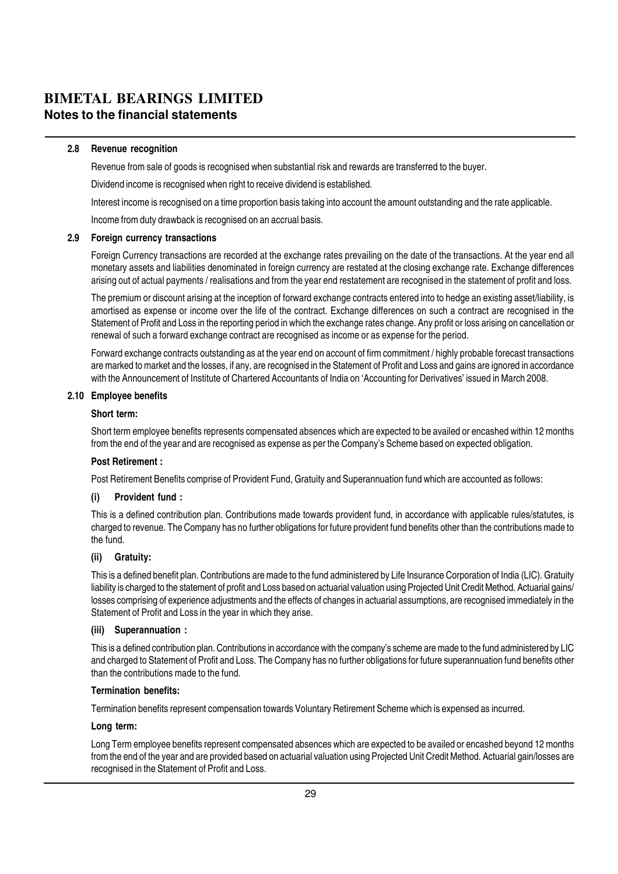#### **BIMETAL BEARINGS LIMITED Notes to the financial statements**

#### 2.8 Revenue recognition

Revenue from sale of goods is recognised when substantial risk and rewards are transferred to the buyer.

Dividend income is recognised when right to receive dividend is established.

Interest income is recognised on a time proportion basis taking into account the amount outstanding and the rate applicable.

Income from duty drawback is recognised on an accrual basis.

#### 2.9 Foreign currency transactions

Foreign Currency transactions are recorded at the exchange rates prevailing on the date of the transactions. At the year end all monetary assets and liabilities denominated in foreign currency are restated at the closing exchange rate. Exchange differences arising out of actual payments / realisations and from the year end restatement are recognised in the statement of profit and loss.

The premium or discount arising at the inception of forward exchange contracts entered into to hedge an existing asset/liability, is amortised as expense or income over the life of the contract. Exchange differences on such a contract are recognised in the Statement of Profit and Loss in the reporting period in which the exchange rates change. Any profit or loss arising on cancellation or renewal of such a forward exchange contract are recognised as income or as expense for the period.

Forward exchange contracts outstanding as at the year end on account of firm commitment / highly probable forecast transactions are marked to market and the losses, if any, are recognised in the Statement of Profit and Loss and gains are ignored in accordance with the Announcement of Institute of Chartered Accountants of India on 'Accounting for Derivatives' issued in March 2008.

#### 2.10 Employee benefits

#### Short term:

Short term employee benefits represents compensated absences which are expected to be availed or encashed within 12 months from the end of the year and are recognised as expense as per the Company's Scheme based on expected obligation.

#### Post Retirement :

Post Retirement Benefits comprise of Provident Fund, Gratuity and Superannuation fund which are accounted as follows:

#### (i) Provident fund :

This is a defined contribution plan. Contributions made towards provident fund, in accordance with applicable rules/statutes, is charged to revenue. The Company has no further obligations for future provident fund benefits other than the contributions made to the fund.

#### (ii) Gratuity:

This is a defined benefit plan. Contributions are made to the fund administered by Life Insurance Corporation of India (LIC). Gratuity liability is charged to the statement of profit and Loss based on actuarial valuation using Projected Unit Credit Method. Actuarial gains/ losses comprising of experience adjustments and the effects of changes in actuarial assumptions, are recognised immediately in the Statement of Profit and Loss in the year in which they arise.

#### (iii) Superannuation :

This is a defined contribution plan. Contributions in accordance with the company's scheme are made to the fund administered by LIC and charged to Statement of Profit and Loss. The Company has no further obligations for future superannuation fund benefits other than the contributions made to the fund.

#### Termination benefits:

Termination benefits represent compensation towards Voluntary Retirement Scheme which is expensed as incurred.

#### Long term:

Long Term employee benefits represent compensated absences which are expected to be availed or encashed beyond 12 months from the end of the year and are provided based on actuarial valuation using Projected Unit Credit Method. Actuarial gain/losses are recognised in the Statement of Profit and Loss.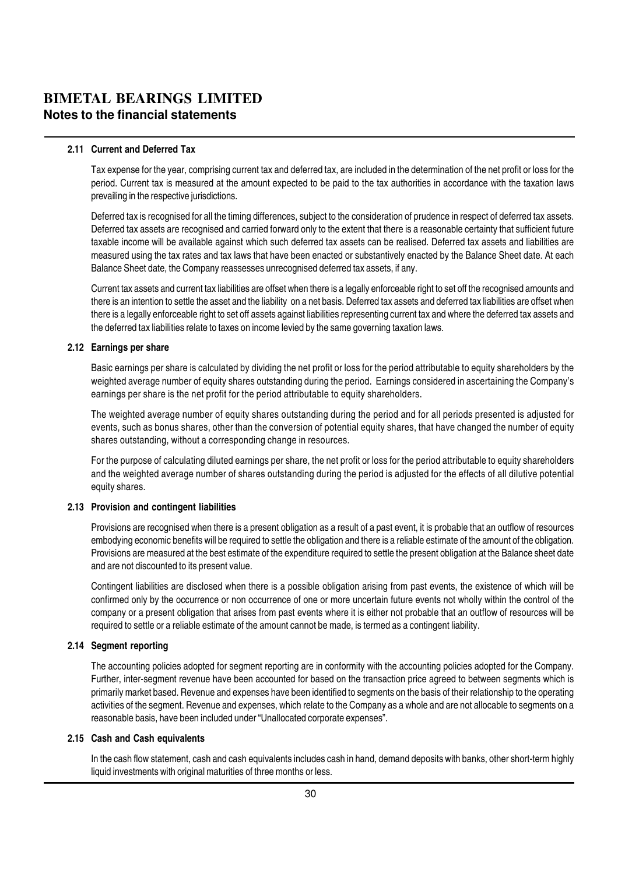#### **BIMETAL BEARINGS LIMITED Notes to the financial statements**

#### 2.11 Current and Deferred Tax

Tax expense for the year, comprising current tax and deferred tax, are included in the determination of the net profit or loss for the period. Current tax is measured at the amount expected to be paid to the tax authorities in accordance with the taxation laws prevailing in the respective jurisdictions.

Deferred tax is recognised for all the timing differences, subject to the consideration of prudence in respect of deferred tax assets. Deferred tax assets are recognised and carried forward only to the extent that there is a reasonable certainty that sufficient future taxable income will be available against which such deferred tax assets can be realised. Deferred tax assets and liabilities are measured using the tax rates and tax laws that have been enacted or substantively enacted by the Balance Sheet date. At each Balance Sheet date, the Company reassesses unrecognised deferred tax assets, if any.

Current tax assets and current tax liabilities are offset when there is a legally enforceable right to set off the recognised amounts and there is an intention to settle the asset and the liability on a net basis. Deferred tax assets and deferred tax liabilities are offset when there is a legally enforceable right to set off assets against liabilities representing current tax and where the deferred tax assets and the deferred tax liabilities relate to taxes on income levied by the same governing taxation laws.

#### 2.12 Earnings per share

Basic earnings per share is calculated by dividing the net profit or loss for the period attributable to equity shareholders by the weighted average number of equity shares outstanding during the period. Earnings considered in ascertaining the Company's earnings per share is the net profit for the period attributable to equity shareholders.

The weighted average number of equity shares outstanding during the period and for all periods presented is adjusted for events, such as bonus shares, other than the conversion of potential equity shares, that have changed the number of equity shares outstanding, without a corresponding change in resources.

For the purpose of calculating diluted earnings per share, the net profit or loss for the period attributable to equity shareholders and the weighted average number of shares outstanding during the period is adjusted for the effects of all dilutive potential equity shares.

#### 2.13 Provision and contingent liabilities

Provisions are recognised when there is a present obligation as a result of a past event, it is probable that an outflow of resources embodying economic benefits will be required to settle the obligation and there is a reliable estimate of the amount of the obligation. Provisions are measured at the best estimate of the expenditure required to settle the present obligation at the Balance sheet date and are not discounted to its present value.

Contingent liabilities are disclosed when there is a possible obligation arising from past events, the existence of which will be confirmed only by the occurrence or non occurrence of one or more uncertain future events not wholly within the control of the company or a present obligation that arises from past events where it is either not probable that an outflow of resources will be required to settle or a reliable estimate of the amount cannot be made, is termed as a contingent liability.

#### 2.14 Seament reporting

The accounting policies adopted for segment reporting are in conformity with the accounting policies adopted for the Company. Further, inter-segment revenue have been accounted for based on the transaction price agreed to between segments which is primarily market based. Revenue and expenses have been identified to segments on the basis of their relationship to the operating activities of the segment. Revenue and expenses, which relate to the Company as a whole and are not allocable to segments on a reasonable basis, have been included under "Unallocated corporate expenses".

#### 2.15 Cash and Cash equivalents

In the cash flow statement, cash and cash equivalents includes cash in hand, demand deposits with banks, other short-term highly liquid investments with original maturities of three months or less.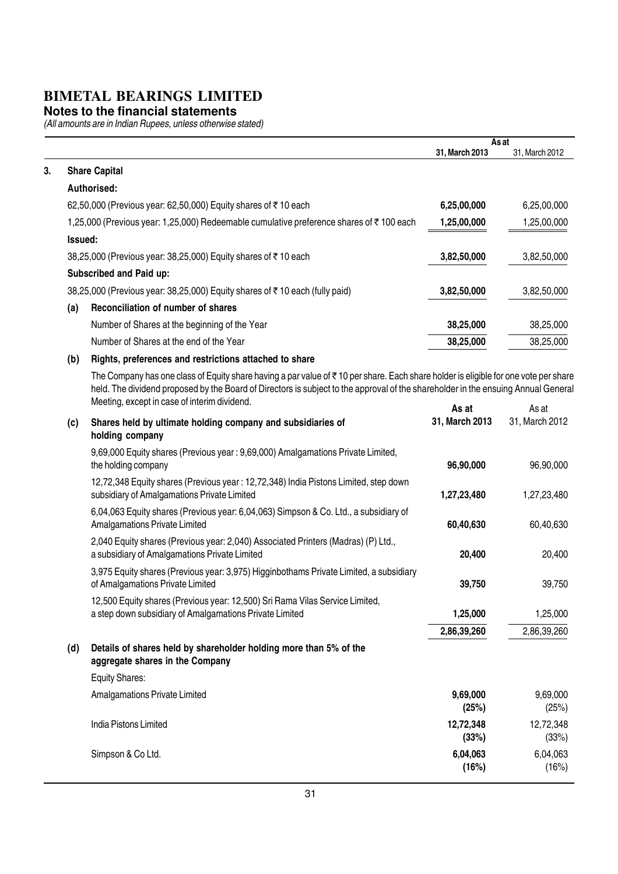#### **Notes to the financial statements**

|         |                                                                                                                                                                                                                                                                                                                          |                         | As at                   |
|---------|--------------------------------------------------------------------------------------------------------------------------------------------------------------------------------------------------------------------------------------------------------------------------------------------------------------------------|-------------------------|-------------------------|
|         |                                                                                                                                                                                                                                                                                                                          | 31, March 2013          | 31, March 2012          |
|         | <b>Share Capital</b>                                                                                                                                                                                                                                                                                                     |                         |                         |
|         | Authorised:                                                                                                                                                                                                                                                                                                              |                         |                         |
|         | 62,50,000 (Previous year: 62,50,000) Equity shares of ₹10 each                                                                                                                                                                                                                                                           | 6,25,00,000             | 6,25,00,000             |
|         | 1,25,000 (Previous year: 1,25,000) Redeemable cumulative preference shares of ₹100 each                                                                                                                                                                                                                                  | 1,25,00,000             | 1,25,00,000             |
| Issued: |                                                                                                                                                                                                                                                                                                                          |                         |                         |
|         | 38,25,000 (Previous year: 38,25,000) Equity shares of ₹10 each                                                                                                                                                                                                                                                           | 3,82,50,000             | 3,82,50,000             |
|         | Subscribed and Paid up:                                                                                                                                                                                                                                                                                                  |                         |                         |
|         | 38,25,000 (Previous year: 38,25,000) Equity shares of ₹10 each (fully paid)                                                                                                                                                                                                                                              | 3,82,50,000             | 3,82,50,000             |
| (a)     | Reconciliation of number of shares                                                                                                                                                                                                                                                                                       |                         |                         |
|         | Number of Shares at the beginning of the Year                                                                                                                                                                                                                                                                            | 38,25,000               | 38,25,000               |
|         | Number of Shares at the end of the Year                                                                                                                                                                                                                                                                                  | 38,25,000               | 38,25,000               |
| (b)     | Rights, preferences and restrictions attached to share                                                                                                                                                                                                                                                                   |                         |                         |
|         | The Company has one class of Equity share having a par value of ₹10 per share. Each share holder is eligible for one vote per share<br>held. The dividend proposed by the Board of Directors is subject to the approval of the shareholder in the ensuing Annual General<br>Meeting, except in case of interim dividend. |                         |                         |
| (c)     | Shares held by ultimate holding company and subsidiaries of<br>holding company                                                                                                                                                                                                                                           | As at<br>31, March 2013 | As at<br>31, March 2012 |
|         | 9,69,000 Equity shares (Previous year: 9,69,000) Amalgamations Private Limited,<br>the holding company                                                                                                                                                                                                                   | 96,90,000               | 96,90,000               |
|         | 12,72,348 Equity shares (Previous year: 12,72,348) India Pistons Limited, step down<br>subsidiary of Amalgamations Private Limited                                                                                                                                                                                       | 1,27,23,480             | 1,27,23,480             |
|         | 6,04,063 Equity shares (Previous year: 6,04,063) Simpson & Co. Ltd., a subsidiary of<br><b>Amalgamations Private Limited</b>                                                                                                                                                                                             | 60,40,630               | 60,40,630               |
|         | 2,040 Equity shares (Previous year: 2,040) Associated Printers (Madras) (P) Ltd.,<br>a subsidiary of Amalgamations Private Limited                                                                                                                                                                                       | 20,400                  | 20,400                  |
|         | 3,975 Equity shares (Previous year: 3,975) Higginbothams Private Limited, a subsidiary<br>of Amalgamations Private Limited                                                                                                                                                                                               | 39,750                  | 39,750                  |
|         | 12,500 Equity shares (Previous year: 12,500) Sri Rama Vilas Service Limited,<br>a step down subsidiary of Amalgamations Private Limited                                                                                                                                                                                  | 1,25,000                | 1,25,000                |
|         |                                                                                                                                                                                                                                                                                                                          | 2,86,39,260             | 2,86,39,260             |
| (d)     | Details of shares held by shareholder holding more than 5% of the<br>aggregate shares in the Company                                                                                                                                                                                                                     |                         |                         |
|         | <b>Equity Shares:</b>                                                                                                                                                                                                                                                                                                    |                         |                         |
|         | Amalgamations Private Limited                                                                                                                                                                                                                                                                                            | 9,69,000<br>(25%)       | 9,69,000<br>(25%)       |
|         | India Pistons Limited                                                                                                                                                                                                                                                                                                    | 12,72,348<br>(33%)      | 12,72,348<br>(33%)      |
|         | Simpson & Co Ltd.                                                                                                                                                                                                                                                                                                        | 6,04,063<br>(16%)       | 6,04,063<br>(16%)       |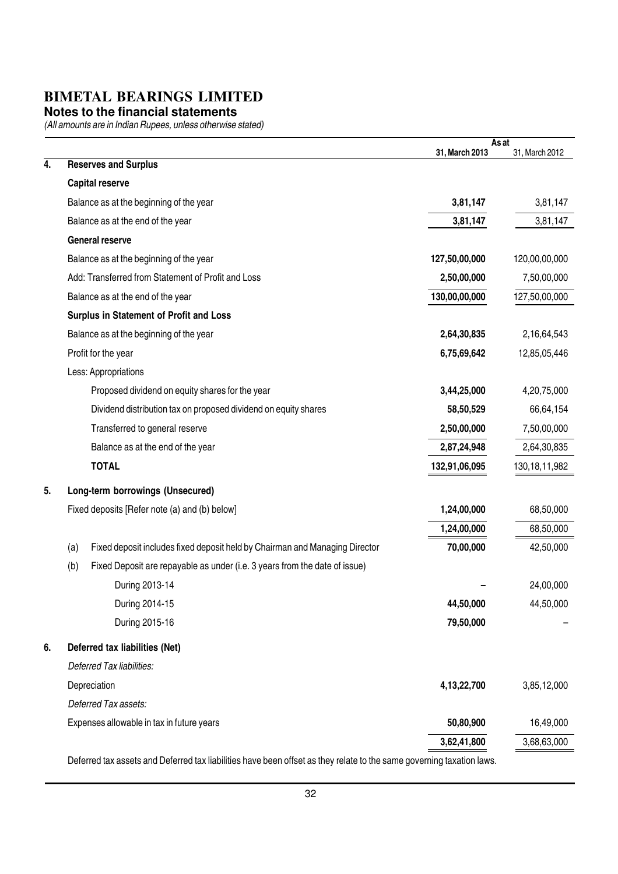#### **Notes to the financial statements**

(All amounts are in Indian Rupees, unless otherwise stated)

|    |                                                                                    |                | As at            |
|----|------------------------------------------------------------------------------------|----------------|------------------|
| 4. | <b>Reserves and Surplus</b>                                                        | 31, March 2013 | 31, March 2012   |
|    | <b>Capital reserve</b>                                                             |                |                  |
|    | Balance as at the beginning of the year                                            | 3,81,147       | 3,81,147         |
|    | Balance as at the end of the year                                                  | 3,81,147       | 3,81,147         |
|    | <b>General reserve</b>                                                             |                |                  |
|    | Balance as at the beginning of the year                                            | 127,50,00,000  | 120,00,00,000    |
|    | Add: Transferred from Statement of Profit and Loss                                 | 2,50,00,000    | 7,50,00,000      |
|    | Balance as at the end of the year                                                  | 130,00,00,000  | 127,50,00,000    |
|    | Surplus in Statement of Profit and Loss                                            |                |                  |
|    | Balance as at the beginning of the year                                            | 2,64,30,835    | 2,16,64,543      |
|    | Profit for the year                                                                | 6,75,69,642    | 12,85,05,446     |
|    | Less: Appropriations                                                               |                |                  |
|    | Proposed dividend on equity shares for the year                                    | 3,44,25,000    | 4,20,75,000      |
|    | Dividend distribution tax on proposed dividend on equity shares                    | 58,50,529      | 66,64,154        |
|    | Transferred to general reserve                                                     | 2,50,00,000    | 7,50,00,000      |
|    | Balance as at the end of the year                                                  | 2,87,24,948    | 2,64,30,835      |
|    | <b>TOTAL</b>                                                                       | 132,91,06,095  | 130, 18, 11, 982 |
| 5. | Long-term borrowings (Unsecured)                                                   |                |                  |
|    | Fixed deposits [Refer note (a) and (b) below]                                      | 1,24,00,000    | 68,50,000        |
|    |                                                                                    | 1,24,00,000    | 68,50,000        |
|    | Fixed deposit includes fixed deposit held by Chairman and Managing Director<br>(a) | 70,00,000      | 42,50,000        |
|    | (b)<br>Fixed Deposit are repayable as under (i.e. 3 years from the date of issue)  |                |                  |
|    | During 2013-14                                                                     |                | 24,00,000        |
|    | During 2014-15                                                                     | 44,50,000      | 44,50,000        |
|    | During 2015-16                                                                     | 79,50,000      |                  |
| 6. | Deferred tax liabilities (Net)                                                     |                |                  |
|    | Deferred Tax liabilities:                                                          |                |                  |
|    | Depreciation                                                                       | 4,13,22,700    | 3,85,12,000      |
|    | Deferred Tax assets:                                                               |                |                  |
|    | Expenses allowable in tax in future years                                          | 50,80,900      | 16,49,000        |
|    |                                                                                    | 3,62,41,800    | 3,68,63,000      |
|    |                                                                                    |                |                  |

Deferred tax assets and Deferred tax liabilities have been offset as they relate to the same governing taxation laws.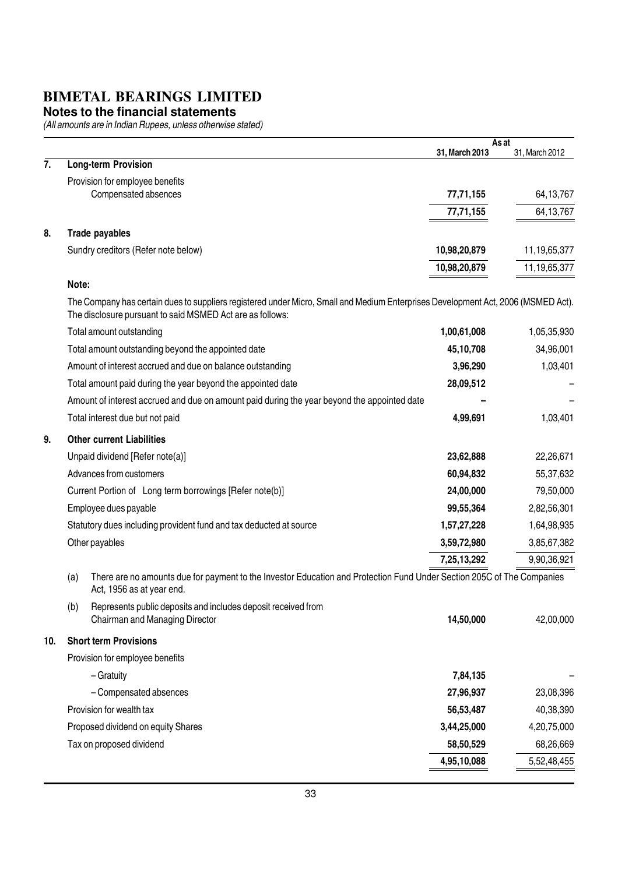#### **Notes to the financial statements**

|     |                                                                                                                                                                                                | As at          |                |
|-----|------------------------------------------------------------------------------------------------------------------------------------------------------------------------------------------------|----------------|----------------|
| 7.  | <b>Long-term Provision</b>                                                                                                                                                                     | 31, March 2013 | 31, March 2012 |
|     | Provision for employee benefits                                                                                                                                                                |                |                |
|     | Compensated absences                                                                                                                                                                           | 77,71,155      | 64, 13, 767    |
|     |                                                                                                                                                                                                | 77,71,155      | 64,13,767      |
| 8.  | Trade payables                                                                                                                                                                                 |                |                |
|     | Sundry creditors (Refer note below)                                                                                                                                                            | 10,98,20,879   | 11,19,65,377   |
|     |                                                                                                                                                                                                | 10,98,20,879   | 11,19,65,377   |
|     | Note:                                                                                                                                                                                          |                |                |
|     | The Company has certain dues to suppliers registered under Micro, Small and Medium Enterprises Development Act, 2006 (MSMED Act).<br>The disclosure pursuant to said MSMED Act are as follows: |                |                |
|     | Total amount outstanding                                                                                                                                                                       | 1,00,61,008    | 1,05,35,930    |
|     | Total amount outstanding beyond the appointed date                                                                                                                                             | 45,10,708      | 34,96,001      |
|     | Amount of interest accrued and due on balance outstanding                                                                                                                                      | 3,96,290       | 1,03,401       |
|     | Total amount paid during the year beyond the appointed date                                                                                                                                    | 28,09,512      |                |
|     | Amount of interest accrued and due on amount paid during the year beyond the appointed date                                                                                                    |                |                |
|     | Total interest due but not paid                                                                                                                                                                | 4,99,691       | 1,03,401       |
| 9.  | <b>Other current Liabilities</b>                                                                                                                                                               |                |                |
|     | Unpaid dividend [Refer note(a)]                                                                                                                                                                | 23,62,888      | 22,26,671      |
|     | Advances from customers                                                                                                                                                                        | 60,94,832      | 55,37,632      |
|     | Current Portion of Long term borrowings [Refer note(b)]                                                                                                                                        | 24,00,000      | 79,50,000      |
|     | Employee dues payable                                                                                                                                                                          | 99,55,364      | 2,82,56,301    |
|     | Statutory dues including provident fund and tax deducted at source                                                                                                                             | 1,57,27,228    | 1,64,98,935    |
|     | Other payables                                                                                                                                                                                 | 3,59,72,980    | 3,85,67,382    |
|     |                                                                                                                                                                                                | 7,25,13,292    | 9,90,36,921    |
|     | There are no amounts due for payment to the Investor Education and Protection Fund Under Section 205C of The Companies<br>(a)<br>Act, 1956 as at year end.                                     |                |                |
|     | Represents public deposits and includes deposit received from<br>(b)                                                                                                                           |                |                |
|     | Chairman and Managing Director                                                                                                                                                                 | 14,50,000      | 42,00,000      |
| 10. | <b>Short term Provisions</b>                                                                                                                                                                   |                |                |
|     | Provision for employee benefits                                                                                                                                                                |                |                |
|     | - Gratuity                                                                                                                                                                                     | 7,84,135       |                |
|     | - Compensated absences                                                                                                                                                                         | 27,96,937      | 23,08,396      |
|     | Provision for wealth tax                                                                                                                                                                       | 56,53,487      | 40,38,390      |
|     | Proposed dividend on equity Shares                                                                                                                                                             | 3,44,25,000    | 4,20,75,000    |
|     | Tax on proposed dividend                                                                                                                                                                       | 58,50,529      | 68,26,669      |
|     |                                                                                                                                                                                                | 4,95,10,088    | 5,52,48,455    |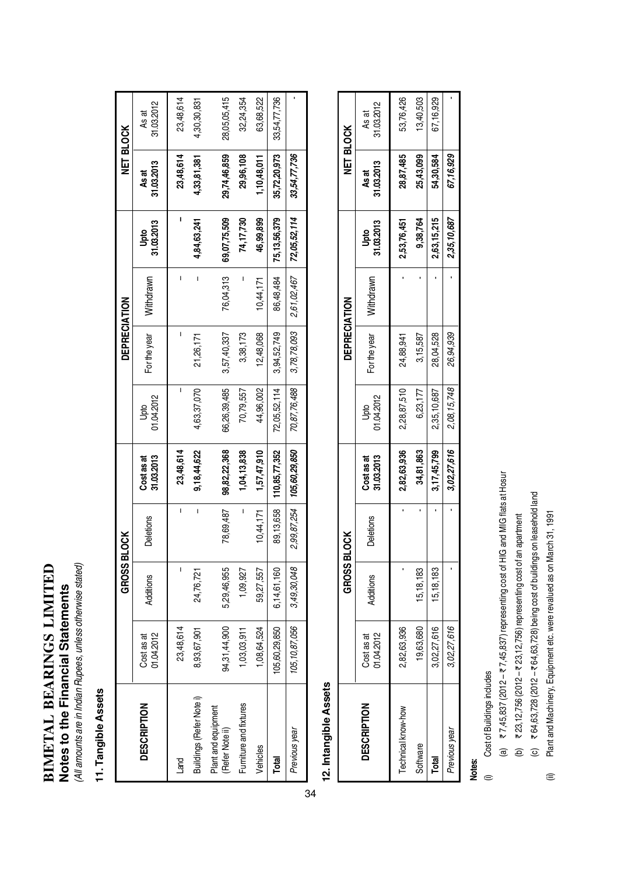## **BIMETAL BEARINGS LIMITED BIMETAL BEARINGS LIMITED** Notes to the Financial Statements **Notes to the Financial Statements**

(All amounts are in Indian Rupees, unless otherwise stated) (All amounts are in Indian Rupees, unless otherwise stated)

### 11. Tangible Assets **11. Tangible Assets**

|                                       |                          | <b>GROSS BLOCK</b> |             |                          |                    | DEPRECIATION |             |                    | <b>NET BLOCK</b>    |                     |
|---------------------------------------|--------------------------|--------------------|-------------|--------------------------|--------------------|--------------|-------------|--------------------|---------------------|---------------------|
| <b>DESCRIPTION</b>                    | 01.04.2012<br>Cost as at | Additions          | Deletions   | 31.03.2013<br>Cost as at | 01.04.2012<br>Jpto | For the year | Withdrawn   | 31.03.2013<br>Upto | 31.03.2013<br>As at | 31.03.2012<br>As at |
| Land                                  | 23,48,614                |                    | I           | 23,48,614                | ı                  |              |             |                    | 23,48,614           | 23,48,614           |
| Buildings (Refer Note i)              | 8,93,67,901              | 24,76,721          | I           | 9,18,44,622              | 4,63,37,070        | 21,26,171    | I           | 4,84,63,241        | 4,33,81,381         | 4,30,30,831         |
| Plant and equipment<br>Refer Note ii) | 94,31,44,900             | 5,29,46,955        | 78,69,487   | 98,82,22,368             | 66,26,39,485       | 3,57,40,337  | 76,04,313   | 69,07,75,509       | 29,74,46,859        | 28,05,05,415        |
| Furniture and fixtures                | 1,03,03,911              | 1,09,927           | I           | 1,04,13,838              | 70,79,557          | 3,38,173     |             | 74,17,730          | 29,96,108           | 32,24,354           |
| Vehicles                              | 1,08,64,524              | 59,27,557          | 10,44,171   | 1,57,47,910              | 44,96,002          | 12,48,068    | 10,44,171   | 46,99,899          | 1,10,48,011         | 63,68,522           |
| <b>Total</b>                          | 105,60,29,850            | 6,14,61,160        | 89,13,658   | 110,85,77,352            | 72,05,52,114       | 3,94,52,749  | 86,48,484   | 75,13,56,379       | 35,72,20,973        | 33,54,77,736        |
| Previous year                         | 105, 10, 87, 056         | 3,49,30,048        | 2,99,87,254 | 105,60,29,850            | 70,87,76,488       | 3,78,78,093  | 2,61,02,467 | 72,05,52,114       | 33,54,77,736        |                     |

## 12. Intangible Assets **12. Intangible Assets**

|                    |                          | <b>GROSS BL</b> | č<br>S           |                          |                    | <b>DEPRECIATION</b> |           |                           | NET BLOCK           |                     |
|--------------------|--------------------------|-----------------|------------------|--------------------------|--------------------|---------------------|-----------|---------------------------|---------------------|---------------------|
| <b>DESCRIPTION</b> | Cost as at<br>01.04.2012 | dditions        | <b>Deletions</b> | 31.03.2013<br>Cost as at | Upto<br>01.04.2012 | For the year        | Withdrawn | <b>lpto</b><br>31.03.2013 | 31.03.2013<br>As at | 31.03.2012<br>As at |
| Technical know-how | 2,82,63,936              |                 |                  | 2,82,63,936              | 2,28,87,510        | 24,88,941           |           | 2,53,76,451               | 28,87,485           | 53,76,426           |
| Software           | 9,63,680                 | 15,18,183       |                  | 34,81,863                | 6,23,177           | 3,15,587            |           | 9,38,764                  | 25,43,099           | 13,40,503           |
| Total              | 3,02,27,616              | 15,18,183       |                  | 3, 17, 45, 799           | 2,35,10,687        | 28,04,528           |           | 2,63,15,215               | 54,30,584           | 67,16,929           |
| Previous year      | 3,02,27,616              |                 |                  | 3,02,27,616              | 2,08,15,748        | 26,94,939           |           | 2,35,10,687               | 67,16,929           |                     |

### Notes:

- Cost of Buildings includes (i) Cost of Buildings includes  $\oplus$
- (a)  $\overline{z}$  7,45,837 (2012  $\overline{z}$  7,45,837) representing cost of HIG and MIG flats at Hosur (a)  $\overline{z}$  7,45,837 (2012 –  $\overline{z}$  7,45,837) representing cost of HIG and MIG flats at Hosur
- (b)  $\overline{x}$  23, 12, 756 (2012  $\overline{x}$  23, 12, 756) representing cost of an apartment (b)  $\bar{\tau}$  23,12,756 (2012 –  $\bar{\tau}$  23,12,756) representing cost of an apartment
- (c)  $\overline{x}$  64, 63, 728 (2012  $\overline{x}$  64, 63, 728) being cost of buildings on leasehold land (c) ₹ 64,63,728 (2012 – ₹ 64,63,728) being cost of buildings on leasehold land
- Plant and Machinery, Equipment etc. were revalued as on March 31, 1991 (ii) Plant and Machinery, Equipment etc. were revalued as on March 31, 1991 ⊜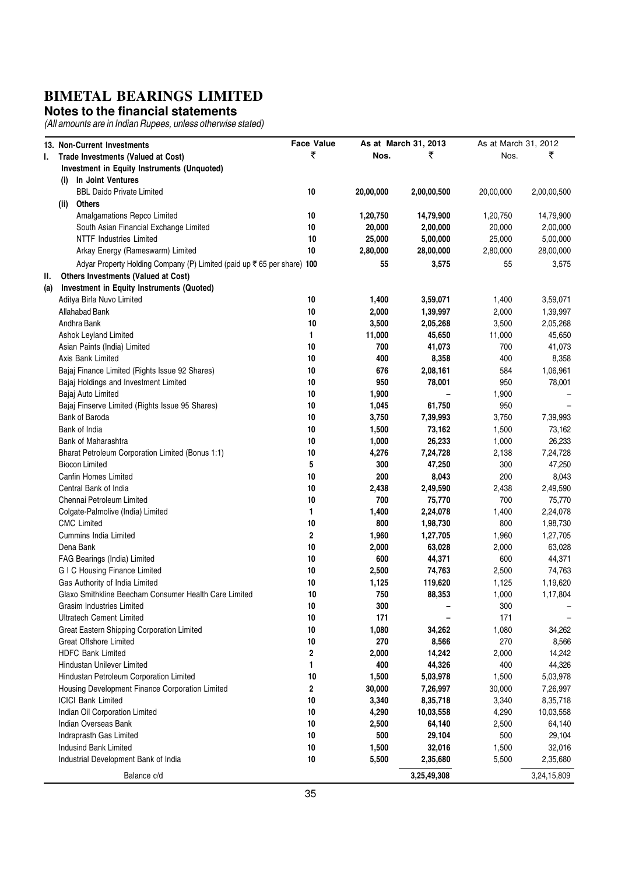#### **Notes to the financial statements**

|     | 13. Non-Current Investments                                            | <b>Face Value</b>       |           | As at March 31, 2013 | As at March 31, 2012 |             |
|-----|------------------------------------------------------------------------|-------------------------|-----------|----------------------|----------------------|-------------|
| L.  | Trade Investments (Valued at Cost)                                     | ₹                       | Nos.      | ₹                    | Nos.                 | ₹           |
|     | Investment in Equity Instruments (Unquoted)                            |                         |           |                      |                      |             |
|     | In Joint Ventures<br>(i)                                               |                         |           |                      |                      |             |
|     | <b>BBL Daido Private Limited</b>                                       | 10                      | 20,00,000 | 2,00,00,500          | 20,00,000            | 2,00,00,500 |
|     | Others<br>(ii)                                                         |                         |           |                      |                      |             |
|     | Amalgamations Repco Limited                                            | 10                      | 1,20,750  | 14,79,900            | 1,20,750             | 14,79,900   |
|     | South Asian Financial Exchange Limited                                 | $10$                    | 20,000    | 2,00,000             | 20,000               | 2,00,000    |
|     | <b>NTTF Industries Limited</b>                                         | 10                      | 25,000    | 5,00,000             | 25,000               | 5,00,000    |
|     | Arkay Energy (Rameswarm) Limited                                       | $10$                    | 2,80,000  | 28,00,000            | 2,80,000             | 28,00,000   |
|     |                                                                        |                         |           |                      |                      |             |
|     | Adyar Property Holding Company (P) Limited (paid up ₹65 per share) 100 |                         | 55        | 3,575                | 55                   | 3,575       |
| Ш.  | Others Investments (Valued at Cost)                                    |                         |           |                      |                      |             |
| (a) | Investment in Equity Instruments (Quoted)                              |                         |           |                      |                      |             |
|     | Aditya Birla Nuvo Limited                                              | 10                      | 1,400     | 3,59,071             | 1,400                | 3,59,071    |
|     | Allahabad Bank                                                         | 10                      | 2,000     | 1,39,997             | 2,000                | 1,39,997    |
|     | Andhra Bank                                                            | 10                      | 3,500     | 2,05,268             | 3,500                | 2,05,268    |
|     | Ashok Leyland Limited                                                  | 1                       | 11,000    | 45,650               | 11,000               | 45,650      |
|     | Asian Paints (India) Limited                                           | 10                      | 700       | 41,073               | 700                  | 41,073      |
|     | Axis Bank Limited                                                      | 10                      | 400       | 8,358                | 400                  | 8,358       |
|     | Bajaj Finance Limited (Rights Issue 92 Shares)                         | $10$                    | 676       | 2,08,161             | 584                  | 1,06,961    |
|     | Bajaj Holdings and Investment Limited                                  | $10$                    | 950       | 78,001               | 950                  | 78,001      |
|     | Bajaj Auto Limited                                                     | $10$                    | 1,900     |                      | 1,900                |             |
|     | Bajaj Finserve Limited (Rights Issue 95 Shares)                        | 10                      | 1,045     | 61,750               | 950                  |             |
|     | Bank of Baroda                                                         | 10                      | 3,750     | 7,39,993             | 3,750                | 7,39,993    |
|     | Bank of India                                                          | 10                      | 1,500     | 73,162               | 1,500                | 73,162      |
|     | Bank of Maharashtra                                                    | 10                      | 1,000     | 26,233               | 1,000                | 26,233      |
|     | Bharat Petroleum Corporation Limited (Bonus 1:1)                       | 10                      | 4,276     | 7,24,728             | 2,138                | 7,24,728    |
|     | <b>Biocon Limited</b>                                                  | 5                       | 300       | 47,250               | 300                  | 47,250      |
|     | Canfin Homes Limited                                                   | $10$                    | 200       | 8,043                | 200                  | 8,043       |
|     | Central Bank of India                                                  | 10                      | 2,438     | 2,49,590             | 2,438                | 2,49,590    |
|     | Chennai Petroleum Limited                                              | 10                      | 700       | 75,770               | 700                  | 75,770      |
|     | Colgate-Palmolive (India) Limited                                      | 1                       | 1,400     | 2,24,078             | 1,400                | 2,24,078    |
|     | <b>CMC</b> Limited                                                     | 10                      | 800       | 1,98,730             | 800                  | 1,98,730    |
|     | <b>Cummins India Limited</b>                                           | $\overline{\mathbf{2}}$ | 1,960     | 1,27,705             | 1,960                | 1,27,705    |
|     | Dena Bank                                                              | 10                      | 2,000     | 63,028               | 2,000                | 63,028      |
|     | FAG Bearings (India) Limited                                           | 10                      | 600       | 44,371               | 600                  | 44,371      |
|     | <b>GIC Housing Finance Limited</b>                                     | 10                      | 2,500     | 74,763               | 2,500                | 74,763      |
|     | Gas Authority of India Limited                                         | 10                      | 1,125     | 119,620              | 1,125                | 1,19,620    |
|     | Glaxo Smithkline Beecham Consumer Health Care Limited                  | 10                      | 750       | 88,353               | 1,000                | 1,17,804    |
|     | Grasim Industries Limited                                              | 10                      | 300       |                      | 300                  |             |
|     | <b>Ultratech Cement Limited</b>                                        | $10$                    | 171       |                      | 171                  |             |
|     | Great Eastern Shipping Corporation Limited                             | 10                      | 1,080     | 34,262               | 1,080                | 34,262      |
|     | <b>Great Offshore Limited</b>                                          | 10                      | 270       | 8,566                | 270                  | 8,566       |
|     | <b>HDFC Bank Limited</b>                                               | 2                       | 2,000     | 14,242               | 2,000                | 14,242      |
|     | Hindustan Unilever Limited                                             | 1                       | 400       | 44,326               | 400                  | 44,326      |
|     | Hindustan Petroleum Corporation Limited                                | 10                      | 1,500     | 5,03,978             | 1,500                | 5,03,978    |
|     | Housing Development Finance Corporation Limited                        | $\overline{\mathbf{2}}$ | 30,000    | 7,26,997             | 30,000               | 7,26,997    |
|     | <b>ICICI Bank Limited</b>                                              | 10                      | 3,340     | 8,35,718             | 3,340                | 8,35,718    |
|     | Indian Oil Corporation Limited                                         | $10$                    | 4,290     | 10,03,558            | 4,290                | 10,03,558   |
|     | Indian Overseas Bank                                                   | $10\,$                  | 2,500     | 64,140               | 2,500                | 64,140      |
|     | Indraprasth Gas Limited                                                | $10$                    | 500       | 29,104               | 500                  | 29,104      |
|     | Indusind Bank Limited                                                  | $10$                    | 1,500     | 32,016               | 1,500                | 32,016      |
|     | Industrial Development Bank of India                                   | 10                      | 5,500     | 2,35,680             | 5,500                | 2,35,680    |
|     | Balance c/d                                                            |                         |           | 3,25,49,308          |                      | 3,24,15,809 |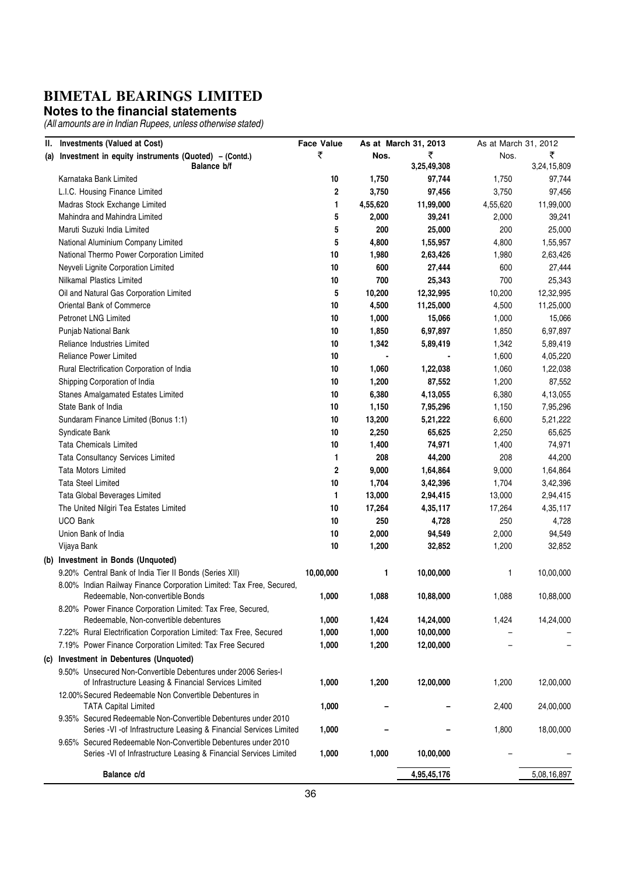#### **Notes to the financial statements**

|     | II. Investments (Valued at Cost)                                                                                                       | <b>Face Value</b> |          | As at March 31, 2013 | As at March 31, 2012 |             |
|-----|----------------------------------------------------------------------------------------------------------------------------------------|-------------------|----------|----------------------|----------------------|-------------|
|     | (a) Investment in equity instruments (Quoted) - (Contd.)                                                                               | ₹                 | Nos.     | ₹                    | Nos.                 | ₹           |
|     | Balance b/f                                                                                                                            |                   |          | 3,25,49,308          |                      | 3,24,15,809 |
|     | Karnataka Bank Limited                                                                                                                 | 10                | 1,750    | 97,744               | 1,750                | 97,744      |
|     | L.I.C. Housing Finance Limited                                                                                                         | $\overline{2}$    | 3,750    | 97,456               | 3,750                | 97,456      |
|     | Madras Stock Exchange Limited                                                                                                          | 1                 | 4,55,620 | 11,99,000            | 4,55,620             | 11,99,000   |
|     | Mahindra and Mahindra Limited                                                                                                          | 5                 | 2,000    | 39,241               | 2,000                | 39,241      |
|     | Maruti Suzuki India Limited                                                                                                            | 5                 | 200      | 25,000               | 200                  | 25,000      |
|     | National Aluminium Company Limited                                                                                                     | 5                 | 4,800    | 1,55,957             | 4,800                | 1,55,957    |
|     | National Thermo Power Corporation Limited                                                                                              | 10                | 1,980    | 2,63,426             | 1,980                | 2,63,426    |
|     | Neyveli Lignite Corporation Limited                                                                                                    | 10                | 600      | 27,444               | 600                  | 27,444      |
|     | Nilkamal Plastics Limited                                                                                                              | 10                | 700      | 25,343               | 700                  | 25,343      |
|     | Oil and Natural Gas Corporation Limited                                                                                                | 5                 | 10,200   | 12,32,995            | 10,200               | 12,32,995   |
|     | Oriental Bank of Commerce                                                                                                              | 10                | 4,500    | 11,25,000            | 4,500                | 11,25,000   |
|     | <b>Petronet LNG Limited</b>                                                                                                            | 10                | 1,000    | 15,066               | 1,000                | 15,066      |
|     | Punjab National Bank                                                                                                                   | 10                | 1,850    | 6,97,897             | 1,850                | 6,97,897    |
|     | Reliance Industries Limited                                                                                                            | 10                | 1,342    | 5,89,419             | 1,342                | 5,89,419    |
|     | <b>Reliance Power Limited</b>                                                                                                          | 10                |          |                      | 1,600                | 4,05,220    |
|     | Rural Electrification Corporation of India                                                                                             | 10                | 1,060    | 1,22,038             | 1,060                | 1,22,038    |
|     | Shipping Corporation of India                                                                                                          | 10                | 1,200    | 87,552               | 1,200                | 87,552      |
|     | Stanes Amalgamated Estates Limited                                                                                                     | 10                | 6,380    | 4,13,055             | 6,380                | 4,13,055    |
|     | State Bank of India                                                                                                                    | 10                | 1,150    | 7,95,296             | 1,150                | 7,95,296    |
|     | Sundaram Finance Limited (Bonus 1:1)                                                                                                   | 10                | 13,200   | 5,21,222             | 6,600                | 5,21,222    |
|     | Syndicate Bank                                                                                                                         | 10                | 2,250    | 65,625               | 2,250                | 65,625      |
|     | Tata Chemicals Limited                                                                                                                 | 10                | 1,400    | 74,971               | 1,400                | 74,971      |
|     | <b>Tata Consultancy Services Limited</b>                                                                                               | 1                 | 208      | 44,200               | 208                  | 44,200      |
|     | <b>Tata Motors Limited</b>                                                                                                             | $\mathbf 2$       | 9,000    | 1,64,864             | 9,000                | 1,64,864    |
|     | <b>Tata Steel Limited</b>                                                                                                              | 10                | 1,704    | 3,42,396             | 1,704                | 3,42,396    |
|     | Tata Global Beverages Limited                                                                                                          | 1                 | 13,000   | 2,94,415             | 13,000               | 2,94,415    |
|     | The United Nilgiri Tea Estates Limited                                                                                                 | 10                | 17,264   | 4,35,117             | 17,264               | 4,35,117    |
|     | <b>UCO Bank</b>                                                                                                                        | 10                | 250      | 4,728                | 250                  | 4,728       |
|     | Union Bank of India                                                                                                                    | 10                | 2,000    | 94,549               | 2,000                | 94,549      |
|     | Vijaya Bank                                                                                                                            | 10                | 1,200    | 32,852               | 1,200                | 32,852      |
|     | (b) Investment in Bonds (Unquoted)                                                                                                     |                   |          |                      |                      |             |
|     | 9.20% Central Bank of India Tier II Bonds (Series XII)                                                                                 | 10,00,000         | 1        | 10,00,000            | 1                    | 10,00,000   |
|     | 8.00% Indian Railway Finance Corporation Limited: Tax Free, Secured,                                                                   |                   |          |                      |                      |             |
|     | Redeemable, Non-convertible Bonds                                                                                                      | 1,000             | 1,088    | 10,88,000            | 1,088                | 10,88,000   |
|     | 8.20% Power Finance Corporation Limited: Tax Free, Secured,                                                                            |                   |          |                      |                      |             |
|     | Redeemable, Non-convertible debentures                                                                                                 | 1,000             | 1,424    | 14,24,000            | 1,424                | 14,24,000   |
|     | 7.22% Rural Electrification Corporation Limited: Tax Free, Secured                                                                     | 1,000             | 1,000    | 10,00,000            |                      |             |
|     | 7.19% Power Finance Corporation Limited: Tax Free Secured                                                                              | 1,000             | 1,200    | 12,00,000            |                      |             |
| (C) | <b>Investment in Debentures (Unquoted)</b>                                                                                             |                   |          |                      |                      |             |
|     | 9.50% Unsecured Non-Convertible Debentures under 2006 Series-I                                                                         |                   |          |                      |                      |             |
|     | of Infrastructure Leasing & Financial Services Limited                                                                                 | 1,000             | 1,200    | 12,00,000            | 1,200                | 12,00,000   |
|     | 12.00% Secured Redeemable Non Convertible Debentures in                                                                                |                   |          |                      |                      |             |
|     | <b>TATA Capital Limited</b>                                                                                                            | 1,000             |          |                      | 2,400                | 24,00,000   |
|     | 9.35% Secured Redeemable Non-Convertible Debentures under 2010<br>Series - VI - of Infrastructure Leasing & Financial Services Limited | 1,000             |          |                      |                      |             |
|     | 9.65% Secured Redeemable Non-Convertible Debentures under 2010                                                                         |                   |          |                      | 1,800                | 18,00,000   |
|     | Series - VI of Infrastructure Leasing & Financial Services Limited                                                                     | 1,000             | 1,000    | 10,00,000            |                      |             |
|     |                                                                                                                                        |                   |          |                      |                      |             |
|     | Balance c/d                                                                                                                            |                   |          | 4,95,45,176          |                      | 5,08,16,897 |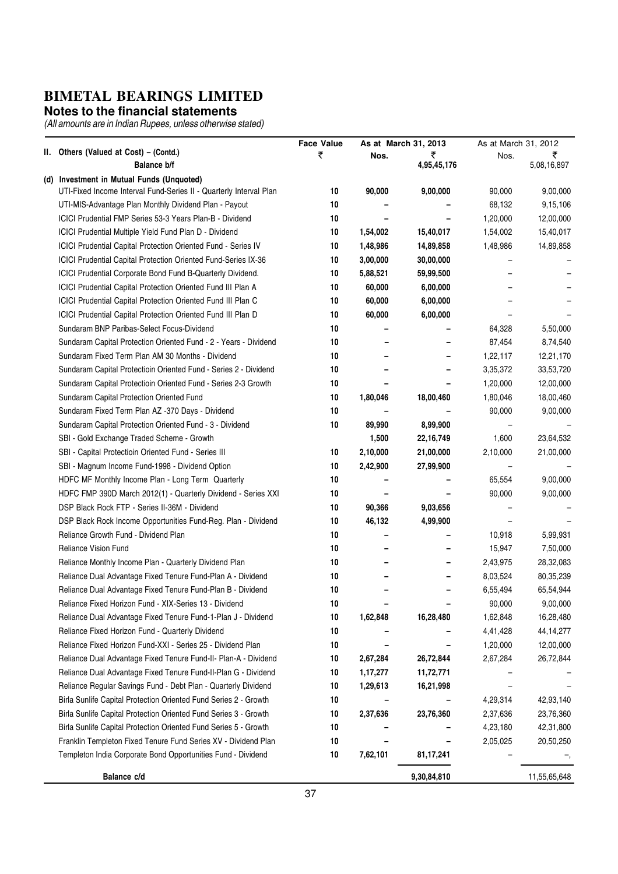#### **Notes to the financial statements**

|                                                                                                                 | <b>Face Value</b> |          | As at March 31, 2013 | As at March 31, 2012     |              |
|-----------------------------------------------------------------------------------------------------------------|-------------------|----------|----------------------|--------------------------|--------------|
| II. Others (Valued at Cost) - (Contd.)                                                                          | ₹                 | Nos.     | ₹                    | Nos.                     | ₹            |
| <b>Balance b/f</b>                                                                                              |                   |          | 4,95,45,176          |                          | 5,08,16,897  |
| (d) Investment in Mutual Funds (Unquoted)<br>UTI-Fixed Income Interval Fund-Series II - Quarterly Interval Plan | 10                | 90,000   |                      | 90,000                   | 9,00,000     |
| UTI-MIS-Advantage Plan Monthly Dividend Plan - Payout                                                           | 10                |          | 9,00,000             | 68,132                   | 9,15,106     |
|                                                                                                                 |                   |          |                      |                          |              |
| ICICI Prudential FMP Series 53-3 Years Plan-B - Dividend                                                        | 10                |          |                      | 1,20,000                 | 12,00,000    |
| ICICI Prudential Multiple Yield Fund Plan D - Dividend                                                          | 10                | 1,54,002 | 15,40,017            | 1,54,002                 | 15,40,017    |
| ICICI Prudential Capital Protection Oriented Fund - Series IV                                                   | 10                | 1,48,986 | 14,89,858            | 1,48,986                 | 14,89,858    |
| <b>ICICI Prudential Capital Protection Oriented Fund-Series IX-36</b>                                           | 10                | 3,00,000 | 30,00,000            |                          |              |
| ICICI Prudential Corporate Bond Fund B-Quarterly Dividend.                                                      | 10                | 5,88,521 | 59,99,500            |                          |              |
| <b>ICICI Prudential Capital Protection Oriented Fund III Plan A</b>                                             | 10                | 60,000   | 6,00,000             |                          |              |
| ICICI Prudential Capital Protection Oriented Fund III Plan C                                                    | 10                | 60,000   | 6,00,000             |                          |              |
| ICICI Prudential Capital Protection Oriented Fund III Plan D                                                    | 10                | 60,000   | 6,00,000             |                          |              |
| Sundaram BNP Paribas-Select Focus-Dividend                                                                      | 10                |          |                      | 64,328                   | 5,50,000     |
| Sundaram Capital Protection Oriented Fund - 2 - Years - Dividend                                                | 10                |          |                      | 87,454                   | 8,74,540     |
| Sundaram Fixed Term Plan AM 30 Months - Dividend                                                                | 10                |          |                      | 1,22,117                 | 12,21,170    |
| Sundaram Capital Protectioin Oriented Fund - Series 2 - Dividend                                                | 10                |          |                      | 3,35,372                 | 33,53,720    |
| Sundaram Capital Protectioin Oriented Fund - Series 2-3 Growth                                                  | 10                |          |                      | 1,20,000                 | 12,00,000    |
| Sundaram Capital Protection Oriented Fund                                                                       | 10                | 1,80,046 | 18,00,460            | 1,80,046                 | 18,00,460    |
| Sundaram Fixed Term Plan AZ -370 Days - Dividend                                                                | 10                |          |                      | 90,000                   | 9,00,000     |
| Sundaram Capital Protection Oriented Fund - 3 - Dividend                                                        | 10                | 89,990   | 8,99,900             |                          |              |
| SBI - Gold Exchange Traded Scheme - Growth                                                                      |                   | 1,500    | 22, 16, 749          | 1,600                    | 23,64,532    |
| SBI - Capital Protectioin Oriented Fund - Series III                                                            | 10                | 2,10,000 | 21,00,000            | 2,10,000                 | 21,00,000    |
| SBI - Magnum Income Fund-1998 - Dividend Option                                                                 | 10                | 2,42,900 | 27,99,900            | $\overline{\phantom{0}}$ |              |
| HDFC MF Monthly Income Plan - Long Term Quarterly                                                               | 10                |          |                      | 65,554                   | 9,00,000     |
| HDFC FMP 390D March 2012(1) - Quarterly Dividend - Series XXI                                                   | 10                |          |                      | 90,000                   | 9,00,000     |
| DSP Black Rock FTP - Series II-36M - Dividend                                                                   | 10                | 90,366   | 9,03,656             |                          |              |
| DSP Black Rock Income Opportunities Fund-Reg. Plan - Dividend                                                   | 10                | 46,132   | 4,99,900             |                          |              |
| Reliance Growth Fund - Dividend Plan                                                                            | 10                |          |                      | 10,918                   | 5,99,931     |
| <b>Reliance Vision Fund</b>                                                                                     | 10                |          |                      | 15,947                   | 7,50,000     |
| Reliance Monthly Income Plan - Quarterly Dividend Plan                                                          | 10                |          |                      | 2,43,975                 | 28,32,083    |
| Reliance Dual Advantage Fixed Tenure Fund-Plan A - Dividend                                                     | 10                |          |                      | 8,03,524                 | 80,35,239    |
| Reliance Dual Advantage Fixed Tenure Fund-Plan B - Dividend                                                     | 10                |          |                      | 6,55,494                 | 65,54,944    |
| Reliance Fixed Horizon Fund - XIX-Series 13 - Dividend                                                          | 10                |          |                      | 90,000                   | 9,00,000     |
| Reliance Dual Advantage Fixed Tenure Fund-1-Plan J - Dividend                                                   | 10                | 1,62,848 | 16,28,480            | 1,62,848                 | 16,28,480    |
| Reliance Fixed Horizon Fund - Quarterly Dividend                                                                | 10                |          |                      | 4,41,428                 | 44, 14, 277  |
| Reliance Fixed Horizon Fund-XXI - Series 25 - Dividend Plan                                                     | 10                |          |                      | 1,20,000                 | 12,00,000    |
| Reliance Dual Advantage Fixed Tenure Fund-II- Plan-A - Dividend                                                 | 10                | 2,67,284 | 26,72,844            | 2,67,284                 | 26,72,844    |
| Reliance Dual Advantage Fixed Tenure Fund-II-Plan G - Dividend                                                  | 10                |          |                      |                          |              |
|                                                                                                                 |                   | 1,17,277 | 11,72,771            |                          |              |
| Reliance Regular Savings Fund - Debt Plan - Quarterly Dividend                                                  | 10                | 1,29,613 | 16,21,998            |                          |              |
| Birla Sunlife Capital Protection Oriented Fund Series 2 - Growth                                                | 10                |          |                      | 4,29,314                 | 42,93,140    |
| Birla Sunlife Capital Protection Oriented Fund Series 3 - Growth                                                | 10                | 2,37,636 | 23,76,360            | 2,37,636                 | 23,76,360    |
| Birla Sunlife Capital Protection Oriented Fund Series 5 - Growth                                                | 10                |          |                      | 4,23,180                 | 42,31,800    |
| Franklin Templeton Fixed Tenure Fund Series XV - Dividend Plan                                                  | 10                |          |                      | 2,05,025                 | 20,50,250    |
| Templeton India Corporate Bond Opportunities Fund - Dividend                                                    | 10                | 7,62,101 | 81, 17, 241          |                          |              |
| Balance c/d                                                                                                     |                   |          | 9,30,84,810          |                          | 11,55,65,648 |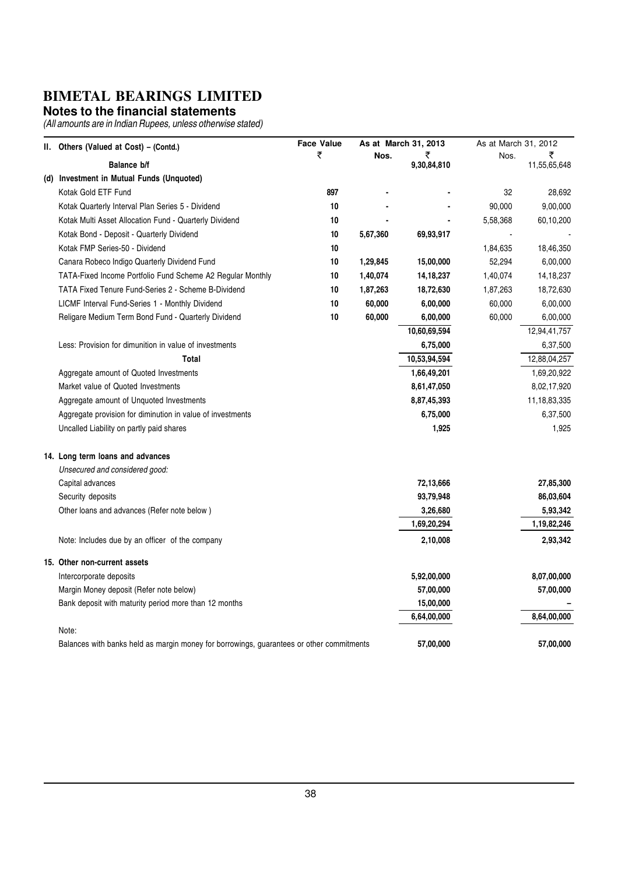#### **Notes to the financial statements**

|     | II. Others (Valued at Cost) – (Contd.)                                                   | <b>Face Value</b> |          | As at March 31, 2013 | As at March 31, 2012 |              |
|-----|------------------------------------------------------------------------------------------|-------------------|----------|----------------------|----------------------|--------------|
|     | Balance b/f                                                                              | ₹                 | Nos.     | ₹                    | Nos.                 | ₹            |
|     | Investment in Mutual Funds (Unquoted)                                                    |                   |          | 9,30,84,810          |                      | 11,55,65,648 |
| (d) | Kotak Gold ETF Fund                                                                      | 897               |          |                      | 32                   | 28,692       |
|     |                                                                                          | 10                |          |                      | 90,000               | 9,00,000     |
|     | Kotak Quarterly Interval Plan Series 5 - Dividend                                        | 10                |          |                      |                      |              |
|     | Kotak Multi Asset Allocation Fund - Quarterly Dividend                                   |                   |          |                      | 5,58,368             | 60,10,200    |
|     | Kotak Bond - Deposit - Quarterly Dividend                                                | 10                | 5,67,360 | 69,93,917            |                      |              |
|     | Kotak FMP Series-50 - Dividend                                                           | 10                |          |                      | 1,84,635             | 18,46,350    |
|     | Canara Robeco Indigo Quarterly Dividend Fund                                             | 10                | 1,29,845 | 15,00,000            | 52,294               | 6,00,000     |
|     | TATA-Fixed Income Portfolio Fund Scheme A2 Regular Monthly                               | 10                | 1,40,074 | 14, 18, 237          | 1,40,074             | 14, 18, 237  |
|     | TATA Fixed Tenure Fund-Series 2 - Scheme B-Dividend                                      | 10                | 1,87,263 | 18,72,630            | 1,87,263             | 18,72,630    |
|     | LICMF Interval Fund-Series 1 - Monthly Dividend                                          | 10                | 60,000   | 6,00,000             | 60,000               | 6,00,000     |
|     | Religare Medium Term Bond Fund - Quarterly Dividend                                      | 10                | 60,000   | 6,00,000             | 60,000               | 6,00,000     |
|     |                                                                                          |                   |          | 10,60,69,594         |                      | 12,94,41,757 |
|     | Less: Provision for dimunition in value of investments                                   |                   |          | 6,75,000             |                      | 6,37,500     |
|     | Total                                                                                    |                   |          | 10,53,94,594         |                      | 12,88,04,257 |
|     | Aggregate amount of Quoted Investments                                                   |                   |          | 1,66,49,201          |                      | 1,69,20,922  |
|     | Market value of Quoted Investments                                                       |                   |          | 8,61,47,050          |                      | 8,02,17,920  |
|     | Aggregate amount of Unquoted Investments                                                 |                   |          | 8,87,45,393          |                      | 11,18,83,335 |
|     | Aggregate provision for diminution in value of investments                               |                   |          | 6,75,000             |                      | 6,37,500     |
|     | Uncalled Liability on partly paid shares                                                 |                   |          | 1,925                |                      | 1,925        |
|     | 14. Long term loans and advances                                                         |                   |          |                      |                      |              |
|     | Unsecured and considered good:                                                           |                   |          |                      |                      |              |
|     | Capital advances                                                                         |                   |          | 72,13,666            |                      | 27,85,300    |
|     | Security deposits                                                                        |                   |          | 93,79,948            |                      | 86,03,604    |
|     | Other loans and advances (Refer note below)                                              |                   |          | 3,26,680             |                      | 5,93,342     |
|     |                                                                                          |                   |          | 1,69,20,294          |                      | 1,19,82,246  |
|     | Note: Includes due by an officer of the company                                          |                   |          | 2,10,008             |                      | 2,93,342     |
|     | 15. Other non-current assets                                                             |                   |          |                      |                      |              |
|     | Intercorporate deposits                                                                  |                   |          | 5,92,00,000          |                      | 8,07,00,000  |
|     | Margin Money deposit (Refer note below)                                                  |                   |          | 57,00,000            |                      | 57,00,000    |
|     | Bank deposit with maturity period more than 12 months                                    |                   |          | 15,00,000            |                      |              |
|     |                                                                                          |                   |          | 6,64,00,000          |                      | 8,64,00,000  |
|     | Note:                                                                                    |                   |          |                      |                      |              |
|     | Balances with banks held as margin money for borrowings, guarantees or other commitments |                   |          | 57,00,000            |                      | 57,00,000    |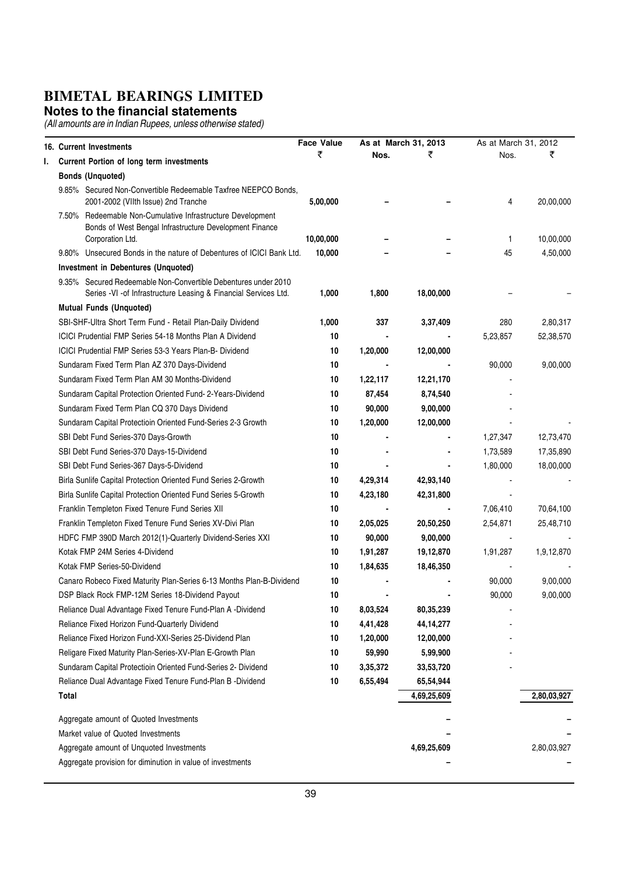#### **Notes to the financial statements**

|    |       | <b>16. Current Investments</b>                                                                                                            | <b>Face Value</b> |          | As at March 31, 2013 | As at March 31, 2012 |             |
|----|-------|-------------------------------------------------------------------------------------------------------------------------------------------|-------------------|----------|----------------------|----------------------|-------------|
| ı. |       | Current Portion of long term investments                                                                                                  | ₹                 | Nos.     | ₹                    | Nos.                 | ₹           |
|    |       | <b>Bonds (Unquoted)</b>                                                                                                                   |                   |          |                      |                      |             |
|    |       | 9.85% Secured Non-Convertible Redeemable Taxfree NEEPCO Bonds,<br>2001-2002 (Vilth Issue) 2nd Tranche                                     | 5,00,000          |          |                      | 4                    | 20,00,000   |
|    |       | 7.50% Redeemable Non-Cumulative Infrastructure Development<br>Bonds of West Bengal Infrastructure Development Finance<br>Corporation Ltd. | 10,00,000         |          |                      | 1                    | 10,00,000   |
|    |       | 9.80% Unsecured Bonds in the nature of Debentures of ICICI Bank Ltd.                                                                      | 10,000            |          |                      | 45                   | 4,50,000    |
|    |       | Investment in Debentures (Unquoted)                                                                                                       |                   |          |                      |                      |             |
|    |       | 9.35% Secured Redeemable Non-Convertible Debentures under 2010<br>Series -VI -of Infrastructure Leasing & Financial Services Ltd.         | 1,000             | 1,800    | 18,00,000            |                      |             |
|    |       | <b>Mutual Funds (Unquoted)</b>                                                                                                            |                   |          |                      |                      |             |
|    |       | SBI-SHF-Ultra Short Term Fund - Retail Plan-Daily Dividend                                                                                | 1,000             | 337      | 3,37,409             | 280                  | 2,80,317    |
|    |       | ICICI Prudential FMP Series 54-18 Months Plan A Dividend                                                                                  | 10                |          |                      | 5,23,857             | 52,38,570   |
|    |       | ICICI Prudential FMP Series 53-3 Years Plan-B- Dividend                                                                                   | 10                | 1,20,000 | 12,00,000            |                      |             |
|    |       | Sundaram Fixed Term Plan AZ 370 Days-Dividend                                                                                             | 10                |          |                      | 90,000               | 9,00,000    |
|    |       | Sundaram Fixed Term Plan AM 30 Months-Dividend                                                                                            | 10                | 1,22,117 | 12,21,170            |                      |             |
|    |       | Sundaram Capital Protection Oriented Fund- 2-Years-Dividend                                                                               | 10                | 87,454   | 8,74,540             |                      |             |
|    |       | Sundaram Fixed Term Plan CQ 370 Days Dividend                                                                                             | 10                | 90,000   | 9,00,000             |                      |             |
|    |       | Sundaram Capital Protectioin Oriented Fund-Series 2-3 Growth                                                                              | 10                | 1,20,000 | 12,00,000            |                      |             |
|    |       | SBI Debt Fund Series-370 Days-Growth                                                                                                      | 10                |          |                      | 1,27,347             | 12,73,470   |
|    |       | SBI Debt Fund Series-370 Days-15-Dividend                                                                                                 | 10                |          |                      | 1,73,589             | 17,35,890   |
|    |       | SBI Debt Fund Series-367 Days-5-Dividend                                                                                                  | 10                |          |                      | 1,80,000             | 18,00,000   |
|    |       | Birla Sunlife Capital Protection Oriented Fund Series 2-Growth                                                                            | 10                | 4,29,314 | 42,93,140            |                      |             |
|    |       | Birla Sunlife Capital Protection Oriented Fund Series 5-Growth                                                                            | 10                | 4,23,180 | 42,31,800            |                      |             |
|    |       | Franklin Templeton Fixed Tenure Fund Series XII                                                                                           | 10                |          |                      | 7,06,410             | 70,64,100   |
|    |       | Franklin Templeton Fixed Tenure Fund Series XV-Divi Plan                                                                                  | 10                | 2,05,025 | 20,50,250            | 2,54,871             | 25,48,710   |
|    |       | HDFC FMP 390D March 2012(1)-Quarterly Dividend-Series XXI                                                                                 | 10                | 90,000   | 9,00,000             |                      |             |
|    |       | Kotak FMP 24M Series 4-Dividend                                                                                                           | 10                | 1,91,287 | 19,12,870            | 1,91,287             | 1,9,12,870  |
|    |       | Kotak FMP Series-50-Dividend                                                                                                              | 10                | 1,84,635 | 18,46,350            |                      |             |
|    |       | Canaro Robeco Fixed Maturity Plan-Series 6-13 Months Plan-B-Dividend                                                                      | 10                |          |                      | 90,000               | 9,00,000    |
|    |       | DSP Black Rock FMP-12M Series 18-Dividend Payout                                                                                          | 10                |          |                      | 90,000               | 9,00,000    |
|    |       | Reliance Dual Advantage Fixed Tenure Fund-Plan A -Dividend                                                                                | 10                | 8,03,524 | 80,35,239            |                      |             |
|    |       | Reliance Fixed Horizon Fund-Quarterly Dividend                                                                                            | 10                | 4,41,428 | 44, 14, 277          |                      |             |
|    |       | Reliance Fixed Horizon Fund-XXI-Series 25-Dividend Plan                                                                                   | 10                | 1,20,000 | 12,00,000            |                      |             |
|    |       | Religare Fixed Maturity Plan-Series-XV-Plan E-Growth Plan                                                                                 | 10                | 59,990   | 5,99,900             |                      |             |
|    |       | Sundaram Capital Protectioin Oriented Fund-Series 2- Dividend                                                                             | 10                | 3,35,372 | 33,53,720            |                      |             |
|    |       | Reliance Dual Advantage Fixed Tenure Fund-Plan B -Dividend                                                                                | 10                | 6,55,494 | 65,54,944            |                      |             |
|    | Total |                                                                                                                                           |                   |          | 4,69,25,609          |                      | 2,80,03,927 |
|    |       | Aggregate amount of Quoted Investments                                                                                                    |                   |          |                      |                      |             |
|    |       | Market value of Quoted Investments                                                                                                        |                   |          |                      |                      |             |
|    |       | Aggregate amount of Unquoted Investments                                                                                                  |                   |          | 4,69,25,609          |                      | 2,80,03,927 |
|    |       | Aggregate provision for diminution in value of investments                                                                                |                   |          |                      |                      |             |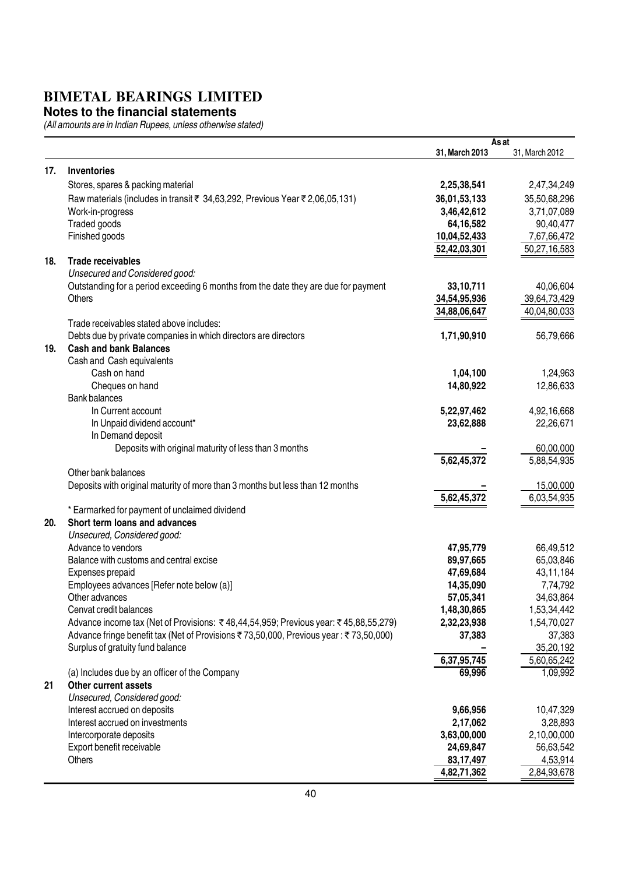#### **Notes to the financial statements**

|     |                                                                                      |                | As at          |
|-----|--------------------------------------------------------------------------------------|----------------|----------------|
|     |                                                                                      | 31, March 2013 | 31, March 2012 |
| 17. | <b>Inventories</b>                                                                   |                |                |
|     | Stores, spares & packing material                                                    | 2,25,38,541    | 2,47,34,249    |
|     | Raw materials (includes in transit ₹ 34,63,292, Previous Year ₹ 2,06,05,131)         | 36,01,53,133   | 35,50,68,296   |
|     | Work-in-progress                                                                     | 3,46,42,612    | 3,71,07,089    |
|     | Traded goods                                                                         | 64,16,582      | 90,40,477      |
|     | Finished goods                                                                       | 10,04,52,433   | 7,67,66,472    |
|     |                                                                                      | 52,42,03,301   | 50,27,16,583   |
| 18. | <b>Trade receivables</b>                                                             |                |                |
|     | Unsecured and Considered good:                                                       |                |                |
|     | Outstanding for a period exceeding 6 months from the date they are due for payment   | 33,10,711      | 40,06,604      |
|     | <b>Others</b>                                                                        | 34,54,95,936   | 39,64,73,429   |
|     |                                                                                      | 34,88,06,647   | 40,04,80,033   |
|     | Trade receivables stated above includes:                                             |                |                |
|     | Debts due by private companies in which directors are directors                      | 1,71,90,910    | 56,79,666      |
| 19. | <b>Cash and bank Balances</b>                                                        |                |                |
|     | Cash and Cash equivalents                                                            |                |                |
|     | Cash on hand                                                                         | 1,04,100       | 1,24,963       |
|     | Cheques on hand                                                                      | 14,80,922      | 12,86,633      |
|     | <b>Bank balances</b>                                                                 |                |                |
|     | In Current account                                                                   | 5,22,97,462    | 4,92,16,668    |
|     | In Unpaid dividend account*                                                          | 23,62,888      | 22,26,671      |
|     | In Demand deposit                                                                    |                |                |
|     | Deposits with original maturity of less than 3 months                                |                | 60,00,000      |
|     | Other bank balances                                                                  | 5,62,45,372    | 5,88,54,935    |
|     | Deposits with original maturity of more than 3 months but less than 12 months        |                | 15,00,000      |
|     |                                                                                      | 5,62,45,372    | 6,03,54,935    |
|     | * Earmarked for payment of unclaimed dividend                                        |                |                |
| 20. | Short term loans and advances                                                        |                |                |
|     | Unsecured, Considered good:                                                          |                |                |
|     | Advance to vendors                                                                   | 47,95,779      | 66,49,512      |
|     | Balance with customs and central excise                                              | 89,97,665      | 65,03,846      |
|     | Expenses prepaid                                                                     | 47,69,684      | 43,11,184      |
|     | Employees advances [Refer note below (a)]                                            | 14,35,090      | 7,74,792       |
|     | Other advances                                                                       | 57,05,341      | 34,63,864      |
|     | Cenvat credit balances                                                               | 1,48,30,865    | 1,53,34,442    |
|     | Advance income tax (Net of Provisions: ₹48,44,54,959; Previous year: ₹45,88,55,279)  | 2,32,23,938    | 1,54,70,027    |
|     | Advance fringe benefit tax (Net of Provisions ₹73,50,000, Previous year: ₹73,50,000) | 37,383         | 37,383         |
|     | Surplus of gratuity fund balance                                                     |                | 35,20,192      |
|     |                                                                                      | 6,37,95,745    | 5,60,65,242    |
|     | (a) Includes due by an officer of the Company                                        | 69,996         | 1,09,992       |
| 21  | Other current assets                                                                 |                |                |
|     | Unsecured, Considered good:                                                          |                |                |
|     | Interest accrued on deposits                                                         | 9,66,956       | 10,47,329      |
|     | Interest accrued on investments                                                      | 2,17,062       | 3,28,893       |
|     | Intercorporate deposits                                                              | 3,63,00,000    | 2,10,00,000    |
|     | Export benefit receivable                                                            | 24,69,847      | 56,63,542      |
|     | Others                                                                               | 83, 17, 497    | 4,53,914       |
|     |                                                                                      | 4,82,71,362    | 2,84,93,678    |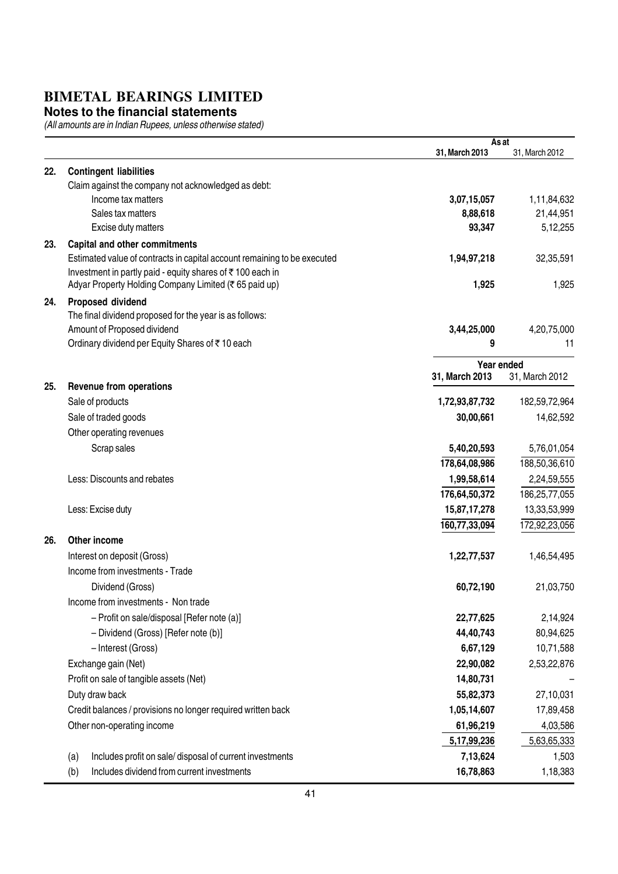#### **Notes to the financial statements**

|     |                                                                          | As at          |                |
|-----|--------------------------------------------------------------------------|----------------|----------------|
|     |                                                                          | 31, March 2013 | 31, March 2012 |
| 22. | <b>Contingent liabilities</b>                                            |                |                |
|     | Claim against the company not acknowledged as debt:                      |                |                |
|     | Income tax matters                                                       | 3,07,15,057    | 1,11,84,632    |
|     | Sales tax matters                                                        | 8,88,618       | 21,44,951      |
|     | Excise duty matters                                                      | 93,347         | 5,12,255       |
| 23. | <b>Capital and other commitments</b>                                     |                |                |
|     | Estimated value of contracts in capital account remaining to be executed | 1,94,97,218    | 32,35,591      |
|     | Investment in partly paid - equity shares of ₹100 each in                |                |                |
|     | Adyar Property Holding Company Limited (₹65 paid up)                     | 1,925          | 1,925          |
| 24. | Proposed dividend                                                        |                |                |
|     | The final dividend proposed for the year is as follows:                  |                |                |
|     | Amount of Proposed dividend                                              | 3,44,25,000    | 4,20,75,000    |
|     | Ordinary dividend per Equity Shares of ₹10 each                          | 9              | 11             |
|     |                                                                          | Year ended     |                |
| 25. |                                                                          | 31, March 2013 | 31, March 2012 |
|     | <b>Revenue from operations</b>                                           |                |                |
|     | Sale of products                                                         | 1,72,93,87,732 | 182,59,72,964  |
|     | Sale of traded goods                                                     | 30,00,661      | 14,62,592      |
|     | Other operating revenues                                                 |                |                |
|     | Scrap sales                                                              | 5,40,20,593    | 5,76,01,054    |
|     |                                                                          | 178,64,08,986  | 188,50,36,610  |
|     | Less: Discounts and rebates                                              | 1,99,58,614    | 2,24,59,555    |
|     |                                                                          | 176,64,50,372  | 186,25,77,055  |
|     | Less: Excise duty                                                        | 15,87,17,278   | 13,33,53,999   |
|     |                                                                          | 160,77,33,094  | 172,92,23,056  |
| 26. | Other income                                                             |                |                |
|     | Interest on deposit (Gross)                                              | 1,22,77,537    | 1,46,54,495    |
|     | Income from investments - Trade                                          |                |                |
|     | Dividend (Gross)                                                         | 60,72,190      | 21,03,750      |
|     | Income from investments - Non trade                                      |                |                |
|     | - Profit on sale/disposal [Refer note (a)]                               | 22,77,625      | 2,14,924       |
|     | - Dividend (Gross) [Refer note (b)]                                      | 44,40,743      | 80,94,625      |
|     | - Interest (Gross)                                                       | 6,67,129       | 10,71,588      |
|     | Exchange gain (Net)                                                      | 22,90,082      | 2,53,22,876    |
|     | Profit on sale of tangible assets (Net)                                  | 14,80,731      |                |
|     | Duty draw back                                                           | 55,82,373      | 27,10,031      |
|     | Credit balances / provisions no longer required written back             | 1,05,14,607    | 17,89,458      |
|     | Other non-operating income                                               | 61,96,219      | 4,03,586       |
|     |                                                                          | 5,17,99,236    | 5,63,65,333    |
|     | Includes profit on sale/ disposal of current investments<br>(a)          | 7,13,624       | 1,503          |
|     | Includes dividend from current investments<br>(b)                        | 16,78,863      | 1,18,383       |
|     |                                                                          |                |                |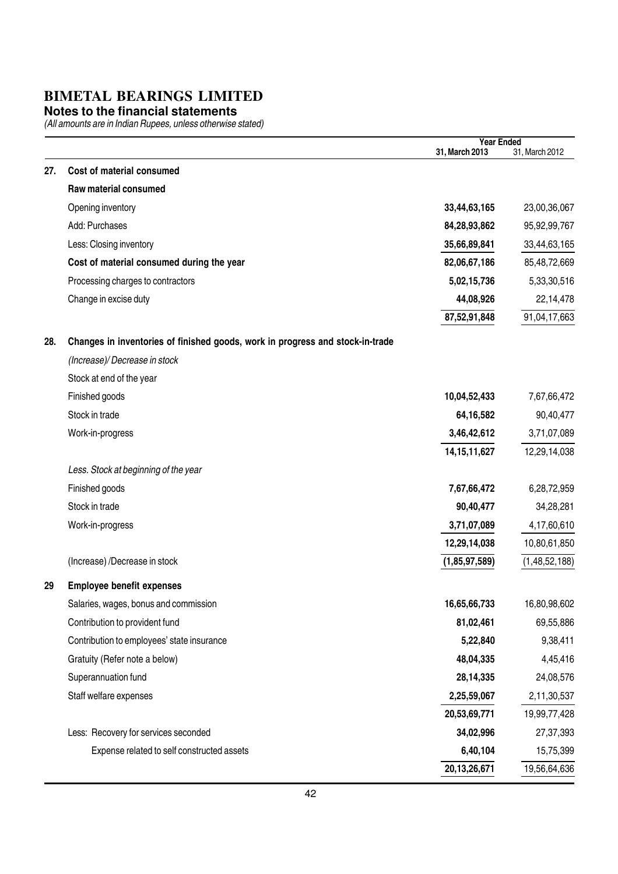#### **Notes to the financial statements**

|     |                                                                               | <b>Year Ended</b> |                  |
|-----|-------------------------------------------------------------------------------|-------------------|------------------|
|     |                                                                               | 31, March 2013    | 31, March 2012   |
| 27. | Cost of material consumed                                                     |                   |                  |
|     | Raw material consumed                                                         |                   |                  |
|     | Opening inventory                                                             | 33,44,63,165      | 23,00,36,067     |
|     | Add: Purchases                                                                | 84,28,93,862      | 95,92,99,767     |
|     | Less: Closing inventory                                                       | 35,66,89,841      | 33,44,63,165     |
|     | Cost of material consumed during the year                                     | 82,06,67,186      | 85,48,72,669     |
|     | Processing charges to contractors                                             | 5,02,15,736       | 5,33,30,516      |
|     | Change in excise duty                                                         | 44,08,926         | 22,14,478        |
|     |                                                                               | 87,52,91,848      | 91,04,17,663     |
| 28. | Changes in inventories of finished goods, work in progress and stock-in-trade |                   |                  |
|     | (Increase)/Decrease in stock                                                  |                   |                  |
|     | Stock at end of the year                                                      |                   |                  |
|     | Finished goods                                                                | 10,04,52,433      | 7,67,66,472      |
|     | Stock in trade                                                                | 64,16,582         | 90,40,477        |
|     | Work-in-progress                                                              | 3,46,42,612       | 3,71,07,089      |
|     |                                                                               | 14, 15, 11, 627   | 12,29,14,038     |
|     | Less. Stock at beginning of the year                                          |                   |                  |
|     | Finished goods                                                                | 7,67,66,472       | 6,28,72,959      |
|     | Stock in trade                                                                | 90,40,477         | 34,28,281        |
|     | Work-in-progress                                                              | 3,71,07,089       | 4,17,60,610      |
|     |                                                                               | 12,29,14,038      | 10,80,61,850     |
|     | (Increase) /Decrease in stock                                                 | (1,85,97,589)     | (1, 48, 52, 188) |
| 29  | <b>Employee benefit expenses</b>                                              |                   |                  |
|     | Salaries, wages, bonus and commission                                         | 16,65,66,733      | 16,80,98,602     |
|     | Contribution to provident fund                                                | 81,02,461         | 69,55,886        |
|     | Contribution to employees' state insurance                                    | 5,22,840          | 9,38,411         |
|     | Gratuity (Refer note a below)                                                 | 48,04,335         | 4,45,416         |
|     | Superannuation fund                                                           | 28, 14, 335       | 24,08,576        |
|     | Staff welfare expenses                                                        | 2,25,59,067       |                  |
|     |                                                                               |                   | 2,11,30,537      |
|     |                                                                               | 20,53,69,771      | 19,99,77,428     |
|     | Less: Recovery for services seconded                                          | 34,02,996         | 27,37,393        |
|     | Expense related to self constructed assets                                    | 6,40,104          | 15,75,399        |
|     |                                                                               | 20,13,26,671      | 19,56,64,636     |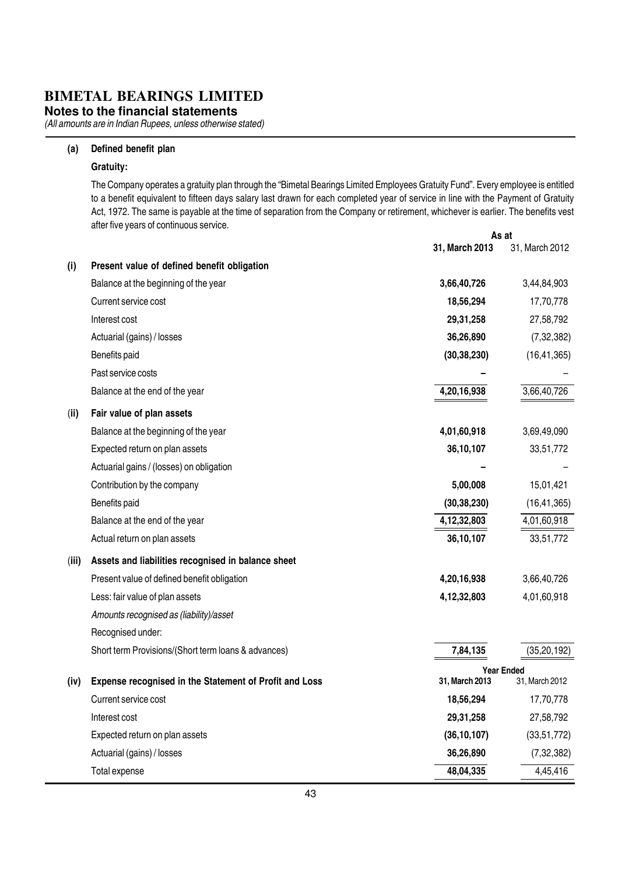**Notes to the financial statements**

(All amounts are in Indian Rupees, unless otherwise stated)

#### (a) Defined benefit plan

#### Gratuity:

As at The Company operates a gratuity plan through the "Bimetal Bearings Limited Employees Gratuity Fund". Every employee is entitled to a benefit equivalent to fifteen days salary last drawn for each completed year of service in line with the Payment of Gratuity Act, 1972. The same is payable at the time of separation from the Company or retirement, whichever is earlier. The benefits vest after five years of continuous service.

|       |                                                        | 31, March 2013 | ns al<br>31, March 2012 |
|-------|--------------------------------------------------------|----------------|-------------------------|
| (i)   | Present value of defined benefit obligation            |                |                         |
|       | Balance at the beginning of the year                   | 3,66,40,726    | 3,44,84,903             |
|       | Current service cost                                   | 18,56,294      | 17,70,778               |
|       | Interest cost                                          | 29,31,258      | 27,58,792               |
|       | Actuarial (gains) / losses                             | 36,26,890      | (7, 32, 382)            |
|       | Benefits paid                                          | (30, 38, 230)  | (16, 41, 365)           |
|       | Past service costs                                     |                |                         |
|       | Balance at the end of the year                         | 4,20,16,938    | 3,66,40,726             |
| (ii)  | Fair value of plan assets                              |                |                         |
|       | Balance at the beginning of the year                   | 4,01,60,918    | 3,69,49,090             |
|       | Expected return on plan assets                         | 36,10,107      | 33,51,772               |
|       | Actuarial gains / (losses) on obligation               |                |                         |
|       | Contribution by the company                            | 5,00,008       | 15,01,421               |
|       | Benefits paid                                          | (30, 38, 230)  | (16, 41, 365)           |
|       | Balance at the end of the year                         | 4,12,32,803    | 4,01,60,918             |
|       | Actual return on plan assets                           | 36,10,107      | 33,51,772               |
| (iii) | Assets and liabilities recognised in balance sheet     |                |                         |
|       | Present value of defined benefit obligation            | 4,20,16,938    | 3,66,40,726             |
|       | Less: fair value of plan assets                        | 4, 12, 32, 803 | 4,01,60,918             |
|       | Amounts recognised as (liability)/asset                |                |                         |
|       | Recognised under:                                      |                |                         |
|       | Short term Provisions/(Short term loans & advances)    | 7,84,135       | (35, 20, 192)           |
|       |                                                        |                | <b>Year Ended</b>       |
| (iv)  | Expense recognised in the Statement of Profit and Loss | 31, March 2013 | 31, March 2012          |
|       | Current service cost                                   | 18,56,294      | 17,70,778               |
|       | Interest cost                                          | 29,31,258      | 27,58,792               |
|       | Expected return on plan assets                         | (36, 10, 107)  | (33,51,772)             |
|       | Actuarial (gains) / losses                             | 36,26,890      | (7, 32, 382)            |
|       | Total expense                                          | 48,04,335      | 4,45,416                |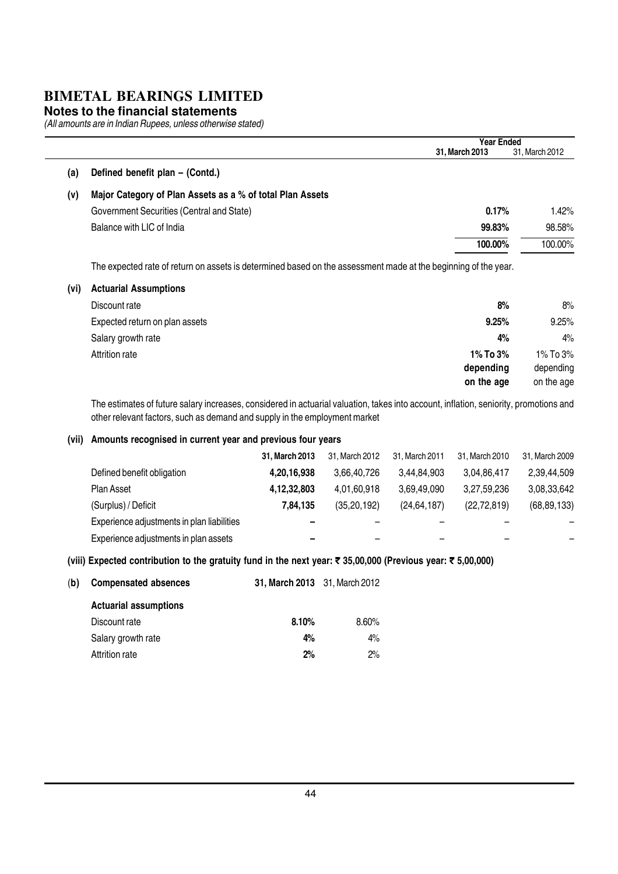#### **Notes to the financial statements**

(All amounts are in Indian Rupees, unless otherwise stated)

|      |                                                                                                                                                                                                                                                                                                                                                                                                                                       | <b>Year Ended</b> |            |
|------|---------------------------------------------------------------------------------------------------------------------------------------------------------------------------------------------------------------------------------------------------------------------------------------------------------------------------------------------------------------------------------------------------------------------------------------|-------------------|------------|
|      | 31, March 2013<br>Defined benefit plan - (Contd.)<br>Major Category of Plan Assets as a % of total Plan Assets<br>Government Securities (Central and State)<br>Balance with LIC of India<br>The expected rate of return on assets is determined based on the assessment made at the beginning of the year.<br><b>Actuarial Assumptions</b><br>Discount rate<br>Expected return on plan assets<br>Salary growth rate<br>Attrition rate | 31, March 2012    |            |
| (a)  |                                                                                                                                                                                                                                                                                                                                                                                                                                       |                   |            |
| (v)  |                                                                                                                                                                                                                                                                                                                                                                                                                                       |                   |            |
|      |                                                                                                                                                                                                                                                                                                                                                                                                                                       | 0.17%             | 1.42%      |
|      |                                                                                                                                                                                                                                                                                                                                                                                                                                       | 99.83%            | 98.58%     |
|      |                                                                                                                                                                                                                                                                                                                                                                                                                                       | 100.00%           | 100.00%    |
|      |                                                                                                                                                                                                                                                                                                                                                                                                                                       |                   |            |
| (vi) |                                                                                                                                                                                                                                                                                                                                                                                                                                       |                   |            |
|      |                                                                                                                                                                                                                                                                                                                                                                                                                                       | 8%                | 8%         |
|      |                                                                                                                                                                                                                                                                                                                                                                                                                                       | 9.25%             | 9.25%      |
|      |                                                                                                                                                                                                                                                                                                                                                                                                                                       | 4%                | 4%         |
|      |                                                                                                                                                                                                                                                                                                                                                                                                                                       | 1% To 3%          | 1% To 3%   |
|      |                                                                                                                                                                                                                                                                                                                                                                                                                                       | depending         | depending  |
|      |                                                                                                                                                                                                                                                                                                                                                                                                                                       | on the age        | on the age |

The estimates of future salary increases, considered in actuarial valuation, takes into account, inflation, seniority, promotions and other relevant factors, such as demand and supply in the employment market

#### (vii) Amounts recognised in current year and previous four years

|                                            | 31, March 2013 | 31, March 2012 | 31, March 2011 | 31, March 2010 | 31, March 2009 |
|--------------------------------------------|----------------|----------------|----------------|----------------|----------------|
| Defined benefit obligation                 | 4,20,16,938    | 3,66,40,726    | 3,44,84,903    | 3,04,86,417    | 2,39,44,509    |
| Plan Asset                                 | 4,12,32,803    | 4,01,60,918    | 3,69,49,090    | 3,27,59,236    | 3,08,33,642    |
| (Surplus) / Deficit                        | 7,84,135       | (35, 20, 192)  | (24, 64, 187)  | (22, 72, 819)  | (68, 89, 133)  |
| Experience adjustments in plan liabilities | -              |                |                |                |                |
| Experience adjustments in plan assets      | -              |                |                |                |                |

#### (viii) Expected contribution to the gratuity fund in the next year: ₹ 35,00,000 (Previous year: ₹ 5,00,000)

| (b) | <b>Compensated absences</b>  | 31, March 2013 31, March 2012 |          |
|-----|------------------------------|-------------------------------|----------|
|     | <b>Actuarial assumptions</b> |                               |          |
|     | Discount rate                | 8.10%                         | $8.60\%$ |
|     | Salary growth rate           | 4%                            | $4\%$    |
|     | Attrition rate               | 2%                            | $2\%$    |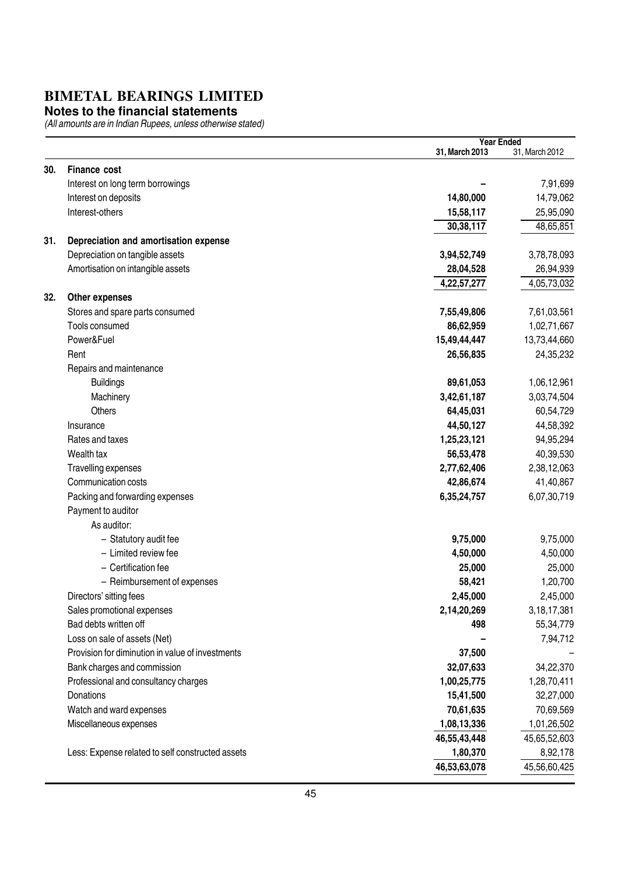#### **Notes to the financial statements**

|     |                                                  |                | <b>Year Ended</b> |
|-----|--------------------------------------------------|----------------|-------------------|
|     |                                                  | 31, March 2013 | 31, March 2012    |
| 30. | <b>Finance cost</b>                              |                |                   |
|     | Interest on long term borrowings                 |                | 7,91,699          |
|     | Interest on deposits                             | 14,80,000      | 14,79,062         |
|     | Interest-others                                  | 15,58,117      | 25,95,090         |
|     |                                                  | 30,38,117      | 48,65,851         |
| 31. | Depreciation and amortisation expense            |                |                   |
|     | Depreciation on tangible assets                  | 3,94,52,749    | 3,78,78,093       |
|     | Amortisation on intangible assets                | 28,04,528      | 26,94,939         |
|     |                                                  | 4,22,57,277    | 4,05,73,032       |
| 32. | Other expenses                                   |                |                   |
|     | Stores and spare parts consumed                  | 7,55,49,806    | 7,61,03,561       |
|     | Tools consumed                                   | 86,62,959      | 1,02,71,667       |
|     | Power&Fuel                                       | 15,49,44,447   | 13,73,44,660      |
|     | Rent                                             | 26,56,835      | 24,35,232         |
|     | Repairs and maintenance                          |                |                   |
|     | <b>Buildings</b>                                 | 89,61,053      | 1,06,12,961       |
|     | Machinery                                        | 3,42,61,187    | 3,03,74,504       |
|     | <b>Others</b>                                    | 64,45,031      | 60,54,729         |
|     | Insurance                                        | 44,50,127      | 44,58,392         |
|     | Rates and taxes                                  | 1,25,23,121    | 94,95,294         |
|     | Wealth tax                                       | 56,53,478      | 40,39,530         |
|     | Travelling expenses                              | 2,77,62,406    | 2,38,12,063       |
|     | Communication costs                              | 42,86,674      | 41,40,867         |
|     | Packing and forwarding expenses                  | 6,35,24,757    | 6,07,30,719       |
|     | Payment to auditor                               |                |                   |
|     | As auditor:                                      |                |                   |
|     | - Statutory audit fee                            | 9,75,000       | 9,75,000          |
|     | - Limited review fee                             | 4,50,000       | 4,50,000          |
|     | - Certification fee                              | 25,000         | 25,000            |
|     | - Reimbursement of expenses                      | 58,421         | 1,20,700          |
|     | Directors' sitting fees                          | 2,45,000       | 2,45,000          |
|     | Sales promotional expenses                       | 2,14,20,269    | 3, 18, 17, 381    |
|     | Bad debts written off                            | 498            | 55,34,779         |
|     | Loss on sale of assets (Net)                     |                | 7,94,712          |
|     | Provision for diminution in value of investments | 37,500         |                   |
|     | Bank charges and commission                      | 32,07,633      | 34,22,370         |
|     | Professional and consultancy charges             | 1,00,25,775    | 1,28,70,411       |
|     | Donations                                        | 15,41,500      | 32,27,000         |
|     | Watch and ward expenses                          | 70,61,635      | 70,69,569         |
|     | Miscellaneous expenses                           | 1,08,13,336    | 1,01,26,502       |
|     |                                                  | 46,55,43,448   | 45,65,52,603      |
|     | Less: Expense related to self constructed assets | 1,80,370       | 8,92,178          |
|     |                                                  | 46,53,63,078   | 45,56,60,425      |
|     |                                                  |                |                   |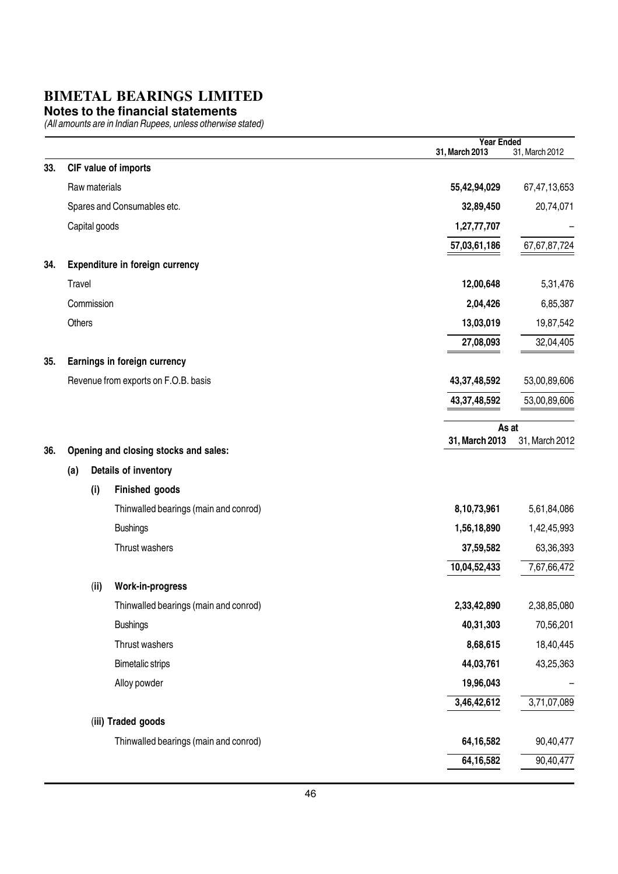#### **Notes to the financial statements**

|     |               |                                       | <b>Year Ended</b><br>31, March 2013 | 31, March 2012  |
|-----|---------------|---------------------------------------|-------------------------------------|-----------------|
| 33. |               | CIF value of imports                  |                                     |                 |
|     | Raw materials |                                       | 55,42,94,029                        | 67,47,13,653    |
|     |               | Spares and Consumables etc.           | 32,89,450                           | 20,74,071       |
|     | Capital goods |                                       | 1,27,77,707                         |                 |
|     |               |                                       | 57,03,61,186                        | 67, 67, 87, 724 |
| 34. |               | Expenditure in foreign currency       |                                     |                 |
|     | Travel        |                                       | 12,00,648                           | 5,31,476        |
|     | Commission    |                                       | 2,04,426                            | 6,85,387        |
|     | Others        |                                       | 13,03,019                           | 19,87,542       |
|     |               |                                       | 27,08,093                           | 32,04,405       |
| 35. |               | Earnings in foreign currency          |                                     |                 |
|     |               | Revenue from exports on F.O.B. basis  | 43,37,48,592                        | 53,00,89,606    |
|     |               |                                       | 43,37,48,592                        | 53,00,89,606    |
|     |               |                                       | As at                               |                 |
| 36. |               | Opening and closing stocks and sales: | 31, March 2013                      | 31, March 2012  |
|     | (a)           | Details of inventory                  |                                     |                 |
|     | (i)           | Finished goods                        |                                     |                 |
|     |               | Thinwalled bearings (main and conrod) | 8,10,73,961                         | 5,61,84,086     |
|     |               | <b>Bushings</b>                       | 1,56,18,890                         | 1,42,45,993     |
|     |               | Thrust washers                        | 37,59,582                           | 63,36,393       |
|     |               |                                       | 10,04,52,433                        | 7,67,66,472     |
|     | (ii)          | Work-in-progress                      |                                     |                 |
|     |               | Thinwalled bearings (main and conrod) | 2,33,42,890                         | 2,38,85,080     |
|     |               | <b>Bushings</b>                       | 40,31,303                           | 70,56,201       |
|     |               | Thrust washers                        | 8,68,615                            | 18,40,445       |
|     |               | <b>Bimetalic strips</b>               | 44,03,761                           | 43,25,363       |
|     |               | Alloy powder                          | 19,96,043                           |                 |
|     |               |                                       | 3,46,42,612                         | 3,71,07,089     |
|     |               | (iii) Traded goods                    |                                     |                 |
|     |               | Thinwalled bearings (main and conrod) | 64,16,582                           | 90,40,477       |
|     |               |                                       | 64, 16, 582                         | 90,40,477       |
|     |               |                                       |                                     |                 |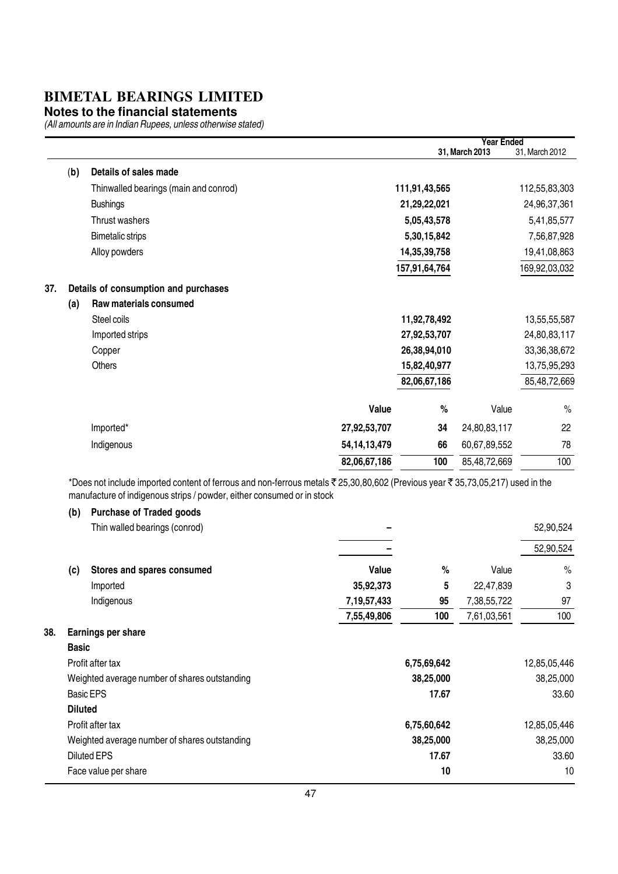#### **Notes to the financial statements**

(All amounts are in Indian Rupees, unless otherwise stated)

|     |     |                                       |                 |               | <b>Year Ended</b> |                 |
|-----|-----|---------------------------------------|-----------------|---------------|-------------------|-----------------|
|     |     |                                       |                 |               | 31, March 2013    | 31, March 2012  |
|     | (b) | Details of sales made                 |                 |               |                   |                 |
|     |     | Thinwalled bearings (main and conrod) |                 | 111,91,43,565 |                   | 112,55,83,303   |
|     |     | <b>Bushings</b>                       |                 | 21,29,22,021  |                   | 24,96,37,361    |
|     |     | Thrust washers                        |                 | 5,05,43,578   |                   | 5,41,85,577     |
|     |     | <b>Bimetalic strips</b>               |                 | 5,30,15,842   |                   | 7,56,87,928     |
|     |     | Alloy powders                         |                 | 14,35,39,758  |                   | 19,41,08,863    |
|     |     |                                       |                 | 157,91,64,764 |                   | 169,92,03,032   |
| 37. |     | Details of consumption and purchases  |                 |               |                   |                 |
|     | (a) | Raw materials consumed                |                 |               |                   |                 |
|     |     | Steel coils                           |                 | 11,92,78,492  |                   | 13,55,55,587    |
|     |     | Imported strips                       |                 | 27,92,53,707  |                   | 24,80,83,117    |
|     |     | Copper                                |                 | 26,38,94,010  |                   | 33, 36, 38, 672 |
|     |     | <b>Others</b>                         |                 | 15,82,40,977  |                   | 13,75,95,293    |
|     |     |                                       |                 | 82,06,67,186  |                   | 85,48,72,669    |
|     |     |                                       | Value           | %             | Value             | $\%$            |
|     |     | Imported*                             | 27,92,53,707    | 34            | 24,80,83,117      | 22              |
|     |     | Indigenous                            | 54, 14, 13, 479 | 66            | 60,67,89,552      | 78              |
|     |     |                                       | 82,06,67,186    | 100           | 85,48,72,669      | 100             |
|     |     |                                       |                 |               |                   |                 |

\*Does not include imported content of ferrous and non-ferrous metals ₹ 25,30,80,602 (Previous year ₹ 35,73,05,217) used in the manufacture of indigenous strips / powder, either consumed or in stock

#### (b) Purchase of Traded goods

|     |                | Thin walled bearings (conrod)                 |                |             |             | 52,90,524     |
|-----|----------------|-----------------------------------------------|----------------|-------------|-------------|---------------|
|     |                |                                               |                |             |             | 52,90,524     |
|     | (c)            | Stores and spares consumed                    | Value          | %           | Value       | $\frac{0}{0}$ |
|     |                | Imported                                      | 35,92,373      | 5           | 22,47,839   | 3             |
|     |                | Indigenous                                    | 7, 19, 57, 433 | 95          | 7,38,55,722 | 97            |
|     |                |                                               | 7,55,49,806    | 100         | 7,61,03,561 | 100           |
| 38. |                | Earnings per share                            |                |             |             |               |
|     | <b>Basic</b>   |                                               |                |             |             |               |
|     |                | Profit after tax                              |                | 6,75,69,642 |             | 12,85,05,446  |
|     |                | Weighted average number of shares outstanding |                | 38,25,000   |             | 38,25,000     |
|     |                | <b>Basic EPS</b>                              |                | 17.67       |             | 33.60         |
|     | <b>Diluted</b> |                                               |                |             |             |               |
|     |                | Profit after tax                              |                | 6,75,60,642 |             | 12,85,05,446  |
|     |                | Weighted average number of shares outstanding |                | 38,25,000   |             | 38,25,000     |
|     |                | <b>Diluted EPS</b>                            |                | 17.67       |             | 33.60         |
|     |                | Face value per share                          |                | 10          |             | 10            |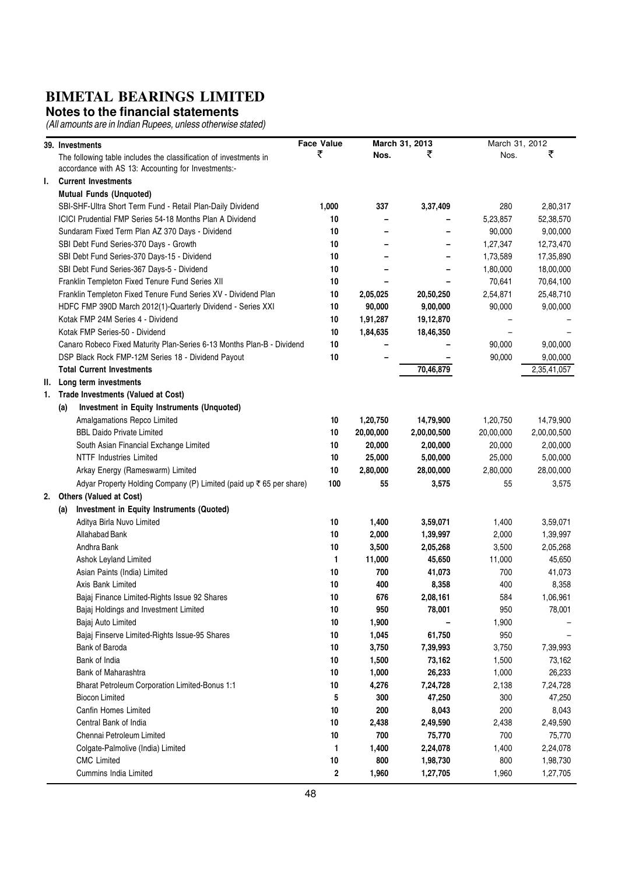#### **Notes to the financial statements**

|    | 39. Investments                                                        | <b>Face Value</b> |           | March 31, 2013 | March 31, 2012 |             |
|----|------------------------------------------------------------------------|-------------------|-----------|----------------|----------------|-------------|
|    | The following table includes the classification of investments in      | ₹                 | Nos.      | ₹              | Nos.           | ₹           |
|    | accordance with AS 13: Accounting for Investments:-                    |                   |           |                |                |             |
| I. | <b>Current Investments</b>                                             |                   |           |                |                |             |
|    | <b>Mutual Funds (Unquoted)</b>                                         |                   |           |                |                |             |
|    | SBI-SHF-Ultra Short Term Fund - Retail Plan-Daily Dividend             | 1,000             | 337       | 3,37,409       | 280            | 2,80,317    |
|    | <b>ICICI Prudential FMP Series 54-18 Months Plan A Dividend</b>        | 10                |           |                | 5,23,857       | 52,38,570   |
|    | Sundaram Fixed Term Plan AZ 370 Days - Dividend                        | 10                |           |                | 90,000         | 9,00,000    |
|    | SBI Debt Fund Series-370 Days - Growth                                 | 10                |           |                | 1,27,347       | 12,73,470   |
|    | SBI Debt Fund Series-370 Days-15 - Dividend                            | 10                |           |                | 1,73,589       | 17,35,890   |
|    | SBI Debt Fund Series-367 Days-5 - Dividend                             | 10                |           |                | 1,80,000       | 18,00,000   |
|    | Franklin Templeton Fixed Tenure Fund Series XII                        | 10                |           |                | 70,641         | 70,64,100   |
|    | Franklin Templeton Fixed Tenure Fund Series XV - Dividend Plan         | 10                | 2,05,025  | 20,50,250      | 2,54,871       | 25,48,710   |
|    | HDFC FMP 390D March 2012(1)-Quarterly Dividend - Series XXI            | 10                | 90,000    | 9,00,000       | 90,000         | 9,00,000    |
|    | Kotak FMP 24M Series 4 - Dividend                                      | 10                | 1,91,287  | 19,12,870      |                |             |
|    | Kotak FMP Series-50 - Dividend                                         | 10                | 1,84,635  | 18,46,350      |                |             |
|    | Canaro Robeco Fixed Maturity Plan-Series 6-13 Months Plan-B - Dividend | 10                |           |                | 90,000         | 9,00,000    |
|    | DSP Black Rock FMP-12M Series 18 - Dividend Payout                     | 10                |           |                | 90,000         | 9,00,000    |
|    | <b>Total Current Investments</b>                                       |                   |           | 70,46,879      |                | 2,35,41,057 |
| Ш. | Long term investments                                                  |                   |           |                |                |             |
| 1. | Trade Investments (Valued at Cost)                                     |                   |           |                |                |             |
|    |                                                                        |                   |           |                |                |             |
|    | Investment in Equity Instruments (Unquoted)<br>(a)                     |                   |           |                |                |             |
|    | Amalgamations Repco Limited<br><b>BBL Daido Private Limited</b>        | 10                | 1,20,750  | 14,79,900      | 1,20,750       | 14,79,900   |
|    |                                                                        | 10                | 20,00,000 | 2,00,00,500    | 20,00,000      | 2,00,00,500 |
|    | South Asian Financial Exchange Limited                                 | 10                | 20,000    | 2,00,000       | 20,000         | 2,00,000    |
|    | <b>NTTF Industries Limited</b>                                         | 10                | 25,000    | 5,00,000       | 25,000         | 5,00,000    |
|    | Arkay Energy (Rameswarm) Limited                                       | 10                | 2,80,000  | 28,00,000      | 2,80,000       | 28,00,000   |
|    | Adyar Property Holding Company (P) Limited (paid up ₹ 65 per share)    | 100               | 55        | 3,575          | 55             | 3,575       |
| 2. | <b>Others (Valued at Cost)</b>                                         |                   |           |                |                |             |
|    | Investment in Equity Instruments (Quoted)<br>(a)                       |                   |           |                |                |             |
|    | Aditya Birla Nuvo Limited                                              | 10                | 1,400     | 3,59,071       | 1,400          | 3,59,071    |
|    | Allahabad Bank                                                         | 10                | 2,000     | 1,39,997       | 2,000          | 1,39,997    |
|    | Andhra Bank                                                            | 10                | 3,500     | 2,05,268       | 3,500          | 2,05,268    |
|    | Ashok Leyland Limited                                                  | 1                 | 11,000    | 45,650         | 11,000         | 45,650      |
|    | Asian Paints (India) Limited                                           | 10                | 700       | 41,073         | 700            | 41,073      |
|    | Axis Bank Limited                                                      | 10                | 400       | 8,358          | 400            | 8,358       |
|    | Bajaj Finance Limited-Rights Issue 92 Shares                           | 10                | 676       | 2,08,161       | 584            | 1,06,961    |
|    | Bajaj Holdings and Investment Limited                                  | 10                | 950       | 78,001         | 950            | 78,001      |
|    | Bajaj Auto Limited                                                     | 10                | 1,900     |                | 1,900          |             |
|    | Bajaj Finserve Limited-Rights Issue-95 Shares                          | 10                | 1,045     | 61,750         | 950            |             |
|    | Bank of Baroda                                                         | 10                | 3,750     | 7,39,993       | 3,750          | 7,39,993    |
|    | Bank of India                                                          | 10                | 1,500     | 73,162         | 1,500          | 73,162      |
|    | Bank of Maharashtra                                                    | 10                | 1,000     | 26,233         | 1,000          | 26,233      |
|    | Bharat Petroleum Corporation Limited-Bonus 1:1                         | 10                | 4,276     | 7,24,728       | 2,138          | 7,24,728    |
|    | <b>Biocon Limited</b>                                                  | 5                 | 300       | 47,250         | 300            | 47,250      |
|    | Canfin Homes Limited                                                   | 10                | 200       | 8,043          | 200            |             |
|    | Central Bank of India                                                  |                   |           |                |                | 8,043       |
|    |                                                                        | 10                | 2,438     | 2,49,590       | 2,438          | 2,49,590    |
|    | Chennai Petroleum Limited                                              | 10                | 700       | 75,770         | 700            | 75,770      |
|    | Colgate-Palmolive (India) Limited                                      | 1                 | 1,400     | 2,24,078       | 1,400          | 2,24,078    |
|    | <b>CMC</b> Limited                                                     | 10                | 800       | 1,98,730       | 800            | 1,98,730    |
|    | Cummins India Limited                                                  | 2                 | 1,960     | 1,27,705       | 1,960          | 1,27,705    |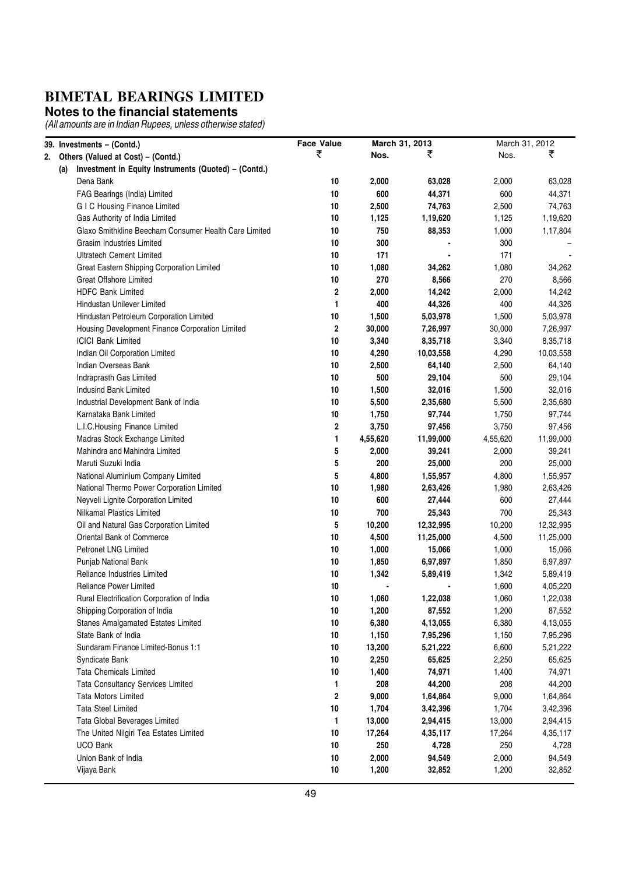#### **Notes to the financial statements**

| 39. Investments - (Contd.)                                  | <b>Face Value</b>       | March 31, 2013 |           |          | March 31, 2012 |
|-------------------------------------------------------------|-------------------------|----------------|-----------|----------|----------------|
| 2. Others (Valued at Cost) - (Contd.)                       | ₹                       | Nos.           | ₹         | Nos.     | ₹              |
| Investment in Equity Instruments (Quoted) - (Contd.)<br>(a) |                         |                |           |          |                |
| Dena Bank                                                   | 10                      | 2,000          | 63,028    | 2,000    | 63,028         |
| FAG Bearings (India) Limited                                | 10                      | 600            | 44,371    | 600      | 44,371         |
| <b>GIC Housing Finance Limited</b>                          | 10                      | 2,500          | 74,763    | 2,500    | 74,763         |
| Gas Authority of India Limited                              | 10                      | 1,125          | 1,19,620  | 1,125    | 1,19,620       |
| Glaxo Smithkline Beecham Consumer Health Care Limited       | 10                      | 750            | 88,353    | 1,000    | 1,17,804       |
| Grasim Industries Limited                                   | 10                      | 300            |           | 300      |                |
| <b>Ultratech Cement Limited</b>                             | 10                      | 171            |           | 171      |                |
| Great Eastern Shipping Corporation Limited                  | 10                      | 1,080          | 34,262    | 1,080    | 34,262         |
| <b>Great Offshore Limited</b>                               | 10                      | 270            | 8,566     | 270      | 8,566          |
| <b>HDFC Bank Limited</b>                                    | $\overline{\mathbf{2}}$ | 2,000          | 14,242    | 2,000    | 14,242         |
| Hindustan Unilever Limited                                  | 1                       | 400            | 44,326    | 400      | 44,326         |
| Hindustan Petroleum Corporation Limited                     | 10                      | 1,500          | 5,03,978  | 1,500    | 5,03,978       |
| Housing Development Finance Corporation Limited             | $\overline{2}$          | 30,000         | 7,26,997  | 30,000   | 7,26,997       |
| <b>ICICI Bank Limited</b>                                   | 10                      | 3,340          | 8,35,718  | 3,340    | 8,35,718       |
| Indian Oil Corporation Limited                              | 10                      | 4,290          | 10,03,558 | 4,290    | 10,03,558      |
| Indian Overseas Bank                                        | 10                      | 2,500          | 64,140    | 2,500    | 64,140         |
| Indraprasth Gas Limited                                     | 10                      | 500            | 29,104    | 500      | 29,104         |
| Indusind Bank Limited                                       | 10                      | 1,500          | 32,016    | 1,500    | 32,016         |
| Industrial Development Bank of India                        | 10                      | 5,500          | 2,35,680  | 5,500    | 2,35,680       |
| Karnataka Bank Limited                                      | 10                      | 1,750          | 97,744    | 1,750    | 97,744         |
| L.I.C. Housing Finance Limited                              | 2                       | 3,750          | 97,456    | 3,750    | 97,456         |
| Madras Stock Exchange Limited                               | 1                       | 4,55,620       | 11,99,000 | 4,55,620 | 11,99,000      |
| Mahindra and Mahindra Limited                               | 5                       | 2,000          | 39,241    | 2,000    | 39,241         |
| Maruti Suzuki India                                         | 5                       | 200            | 25,000    | 200      | 25,000         |
| National Aluminium Company Limited                          | 5                       | 4,800          | 1,55,957  | 4,800    | 1,55,957       |
| National Thermo Power Corporation Limited                   | 10                      | 1,980          | 2,63,426  | 1,980    | 2,63,426       |
| Neyveli Lignite Corporation Limited                         | 10                      | 600            | 27,444    | 600      | 27,444         |
| Nilkamal Plastics Limited                                   | 10                      | 700            | 25,343    | 700      | 25,343         |
| Oil and Natural Gas Corporation Limited                     | 5                       | 10,200         | 12,32,995 | 10,200   | 12,32,995      |
| Oriental Bank of Commerce                                   | 10                      | 4,500          | 11,25,000 | 4,500    | 11,25,000      |
| <b>Petronet LNG Limited</b>                                 | 10                      | 1,000          | 15,066    | 1,000    | 15,066         |
| Punjab National Bank                                        | 10                      | 1,850          | 6,97,897  | 1,850    | 6,97,897       |
| Reliance Industries Limited                                 | 10                      | 1,342          | 5,89,419  | 1,342    | 5,89,419       |
| <b>Reliance Power Limited</b>                               | 10                      |                |           | 1,600    | 4,05,220       |
| Rural Electrification Corporation of India                  | 10                      | 1,060          | 1,22,038  | 1,060    | 1,22,038       |
| Shipping Corporation of India                               | 10                      | 1,200          | 87,552    | 1,200    | 87,552         |
| Stanes Amalgamated Estates Limited                          | 10                      | 6,380          | 4,13,055  | 6,380    | 4,13,055       |
| State Bank of India                                         | 10                      | 1,150          | 7,95,296  | 1,150    | 7,95,296       |
| Sundaram Finance Limited-Bonus 1:1                          | 10                      | 13,200         | 5,21,222  | 6,600    | 5,21,222       |
| Syndicate Bank                                              | 10                      | 2,250          | 65,625    | 2,250    | 65,625         |
| <b>Tata Chemicals Limited</b>                               | 10                      | 1,400          | 74,971    | 1,400    | 74,971         |
| Tata Consultancy Services Limited                           | 1                       | 208            | 44,200    | 208      | 44,200         |
| Tata Motors Limited                                         | $\boldsymbol{2}$        | 9,000          | 1,64,864  | 9,000    | 1,64,864       |
| <b>Tata Steel Limited</b>                                   | 10                      | 1,704          | 3,42,396  | 1,704    | 3,42,396       |
| Tata Global Beverages Limited                               | 1                       | 13,000         | 2,94,415  | 13,000   | 2,94,415       |
| The United Nilgiri Tea Estates Limited                      | 10                      | 17,264         | 4,35,117  | 17,264   | 4,35,117       |
| UCO Bank                                                    | 10                      | 250            | 4,728     | 250      | 4,728          |
| Union Bank of India                                         | 10                      | 2,000          | 94,549    | 2,000    | 94,549         |
| Vijaya Bank                                                 | 10                      | 1,200          | 32,852    | 1,200    | 32,852         |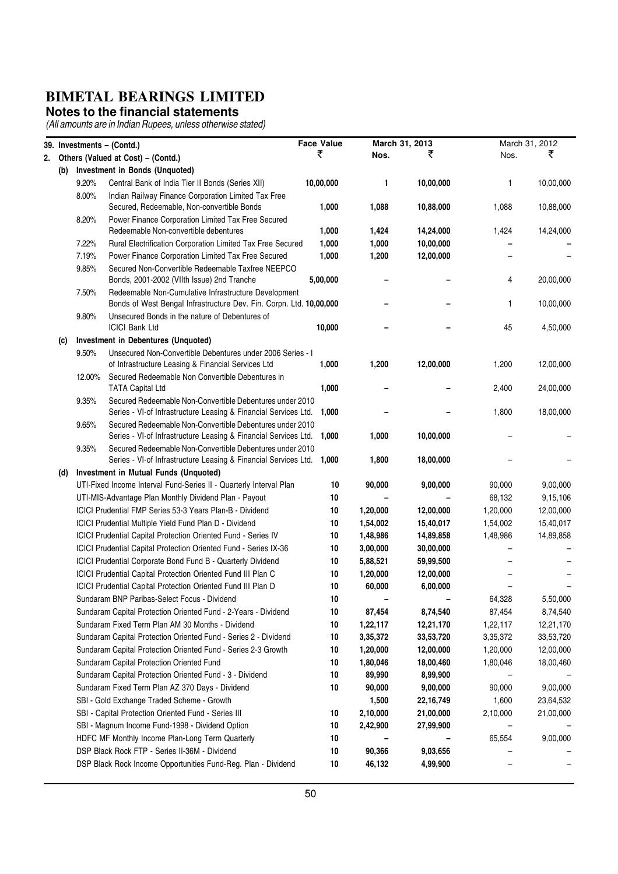#### **Notes to the financial statements**

|    |     |        | 39. Investments - (Contd.)                                                                             | <b>Face Value</b> |          | March 31, 2013 |          | March 31, 2012 |
|----|-----|--------|--------------------------------------------------------------------------------------------------------|-------------------|----------|----------------|----------|----------------|
| 2. |     |        | Others (Valued at Cost) - (Contd.)                                                                     | ₹                 | Nos.     | ₹              | Nos.     | ₹              |
|    | (b) |        | Investment in Bonds (Unquoted)                                                                         |                   |          |                |          |                |
|    |     | 9.20%  | Central Bank of India Tier II Bonds (Series XII)                                                       | 10,00,000         | 1        | 10,00,000      | 1        | 10,00,000      |
|    |     | 8.00%  | Indian Railway Finance Corporation Limited Tax Free                                                    |                   |          |                |          |                |
|    |     |        | Secured, Redeemable, Non-convertible Bonds                                                             | 1,000             | 1,088    | 10,88,000      | 1,088    | 10,88,000      |
|    |     | 8.20%  | Power Finance Corporation Limited Tax Free Secured                                                     |                   |          |                |          |                |
|    |     |        | Redeemable Non-convertible debentures                                                                  | 1,000             | 1,424    | 14,24,000      | 1,424    | 14,24,000      |
|    |     | 7.22%  | Rural Electrification Corporation Limited Tax Free Secured                                             | 1,000             | 1,000    | 10,00,000      |          |                |
|    |     | 7.19%  | Power Finance Corporation Limited Tax Free Secured                                                     | 1,000             | 1,200    | 12,00,000      |          |                |
|    |     | 9.85%  | Secured Non-Convertible Redeemable Taxfree NEEPCO                                                      |                   |          |                |          |                |
|    |     |        | Bonds, 2001-2002 (VIIth Issue) 2nd Tranche                                                             | 5,00,000          |          |                | 4        | 20,00,000      |
|    |     | 7.50%  | Redeemable Non-Cumulative Infrastructure Development                                                   |                   |          |                |          |                |
|    |     |        | Bonds of West Bengal Infrastructure Dev. Fin. Corpn. Ltd. 10,00,000                                    |                   |          |                | 1        | 10,00,000      |
|    |     | 9.80%  | Unsecured Bonds in the nature of Debentures of                                                         |                   |          |                |          |                |
|    |     |        | <b>ICICI Bank Ltd</b>                                                                                  | 10,000            |          |                | 45       | 4,50,000       |
|    | (c) |        | Investment in Debentures (Unquoted)                                                                    |                   |          |                |          |                |
|    |     | 9.50%  | Unsecured Non-Convertible Debentures under 2006 Series - I                                             | 1,000             | 1,200    | 12,00,000      | 1,200    |                |
|    |     | 12.00% | of Infrastructure Leasing & Financial Services Ltd<br>Secured Redeemable Non Convertible Debentures in |                   |          |                |          | 12,00,000      |
|    |     |        | <b>TATA Capital Ltd</b>                                                                                | 1,000             |          |                | 2,400    | 24,00,000      |
|    |     | 9.35%  | Secured Redeemable Non-Convertible Debentures under 2010                                               |                   |          |                |          |                |
|    |     |        | Series - VI-of Infrastructure Leasing & Financial Services Ltd.                                        | 1,000             |          |                | 1,800    | 18,00,000      |
|    |     | 9.65%  | Secured Redeemable Non-Convertible Debentures under 2010                                               |                   |          |                |          |                |
|    |     |        | Series - VI-of Infrastructure Leasing & Financial Services Ltd.                                        | 1,000             | 1,000    | 10,00,000      |          |                |
|    |     | 9.35%  | Secured Redeemable Non-Convertible Debentures under 2010                                               |                   |          |                |          |                |
|    |     |        | Series - VI-of Infrastructure Leasing & Financial Services Ltd.                                        | 1,000             | 1,800    | 18,00,000      |          |                |
|    | (d) |        | Investment in Mutual Funds (Unquoted)                                                                  |                   |          |                |          |                |
|    |     |        | UTI-Fixed Income Interval Fund-Series II - Quarterly Interval Plan                                     | 10                | 90,000   | 9,00,000       | 90,000   | 9,00,000       |
|    |     |        | UTI-MIS-Advantage Plan Monthly Dividend Plan - Payout                                                  | 10                |          |                | 68,132   | 9,15,106       |
|    |     |        | ICICI Prudential FMP Series 53-3 Years Plan-B - Dividend                                               | 10                | 1,20,000 | 12,00,000      | 1,20,000 | 12,00,000      |
|    |     |        | ICICI Prudential Multiple Yield Fund Plan D - Dividend                                                 | 10                | 1,54,002 | 15,40,017      | 1,54,002 | 15,40,017      |
|    |     |        | ICICI Prudential Capital Protection Oriented Fund - Series IV                                          | 10                | 1,48,986 | 14,89,858      | 1,48,986 | 14,89,858      |
|    |     |        | ICICI Prudential Capital Protection Oriented Fund - Series IX-36                                       | 10                | 3,00,000 | 30,00,000      |          |                |
|    |     |        | ICICI Prudential Corporate Bond Fund B - Quarterly Dividend                                            | 10                | 5,88,521 | 59,99,500      |          |                |
|    |     |        | ICICI Prudential Capital Protection Oriented Fund III Plan C                                           | 10                | 1,20,000 | 12,00,000      |          |                |
|    |     |        | ICICI Prudential Capital Protection Oriented Fund III Plan D                                           | 10                | 60,000   | 6,00,000       |          |                |
|    |     |        | Sundaram BNP Paribas-Select Focus - Dividend                                                           | 10                |          |                | 64,328   | 5,50,000       |
|    |     |        | Sundaram Capital Protection Oriented Fund - 2-Years - Dividend                                         | 10                | 87,454   | 8,74,540       | 87,454   | 8,74,540       |
|    |     |        | Sundaram Fixed Term Plan AM 30 Months - Dividend                                                       | 10                | 1,22,117 | 12,21,170      | 1,22,117 | 12,21,170      |
|    |     |        | Sundaram Capital Protection Oriented Fund - Series 2 - Dividend                                        | 10                | 3,35,372 | 33,53,720      | 3,35,372 | 33,53,720      |
|    |     |        | Sundaram Capital Protection Oriented Fund - Series 2-3 Growth                                          | 10                | 1,20,000 | 12,00,000      | 1,20,000 | 12,00,000      |
|    |     |        | Sundaram Capital Protection Oriented Fund                                                              | 10                | 1,80,046 | 18,00,460      | 1,80,046 | 18,00,460      |
|    |     |        | Sundaram Capital Protection Oriented Fund - 3 - Dividend                                               | 10                | 89,990   | 8,99,900       |          |                |
|    |     |        | Sundaram Fixed Term Plan AZ 370 Days - Dividend                                                        | 10                | 90,000   | 9,00,000       | 90,000   | 9,00,000       |
|    |     |        | SBI - Gold Exchange Traded Scheme - Growth                                                             |                   | 1,500    | 22,16,749      | 1,600    | 23,64,532      |
|    |     |        | SBI - Capital Protection Oriented Fund - Series III                                                    | 10                | 2,10,000 | 21,00,000      | 2,10,000 | 21,00,000      |
|    |     |        | SBI - Magnum Income Fund-1998 - Dividend Option                                                        | 10                | 2,42,900 | 27,99,900      |          |                |
|    |     |        | HDFC MF Monthly Income Plan-Long Term Quarterly                                                        | 10                |          |                | 65,554   | 9,00,000       |
|    |     |        | DSP Black Rock FTP - Series II-36M - Dividend                                                          | 10                | 90,366   | 9,03,656       |          |                |
|    |     |        | DSP Black Rock Income Opportunities Fund-Reg. Plan - Dividend                                          | 10                | 46,132   | 4,99,900       |          |                |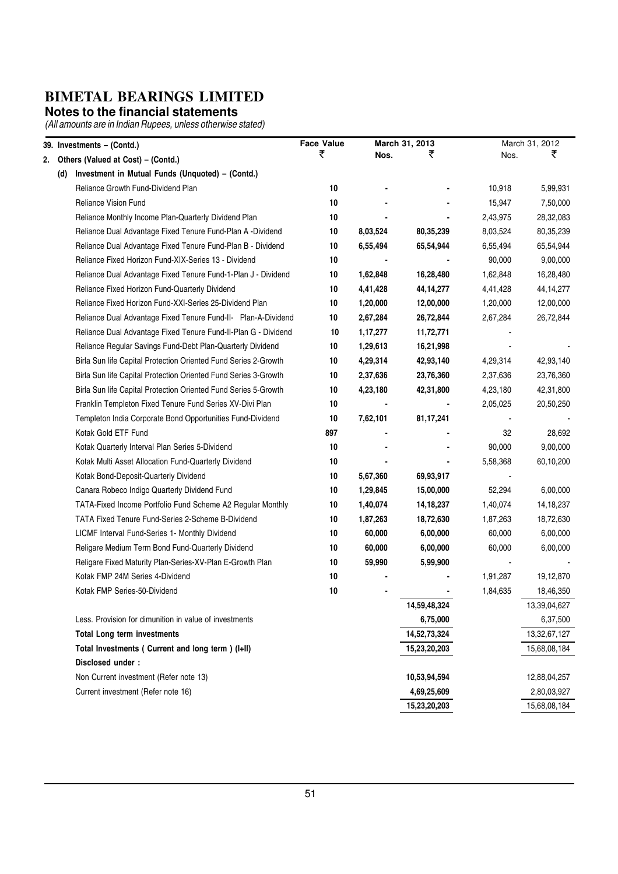#### **Notes to the financial statements**

|    |     | 39. Investments - (Contd.)                                      | <b>Face Value</b> |          | March 31, 2013 |          | March 31, 2012 |
|----|-----|-----------------------------------------------------------------|-------------------|----------|----------------|----------|----------------|
| 2. |     | Others (Valued at Cost) - (Contd.)                              | ₹                 | Nos.     | ₹              | Nos.     | ₹              |
|    | (d) | Investment in Mutual Funds (Unquoted) - (Contd.)                |                   |          |                |          |                |
|    |     | Reliance Growth Fund-Dividend Plan                              | 10                |          |                | 10,918   | 5,99,931       |
|    |     | Reliance Vision Fund                                            | 10                |          |                | 15,947   | 7,50,000       |
|    |     | Reliance Monthly Income Plan-Quarterly Dividend Plan            | 10                |          |                | 2,43,975 | 28,32,083      |
|    |     | Reliance Dual Advantage Fixed Tenure Fund-Plan A -Dividend      | 10                | 8,03,524 | 80,35,239      | 8,03,524 | 80,35,239      |
|    |     | Reliance Dual Advantage Fixed Tenure Fund-Plan B - Dividend     | 10                | 6,55,494 | 65,54,944      | 6,55,494 | 65,54,944      |
|    |     | Reliance Fixed Horizon Fund-XIX-Series 13 - Dividend            | 10                |          |                | 90,000   | 9,00,000       |
|    |     | Reliance Dual Advantage Fixed Tenure Fund-1-Plan J - Dividend   | 10                | 1,62,848 | 16,28,480      | 1,62,848 | 16,28,480      |
|    |     | Reliance Fixed Horizon Fund-Quarterly Dividend                  | 10                | 4,41,428 | 44, 14, 277    | 4,41,428 | 44, 14, 277    |
|    |     | Reliance Fixed Horizon Fund-XXI-Series 25-Dividend Plan         | 10                | 1,20,000 | 12,00,000      | 1,20,000 | 12,00,000      |
|    |     | Reliance Dual Advantage Fixed Tenure Fund-II- Plan-A-Dividend   | 10                | 2,67,284 | 26,72,844      | 2,67,284 | 26,72,844      |
|    |     | Reliance Dual Advantage Fixed Tenure Fund-II-Plan G - Dividend  | 10                | 1,17,277 | 11,72,771      |          |                |
|    |     | Reliance Regular Savings Fund-Debt Plan-Quarterly Dividend      | 10                | 1,29,613 | 16,21,998      |          |                |
|    |     | Birla Sun life Capital Protection Oriented Fund Series 2-Growth | 10                | 4,29,314 | 42,93,140      | 4,29,314 | 42,93,140      |
|    |     | Birla Sun life Capital Protection Oriented Fund Series 3-Growth | 10                | 2,37,636 | 23,76,360      | 2,37,636 | 23,76,360      |
|    |     | Birla Sun life Capital Protection Oriented Fund Series 5-Growth | 10                | 4,23,180 | 42,31,800      | 4,23,180 | 42,31,800      |
|    |     | Franklin Templeton Fixed Tenure Fund Series XV-Divi Plan        | 10                |          |                | 2,05,025 | 20,50,250      |
|    |     | Templeton India Corporate Bond Opportunities Fund-Dividend      | 10                | 7,62,101 | 81, 17, 241    |          |                |
|    |     | Kotak Gold ETF Fund                                             | 897               |          |                | 32       | 28,692         |
|    |     | Kotak Quarterly Interval Plan Series 5-Dividend                 | 10                |          |                | 90,000   | 9,00,000       |
|    |     | Kotak Multi Asset Allocation Fund-Quarterly Dividend            | 10                |          |                | 5,58,368 | 60,10,200      |
|    |     | Kotak Bond-Deposit-Quarterly Dividend                           | 10                | 5,67,360 | 69,93,917      |          |                |
|    |     | Canara Robeco Indigo Quarterly Dividend Fund                    | 10                | 1,29,845 | 15,00,000      | 52,294   | 6,00,000       |
|    |     | TATA-Fixed Income Portfolio Fund Scheme A2 Regular Monthly      | 10                | 1,40,074 | 14, 18, 237    | 1,40,074 | 14, 18, 237    |
|    |     | TATA Fixed Tenure Fund-Series 2-Scheme B-Dividend               | 10                | 1,87,263 | 18,72,630      | 1,87,263 | 18,72,630      |
|    |     | LICMF Interval Fund-Series 1- Monthly Dividend                  | 10                | 60,000   | 6,00,000       | 60,000   | 6,00,000       |
|    |     | Religare Medium Term Bond Fund-Quarterly Dividend               | 10                | 60,000   | 6,00,000       | 60,000   | 6,00,000       |
|    |     | Religare Fixed Maturity Plan-Series-XV-Plan E-Growth Plan       | 10                | 59,990   | 5,99,900       |          |                |
|    |     | Kotak FMP 24M Series 4-Dividend                                 | 10                |          |                | 1,91,287 | 19,12,870      |
|    |     | Kotak FMP Series-50-Dividend                                    | 10                |          |                | 1,84,635 | 18,46,350      |
|    |     |                                                                 |                   |          | 14,59,48,324   |          | 13,39,04,627   |
|    |     | Less. Provision for dimunition in value of investments          |                   |          | 6,75,000       |          | 6,37,500       |
|    |     | <b>Total Long term investments</b>                              |                   |          | 14,52,73,324   |          | 13,32,67,127   |
|    |     | Total Investments ( Current and long term ) (I+II)              |                   |          | 15,23,20,203   |          | 15,68,08,184   |
|    |     | Disclosed under:                                                |                   |          |                |          |                |
|    |     | Non Current investment (Refer note 13)                          |                   |          | 10,53,94,594   |          | 12,88,04,257   |
|    |     | Current investment (Refer note 16)                              |                   |          | 4,69,25,609    |          | 2,80,03,927    |
|    |     |                                                                 |                   |          | 15,23,20,203   |          | 15,68,08,184   |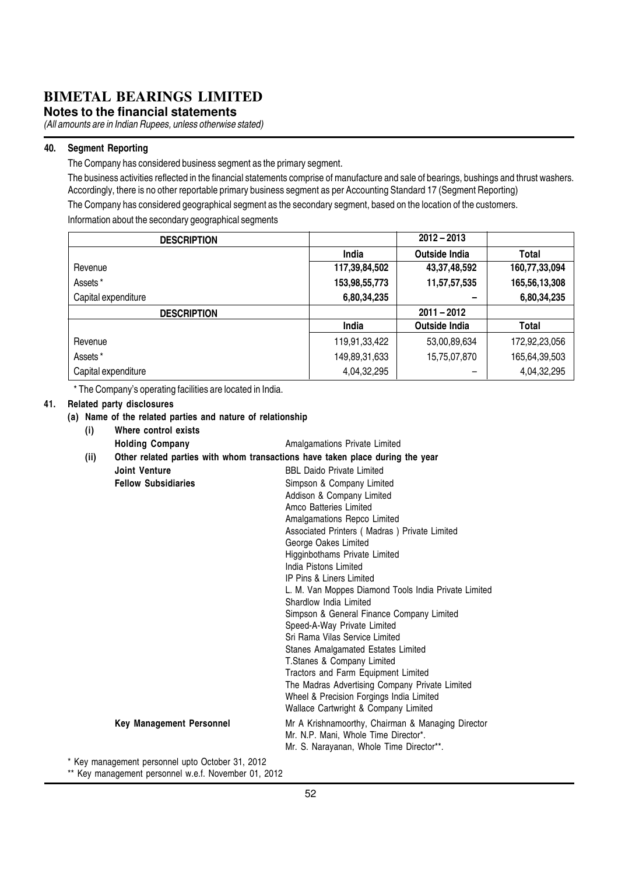**Notes to the financial statements**

(All amounts are in Indian Rupees, unless otherwise stated)

#### 40. Segment Reporting

The Company has considered business segment as the primary segment.

The business activities reflected in the financial statements comprise of manufacture and sale of bearings, bushings and thrust washers. Accordingly, there is no other reportable primary business segment as per Accounting Standard 17 (Segment Reporting)

The Company has considered geographical segment as the secondary segment, based on the location of the customers. Information about the secondary geographical segments

| <b>DESCRIPTION</b>  |               | $2012 - 2013$        |               |
|---------------------|---------------|----------------------|---------------|
|                     | India         | Outside India        | Total         |
| Revenue             | 117,39,84,502 | 43, 37, 48, 592      | 160,77,33,094 |
| Assets*             | 153,98,55,773 | 11,57,57,535         | 165,56,13,308 |
| Capital expenditure | 6,80,34,235   |                      | 6,80,34,235   |
|                     |               |                      |               |
| <b>DESCRIPTION</b>  |               | $2011 - 2012$        |               |
|                     | India         | <b>Outside India</b> | Total         |
| Revenue             | 119,91,33,422 | 53,00,89,634         | 172,92,23,056 |
| Assets*             | 149,89,31,633 | 15,75,07,870         | 165,64,39,503 |

\* The Company's operating facilities are located in India.

#### 41. Related party disclosures

#### (a) Name of the related parties and nature of relationship (i) Where control exists

| $\mathbf{v}$ |                            |                                                                               |
|--------------|----------------------------|-------------------------------------------------------------------------------|
|              | <b>Holding Company</b>     | Amalgamations Private Limited                                                 |
| (ii)         |                            | Other related parties with whom transactions have taken place during the year |
|              | Joint Venture              | <b>BBI</b> Daido Private Limited                                              |
|              | <b>Fellow Subsidiaries</b> | Simpson & Company Limited                                                     |
|              |                            | Addison & Company Limited                                                     |
|              |                            | Amco Batteries Limited                                                        |
|              |                            | Amalgamations Repco Limited                                                   |
|              |                            | Associated Printers (Madras) Private Limited                                  |
|              |                            | George Oakes Limited                                                          |
|              |                            | Higginbothams Private Limited                                                 |
|              |                            | India Pistons Limited                                                         |
|              |                            | <b>IP Pins &amp; Liners Limited</b>                                           |
|              |                            | L. M. Van Moppes Diamond Tools India Private Limited                          |
|              |                            | Shardlow India Limited                                                        |
|              |                            | Simpson & General Finance Company Limited                                     |
|              |                            | Speed-A-Way Private Limited                                                   |
|              |                            | Sri Rama Vilas Service Limited                                                |
|              |                            | Stanes Amalgamated Estates Limited                                            |
|              |                            | T.Stanes & Company Limited                                                    |
|              |                            | Tractors and Farm Equipment Limited                                           |
|              |                            | The Madras Advertising Company Private Limited                                |
|              |                            | Wheel & Precision Forgings India Limited                                      |
|              |                            | Wallace Cartwright & Company Limited                                          |
|              | Key Management Personnel   | Mr A Krishnamoorthy, Chairman & Managing Director                             |
|              |                            | Mr. N.P. Mani, Whole Time Director*.                                          |
|              |                            | Mr. S. Narayanan, Whole Time Director**.                                      |

\* Key management personnel upto October 31, 2012

\*\* Key management personnel w.e.f. November 01, 2012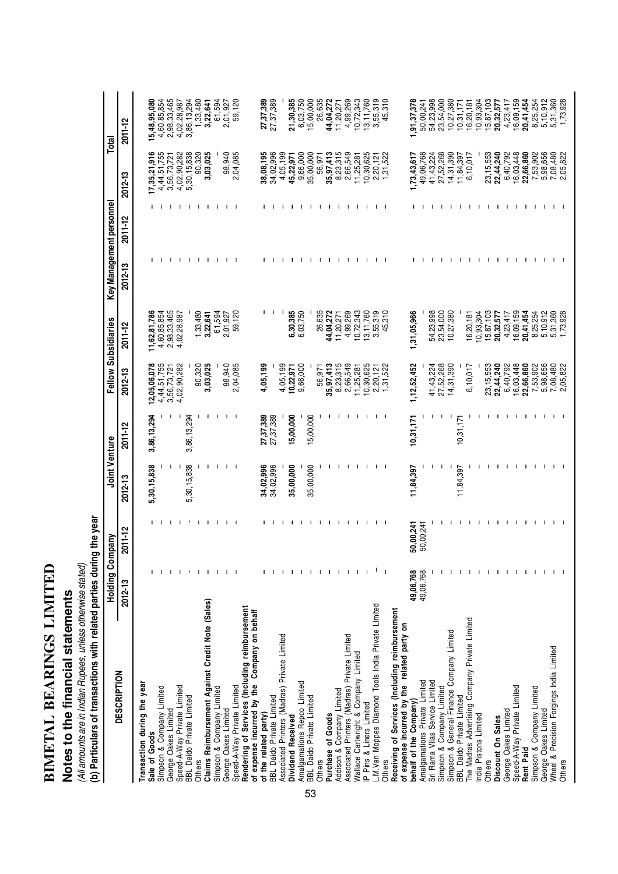| <b>CENTER</b> |  |
|---------------|--|
| F<br> -       |  |
| LOND          |  |
|               |  |
| Í             |  |
|               |  |
| IETAI         |  |
| -<br> <br>    |  |
|               |  |

## Notes to the financial statements **Notes to the financial statements**

(All amounts are in Indian Rupees, unless otherwise stated)<br>(b) Particulars of transactions with related parties during the year (b) Particulars of transactions with related parties during the year (All amounts are in Indian Rupees, unless otherwise stated)

|                                                     | Holding Com  | pany         | Joint Venture |              | Fellow Subsidiaries                       |                             | Key Management personnel |              |                            | Total                           |
|-----------------------------------------------------|--------------|--------------|---------------|--------------|-------------------------------------------|-----------------------------|--------------------------|--------------|----------------------------|---------------------------------|
| <b>DESCRIPTION</b>                                  | 2012-13      | $2011 - 12$  | 2012-13       | 2011-12      | 2012-13                                   | 2011-12                     | $2012 - 13$              | 2011-12      | 2012-13                    | 2011-12                         |
| Transaction during the year<br>Sale of Goods        |              |              | 5,30,15,838   | 3,86,13,294  | 12,05,06,078                              |                             |                          |              |                            |                                 |
|                                                     |              |              |               |              |                                           | 11,62,81,786<br>4,60,85,854 |                          |              | 17,35,21,916               | 5,48,95,080                     |
| Simpson & Company Limited<br>George Oakes Limited   |              |              | J.            | J.           | 4,44,51,755<br>3,56,73,721<br>4,02,90,282 | 2,98,33,465                 |                          |              | 4,44,51,755<br>3,56,73,721 | 4,60,85,854<br>2,98,33,465      |
| Speed-A-Way Private Limited                         |              | J.           |               | J.           |                                           | 4,02,28,987                 |                          |              | 4,02,90,282                | 4,02,28,987                     |
| BBL Daido Private Limited                           |              |              | 5,30,15,838   | 3,86,13,294  |                                           |                             |                          |              | 5,30,15,838                | 3,86,13,294                     |
| <b>Others</b>                                       | $\mathbf{I}$ | Τ.           |               |              | 90,320                                    | 1,33,480                    |                          |              | 90,320                     | 1,33,480                        |
| Claims Reimbursement Against Credit Note (Sales)    | $\mathbf{I}$ | л.           | - 1           | $\mathbf{I}$ | 3,03,025                                  | 3,22,641                    | $\mathbf{1}$             | 1 1 1 1 1 1  | 3,03,025                   | 3,22,641                        |
| Simpson & Company Limited                           |              | Τ.           | -1            | -1           |                                           | 61,594                      |                          |              |                            | 61,594                          |
| George Oakes Limited                                |              | $\mathbf{I}$ | л.            | -1           | 98,940                                    | 2,01,927                    |                          |              | 98,940                     | ,01,927<br>2.                   |
| Speed-A-Way Private Limited                         |              |              |               |              | 2,04,085                                  | 59,120                      |                          |              | 2,04,085                   | 59,120                          |
| Rendering of Services (Including reimbursement      |              |              |               |              |                                           |                             |                          |              |                            |                                 |
| of expense incurred by the Company on behalf        |              |              |               |              |                                           |                             |                          |              |                            |                                 |
| of the related party)                               |              |              | 34,02,996     | 27,37,389    | 4,05,199                                  |                             |                          |              | 38,08,195                  | 27,37,389                       |
| <b>BBL Daido Private Limited</b>                    |              |              | 34,02,996     | 27,37,389    |                                           |                             |                          |              | 34,02,996                  | 27,37,389                       |
| Associated Printers (Madras) Private Limited        |              | J.           |               |              | 4,05,199                                  | - 1                         |                          |              | 4,05,199                   |                                 |
| Dividend Received                                   |              | -1           | 35,00,000     | 15,00,000    | 10,22,971                                 | 6,30,385                    |                          |              | 45,22,971                  | 21,30,385                       |
| Amalgamations Repco Limited                         |              | -1           |               |              | 9,66,000                                  | 6,03,750                    | -1                       |              | 9,66,000                   | 6,03,750                        |
| BBL Daido Private Limited<br>53                     |              | -1           | 35,00,000     | 15,00,000    |                                           |                             |                          |              | 35,00,000                  | 15,00,000                       |
| Others                                              | л.           | л.           |               |              | 56,971                                    | 26,635                      | $\mathbf{I}$             | $\mathbf{I}$ | 56,971                     | 26,635                          |
| Purchase of Goods                                   | л.           | Ι.           |               | л            | 35, 97, 413                               | 44,04,272                   |                          | $\mathbf{I}$ | 35,97,413                  | 44,04,272                       |
| Addison & Company Limited                           | $\mathbf{I}$ | $\mathbf{I}$ | -1            | Ι.           | 8,23,315<br>2,66,549                      | 11,20,271                   | $\mathbf{I}$             |              | 8,23,315                   | 11,20,271                       |
| Associated Printers (Madras) Private Limited        |              | $\mathbf{I}$ | $\mathbf{I}$  | -1           |                                           | 4,99,269                    |                          |              | 2,66,549                   | 4,99,269                        |
| Wallace Cartwright & Company Limited                |              | л.           | $\mathbf{I}$  | $\mathbf{I}$ | 11,25,281                                 | 10,72,343                   |                          | 1 1 1 1      | 11,25,281                  | 10,72,343                       |
| P Pins & Liners Limited                             |              | $\mathbf{I}$ |               |              | 10,30,625                                 | 13,11,760                   |                          |              | 10,30,625                  | 13, 11, 760                     |
| L.M. Van Moppes Diamond Tools India Private Limited |              |              |               | $\mathbf{I}$ | 2,20,121                                  | 3,55,319                    | $1$ $1$ $1$ $1$          |              | 2,20,121                   | 3,55,319                        |
| Others                                              |              |              |               | -1           | ,31,522                                   | 310<br>45,                  |                          |              | 1,31,522                   | 310<br>45,                      |
| Receiving of Services (Including reimbursement      |              |              |               |              |                                           |                             |                          |              |                            |                                 |
| of expense incurred by the related party on         |              |              |               |              |                                           |                             |                          |              |                            |                                 |
| behalf of the Company)                              | 49,06,768    | 50,00,241    | 11,84,397     | 10,31,171    | ,12,52,452                                | ,31,05,966                  |                          |              | 1,73,43,617                | 1,91,37,378                     |
| Amalgamations Private Limited                       | 49,06,768    | 50,00,241    |               |              |                                           |                             |                          |              | 49,06,768                  | 50,00,241                       |
| Sri Rama Vilas Service Limited                      |              |              | -1            | -1           | 41, 43, 224                               | 54,23,998                   |                          |              | 41, 43, 224                | 54,23,998                       |
| Simpson & Company Limited                           |              |              | J.            | $\mathbf{I}$ | 27,52,268                                 | 23,54,000                   |                          |              | 27,52,268                  | 23,54,000                       |
| Simpson & General Finance Company Limited           |              |              | J.            | $\mathbf{I}$ | 14,31,390                                 | 10,27,380                   |                          |              | 14,31,390                  | 10,27,380                       |
| BBL Daido Private Limited                           |              |              | 11,84,397     | 10,31,171    |                                           |                             |                          |              | 11,84,397                  | 10, 31, 171                     |
| The Madras Advertising Company Private Limited      |              |              | -1            | -1           | 6,10,017                                  | 16,20,181                   |                          | $\mathbf{1}$ | 6,10,017                   | 16,20,181                       |
| India Pistons Limited                               |              |              |               | -1           |                                           | 10,93,304                   |                          |              |                            | 10,93,304                       |
| Others                                              |              |              |               |              | 23, 15, 553                               | 15,87,103                   |                          | $\mathbf{I}$ | 23, 15, 553                |                                 |
| Discount On Sales                                   |              | -1           | -             | л            | 22,44,240                                 | 20,32,577                   | $\mathbf{I}$             | $\mathbf{I}$ | 22,44,240                  | $15,87,103$<br><b>20,32,577</b> |
| George Oakes Limited                                |              | $\mathbf{I}$ | -1            | -1           | 6,40,792                                  | 4,23,417                    |                          |              | 6,40,792                   | 4,23,417                        |
| Speed-A-Way Private Limited                         |              | л.           | $\mathbf{I}$  | -1           | 16,03,448                                 | 16,09,159                   | 1 1 1 1                  | 1 1 1 1      | 16,03,448                  | 16,09,159                       |
| Rent Paid                                           |              | л.           | -1            | -1           | 22,66,860                                 | 20,41,454                   |                          |              | 22,66,860                  | 20,41,454                       |
| Simpson & Company Limited                           |              | $\mathbf{I}$ |               | -1           | 7,53,902                                  | 8,25,254                    |                          |              | 7,53,902                   | 8,25,254                        |
| George Oakes Limited                                |              |              |               | $\mathbf{I}$ | 5,98,656<br>7,08,480                      | 5,10,912                    |                          |              | 5,98,656                   | 5,10,912                        |
| Wheel & Precision Forgings India Limited            |              |              |               |              |                                           | 5,31,360                    |                          |              |                            | 5,31,360                        |
| Others                                              |              |              |               |              | 2,05,822                                  | 1,73,928                    |                          |              | 7,08,480<br>2,05,822       | 1,73,928                        |
|                                                     |              |              |               |              |                                           |                             |                          |              |                            |                                 |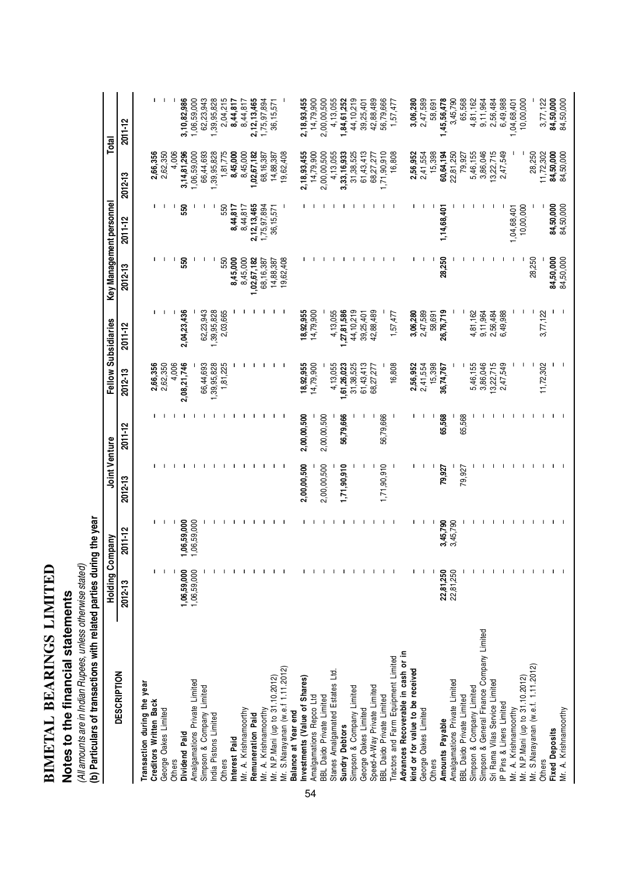| $\frac{1}{2}$<br>Í              |  |
|---------------------------------|--|
| <b>DEADING</b>                  |  |
| $\frac{1}{2}$<br>$\blacksquare$ |  |

## Notes to the financial statements **Notes to the financial statements**

(All amounts are in Indian Rupees, unless otherwise stated)<br>(b) Particulars of transactions with related parties during the year (b) Particulars of transactions with related parties during the year (All amounts are in Indian Rupees, unless otherwise stated)

|                                           | <b>Holding Company</b> |              | Joint Venture |             |             | Fellow Subsidiaries |                        | Key Management personnel |             | Total          |
|-------------------------------------------|------------------------|--------------|---------------|-------------|-------------|---------------------|------------------------|--------------------------|-------------|----------------|
| <b>DESCRIPTION</b>                        | 2012-13                | 2011-12      | $2012 - 13$   | $2011 - 12$ | 2012-13     | 2011-12             | 2012-13                | 2011-12                  | 2012-13     | 2011-12        |
| Transaction during the year               |                        |              |               |             |             |                     |                        |                          |             |                |
| Creditors Written Back                    |                        |              |               |             | 2,66,356    |                     | п                      | L                        | 2,66,356    | п              |
| George Oakes Limited                      |                        |              |               |             | 2,62,350    |                     |                        |                          | 2,62,350    |                |
| Others                                    |                        |              |               |             | 4,006       |                     | H                      |                          | 4,006       |                |
| Dividend Paid                             | 1,06,59,000            | ,06,59,000   |               |             | 2,08,21,746 | 2,04,23,436         | 550                    | 550                      | 3,14,81,296 | 3,10,82,986    |
| Amalgamations Private Limited             | 1,06,59,000            | ,06,59,000   |               |             |             |                     |                        |                          | ,06,59,000  | 1,06,59,000    |
| Simpson & Company Limited                 |                        |              |               |             | 66,44,693   | 62,23,943           |                        |                          | 66,44,693   | 62,23,943      |
| India Pistons Limited                     |                        |              |               |             | ,39,95,828  | 1,39,95,828         |                        |                          | ,39,95,828  | 1,39,95,828    |
| Others                                    |                        |              |               |             | 1,81,225    | 2,03,665            | 550                    | 550                      | 1,81,775    | 2,04,215       |
| Interest Paid                             |                        |              |               |             |             |                     | 8,45,000               | 8,44,817                 | 8,45,000    | 8,44,817       |
| Mr. A. Krishnamoorthy                     |                        |              |               |             |             |                     | 8,45,000               | 8,44,817                 | 8,45,000    | 8,44,817       |
| Remuneration Paid                         |                        |              |               |             |             |                     | ,02,67,182             | 2, 12, 13, 465           | 1,02,67,182 | 2, 12, 13, 465 |
| Mr. A. Krishnamoorthy                     |                        |              |               |             |             |                     | 68, 16, 387            | 1,75,97,894              | 68,16,387   | ,75,97,894     |
| Mr. N.P.Mani (up to 31.10.2012)           |                        |              |               | л.          |             |                     | 14,88,387              | 36, 15, 571              | 14,88,387   | 36, 15, 571    |
| Mr. S.Narayanan (w.e.f 1.11.2012)         |                        |              |               |             |             |                     | 19,62,408              |                          | 19,62,408   |                |
| Balance at Year end                       |                        |              |               |             |             |                     |                        |                          |             |                |
| nvestments (Value of Shares)              |                        |              | 2,00,00,500   | 2,00,00,500 | 18,92,955   | 18,92,955           |                        |                          | 2,18,93,455 | 2,18,93,455    |
| Amalgamations Repco Ltd<br>54             |                        |              |               |             | 14,79,900   | 14,79,900           |                        |                          | 14,79,900   | 14,79,900      |
| BBL Daido Private Limited                 |                        |              | 2,00,00,500   | 2,00,00,500 |             |                     |                        |                          | 2,00,00,500 | 2,00,00,500    |
| Stanes Amalgamated Estates Ltd.           |                        |              |               |             | 4,13,055    | 4,13,055            |                        |                          | 4,13,055    | 4,13,055       |
| <b>Sundry Debtors</b>                     |                        | -1           | 1,71,90,910   | 56,79,666   | ,61,26,023  | ,27,81,586          |                        |                          | 3,33,16,933 | 1,84,61,252    |
| Simpson & Company Limited                 |                        | $\mathbf{I}$ |               |             | 31,38,525   | 44,10,219           |                        |                          | 31,38,525   | 44, 10, 219    |
| George Oakes Limited                      |                        |              |               |             | 61,43,413   | 39,25,401           |                        |                          | 61,43,413   | 39,25,401      |
| Speed-A-Way Private Limited               |                        |              |               |             | 68,27,277   | 42,88,489           |                        |                          | 68,27,277   | 42,88,489      |
| <b>BBL Daido Private Limited</b>          |                        |              | 1,71,90,910   | 56,79,666   |             |                     |                        |                          | 1,71,90,910 | 56,79,666      |
| Tractors and Farm Equipment Limited       |                        |              |               |             | 16,808      | 1,57,477            |                        |                          | 16,808      | 1,57,477       |
| Advances Recoverable in cash or in        |                        |              |               |             |             |                     |                        |                          |             |                |
| kind or for value to be received          |                        |              |               |             | 2,56,952    | 3,06,280            |                        |                          | 2,56,952    | 3,06,280       |
| George Oakes Limited                      |                        | -1           |               |             | 2,41,554    | 2,47,589            |                        |                          | 2,41,554    | 2,47,589       |
| Others                                    |                        |              |               |             | 15,398      | 58,691              |                        |                          | 15,398      | 58,691         |
| Amounts Payable                           | 22,81,250              | 3,45,790     | 79,927        | 65,568      | 36,74,767   | 26,76,719           | 28,250                 | 1,14,68,401              | 60,64,194   | ,45,56,478     |
| Amalgamations Private Limited             | 22,81,250              | 3,45,790     |               |             |             |                     |                        |                          | 22,81,250   | 3,45,790       |
| BBL Daido Private Limited                 |                        |              | 79,927        | 65,568      |             |                     |                        |                          | 79,927      | 65,568         |
| Simpson & Company Limited                 |                        |              |               |             | 5,46,155    | 4,81,162            |                        |                          | 5,46,155    | 4,81,162       |
| Simpson & General Finance Company Limited |                        |              |               |             | 3,86,046    | 9,11,964            |                        |                          | 3,86,046    | 9, 11, 964     |
| Sri Rama Vilas Service Limited            |                        |              |               |             | 3,22,715    | 2,56,484            |                        |                          | 13,22,715   | 2,56,484       |
| IP Pins & Liners Limited                  |                        |              |               |             | 2,47,549    | 6,49,988            |                        |                          | 2,47,549    | 6,49,988       |
| Mr. A. Krishnamoorthy                     |                        |              |               |             |             |                     |                        | 1,04,68,401              |             | 04,68,401      |
| Mr. N.P. Mani (up to 31.10.2012)          |                        |              |               |             |             |                     |                        | 10,00,000                |             | 10,00,000      |
| Mr. S.Narayanan (w.e.f. 1.11.2012)        |                        |              |               |             |             |                     | 28,250                 |                          | 28,250      |                |
| Others                                    |                        |              |               |             | 11,72,302   | 3,77,122            |                        |                          | 11,72,302   | 3,77,122       |
| <b>Fixed Deposits</b>                     |                        |              |               |             |             |                     | 84,50,000<br>84,50,000 | 84,50,000                | 84,50,000   | 84,50,000      |
| Mr. A. Krishnamoorthy                     |                        |              |               |             |             |                     |                        | 84,50,000                | 84,50,000   | 84,50,000      |
|                                           |                        |              |               |             |             |                     |                        |                          |             |                |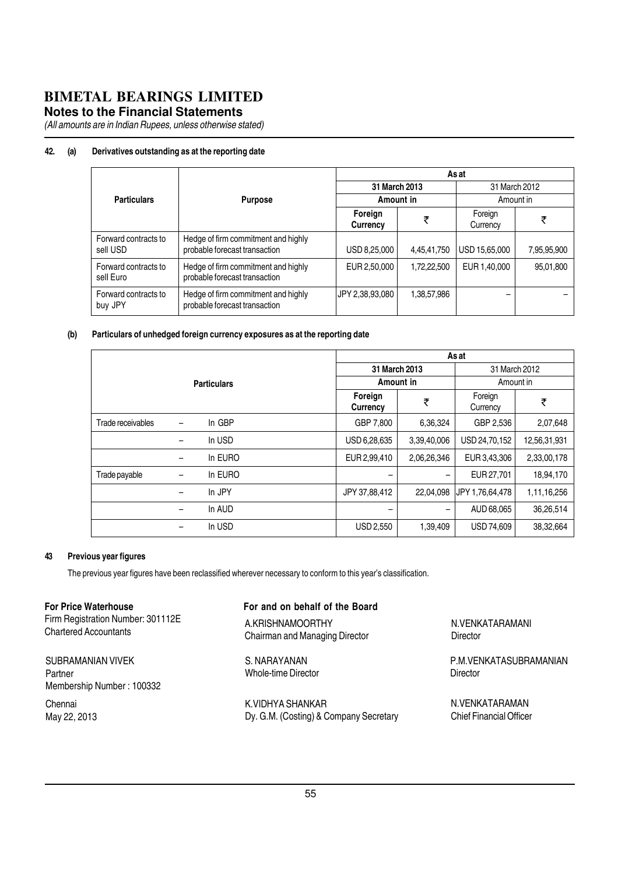#### **Notes to the Financial Statements**

(All amounts are in Indian Rupees, unless otherwise stated)

#### 42. (a) Derivatives outstanding as at the reporting date

|                                   |                                                                      |                     |             | As at               |             |
|-----------------------------------|----------------------------------------------------------------------|---------------------|-------------|---------------------|-------------|
|                                   |                                                                      | 31 March 2013       |             | 31 March 2012       |             |
| <b>Particulars</b>                | <b>Purpose</b>                                                       | Amount in           |             |                     | Amount in   |
|                                   |                                                                      | Foreign<br>Currency | ₹           | Foreign<br>Currency | ₹           |
| Forward contracts to<br>sell USD  | Hedge of firm commitment and highly<br>probable forecast transaction | USD 8,25,000        | 4,45,41,750 | USD 15,65,000       | 7,95,95,900 |
| Forward contracts to<br>sell Euro | Hedge of firm commitment and highly<br>probable forecast transaction | EUR 2,50,000        | 1,72,22,500 | EUR 1,40,000        | 95,01,800   |
| Forward contracts to<br>buy JPY   | Hedge of firm commitment and highly<br>probable forecast transaction | JPY 2,38,93,080     | 1,38,57,986 | -                   |             |

#### (b) Particulars of unhedged foreign currency exposures as at the reporting date

| <b>Particulars</b> |   | As at               |                  |                     |                   |              |
|--------------------|---|---------------------|------------------|---------------------|-------------------|--------------|
|                    |   | 31 March 2013       |                  | 31 March 2012       |                   |              |
|                    |   | Amount in           |                  | Amount in           |                   |              |
|                    |   | Foreign<br>Currency | ₹                | Foreign<br>Currency | ₹                 |              |
| Trade receivables  | - | In GBP              | GBP 7,800        | 6,36,324            | GBP 2,536         | 2,07,648     |
|                    | - | In USD              | USD 6,28,635     | 3,39,40,006         | USD 24,70,152     | 12,56,31,931 |
|                    | - | In EURO             | EUR 2,99,410     | 2,06,26,346         | EUR 3,43,306      | 2,33,00,178  |
| Trade payable      | - | In EURO             |                  | -                   | EUR 27,701        | 18,94,170    |
|                    | - | In JPY              | JPY 37,88,412    | 22,04,098           | JPY 1,76,64,478   | 1,11,16,256  |
|                    | - | In AUD              | -                | -                   | AUD 68,065        | 36,26,514    |
|                    |   | In USD              | <b>USD 2,550</b> | 1,39,409            | <b>USD 74,609</b> | 38,32,664    |

#### 43 Previous year figures

The previous year figures have been reclassified wherever necessary to conform to this year's classification.

| For Price Waterhouse                                      | For and on behalf of the Board         |
|-----------------------------------------------------------|----------------------------------------|
| Firm Registration Number: 301112E                         | A.KRISHNAMOORTHY                       |
| <b>Chartered Accountants</b>                              | Chairman and Managing Director         |
| SUBRAMANIAN VIVEK<br>Partner<br>Membership Number: 100332 | S. NARAYANAN<br>Whole-time Director    |
| Chennai                                                   | K.VIDHYA SHANKAR                       |
| May 22, 2013                                              | Dy. G.M. (Costing) & Company Secretary |

N.VENKATARAMANI **Director** 

P.M.VENKATASUBRAMANIAN **Director** 

N.VENKATARAMAN Chief Financial Officer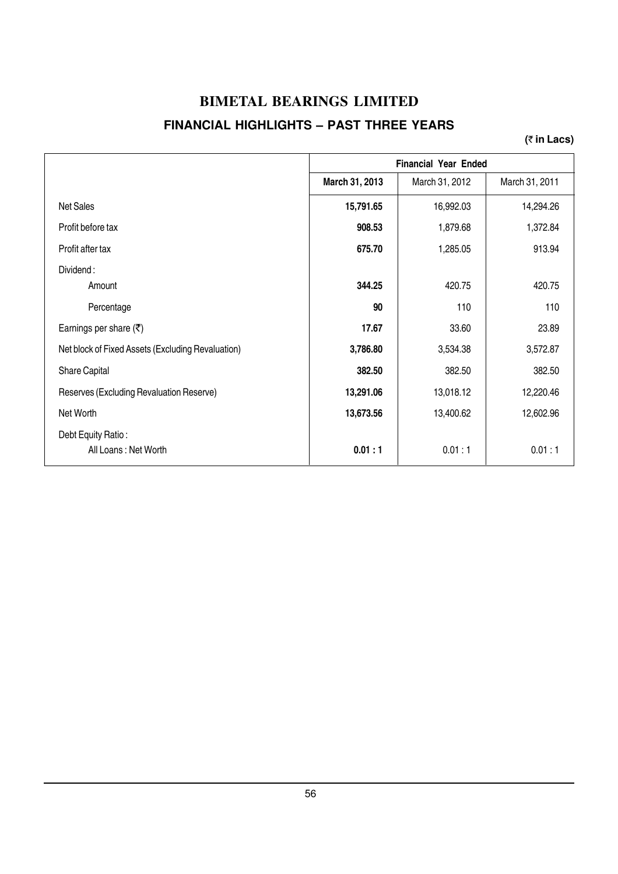#### **BIMETAL BEARINGS LIMITED FINANCIAL HIGHLIGHTS – PAST THREE YEARS**

**(**` **in Lacs)**

|                                                   |                | <b>Financial Year Ended</b> |                |
|---------------------------------------------------|----------------|-----------------------------|----------------|
|                                                   | March 31, 2013 | March 31, 2012              | March 31, 2011 |
| <b>Net Sales</b>                                  | 15,791.65      | 16,992.03                   | 14,294.26      |
| Profit before tax                                 | 908.53         | 1,879.68                    | 1,372.84       |
| Profit after tax                                  | 675.70         | 1,285.05                    | 913.94         |
| Dividend:                                         |                |                             |                |
| Amount                                            | 344.25         | 420.75                      | 420.75         |
| Percentage                                        | 90             | 110                         | 110            |
| Earnings per share $(\overline{\tau})$            | 17.67          | 33.60                       | 23.89          |
| Net block of Fixed Assets (Excluding Revaluation) | 3,786.80       | 3,534.38                    | 3,572.87       |
| Share Capital                                     | 382.50         | 382.50                      | 382.50         |
| Reserves (Excluding Revaluation Reserve)          | 13,291.06      | 13,018.12                   | 12,220.46      |
| Net Worth                                         | 13,673.56      | 13,400.62                   | 12,602.96      |
| Debt Equity Ratio:<br>All Loans: Net Worth        | 0.01:1         | 0.01:1                      | 0.01:1         |